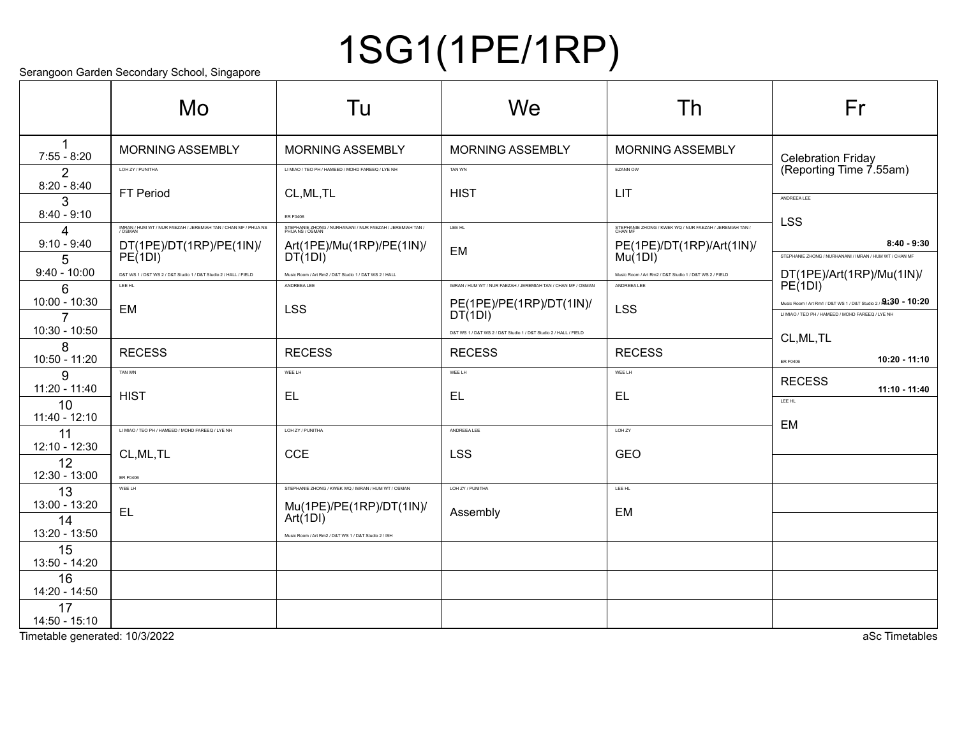# 1SG1(1PE/1RP)

Serangoon Garden Secondary School, Singapore

|                                      | Mo                                                                                                    | Tu                                                                                         | We                                                                                | Th                                                                                                         | Fr                                                                                                                            |
|--------------------------------------|-------------------------------------------------------------------------------------------------------|--------------------------------------------------------------------------------------------|-----------------------------------------------------------------------------------|------------------------------------------------------------------------------------------------------------|-------------------------------------------------------------------------------------------------------------------------------|
| $7:55 - 8:20$                        | <b>MORNING ASSEMBLY</b>                                                                               | <b>MORNING ASSEMBLY</b>                                                                    | <b>MORNING ASSEMBLY</b>                                                           | <b>MORNING ASSEMBLY</b>                                                                                    | <b>Celebration Friday</b>                                                                                                     |
| 2<br>$8:20 - 8:40$                   | LOH ZY / PUNITHA<br><b>FT Period</b>                                                                  | LI MIAO / TEO PH / HAMEED / MOHD FAREEQ / LYE NH<br>CL, ML, TL                             | TAN WN<br><b>HIST</b>                                                             | EZANN OW<br>LIT                                                                                            | (Reporting Time 7.55am)                                                                                                       |
| 3<br>$8:40 - 9:10$                   |                                                                                                       | ER F0406<br>STEPHANIE ZHONG / NURHANANI / NUR FAEZAH / JEREMIAH TAN /                      | LEE HL                                                                            |                                                                                                            | ANDREEA LEE<br><b>LSS</b>                                                                                                     |
| 4<br>$9:10 - 9:40$<br>5              | IMRAN / HUM WT / NUR FAEZAH / JEREMIAH TAN / CHAN MF / PHUA NS<br>DT(1PE)/DT(1RP)/PE(1IN)/<br>PE(1DI) | Art(1PE)/Mu(1RP)/PE(1IN)/<br>DT(1DI)                                                       | <b>EM</b>                                                                         | STEPHANIE ZHONG / KWEK WQ / NUR FAEZAH / JEREMIAH TAN /<br>CHAN MF<br>PE(1PE)/DT(1RP)/Art(1IN)/<br>Mu(1DI) | $8:40 - 9:30$<br>STEPHANIE ZHONG / NURHANANI / IMRAN / HUM WT / CHAN MF                                                       |
| $9:40 - 10:00$<br>6                  | D&T WS 1 / D&T WS 2 / D&T Studio 1 / D&T Studio 2 / HALL / FIELD<br>LEE HL                            | Music Room / Art Rm2 / D&T Studio 1 / D&T WS 2 / HALL<br>ANDREEA LEE                       | IMRAN / HUM WT / NUR FAEZAH / JEREMIAH TAN / CHAN MF / OSMAN                      | Music Room / Art Rm2 / D&T Studio 1 / D&T WS 2 / FIELD<br>ANDREEA LEE                                      | DT(1PE)/Art(1RP)/Mu(1IN)/<br>PE(1DI)                                                                                          |
| 10:00 - 10:30<br>$\overline{7}$      | EM                                                                                                    | <b>LSS</b>                                                                                 | PE(1PE)/PE(1RP)/DT(1IN)<br>DT(1DI)                                                | <b>LSS</b>                                                                                                 | Music Room / Art Rm1 / D&T WS 1 / D&T Studio 2 / $\mathbf{A}$ :30 - 10:20<br>LI MIAO / TEO PH / HAMEED / MOHD FAREEQ / LYE NH |
| 10:30 - 10:50<br>8                   | <b>RECESS</b>                                                                                         | <b>RECESS</b>                                                                              | D&T WS 1 / D&T WS 2 / D&T Studio 1 / D&T Studio 2 / HALL / FIELD<br><b>RECESS</b> | <b>RECESS</b>                                                                                              | CL, ML, TL                                                                                                                    |
| 10:50 - 11:20<br>9<br>11:20 - 11:40  | TAN WN                                                                                                | WEE LH                                                                                     | WEE LH                                                                            | WEE LH                                                                                                     | $10:20 - 11:10$<br>ER F0406<br><b>RECESS</b>                                                                                  |
| 10<br>11:40 - 12:10                  | <b>HIST</b>                                                                                           | EL                                                                                         | <b>EL</b>                                                                         | <b>EL</b>                                                                                                  | 11:10 - 11:40<br>LEE HL                                                                                                       |
| 11<br>12:10 - 12:30                  | LI MIAO / TEO PH / HAMEED / MOHD FAREEQ / LYE NH                                                      | LOH ZY / PUNITHA                                                                           | ANDREEA LEE                                                                       | LOH ZY                                                                                                     | <b>EM</b>                                                                                                                     |
| 12<br>12:30 - 13:00                  | CL, ML, TL<br>ER F0406                                                                                | <b>CCE</b>                                                                                 | <b>LSS</b>                                                                        | <b>GEO</b>                                                                                                 |                                                                                                                               |
| 13<br>13:00 - 13:20<br>14            | WEE LH<br><b>EL</b>                                                                                   | STEPHANIE ZHONG / KWEK WQ / IMRAN / HUM WT / OSMAN<br>Mu(1PE)/PE(1RP)/DT(1IN)/<br>Art(1DI) | LOH ZY / PUNITHA<br>Assembly                                                      | LEE HL<br><b>EM</b>                                                                                        |                                                                                                                               |
| 13:20 - 13:50<br>15                  |                                                                                                       | Music Room / Art Rm2 / D&T WS 1 / D&T Studio 2 / ISH                                       |                                                                                   |                                                                                                            |                                                                                                                               |
| 13:50 - 14:20<br>16<br>14:20 - 14:50 |                                                                                                       |                                                                                            |                                                                                   |                                                                                                            |                                                                                                                               |
| 17<br>14:50 - 15:10                  |                                                                                                       |                                                                                            |                                                                                   |                                                                                                            |                                                                                                                               |

Timetable generated: 10/3/2022 and the state of the state of the state of the state of the state of the state of the state of the state of the state of the state of the state of the state of the state of the state of the s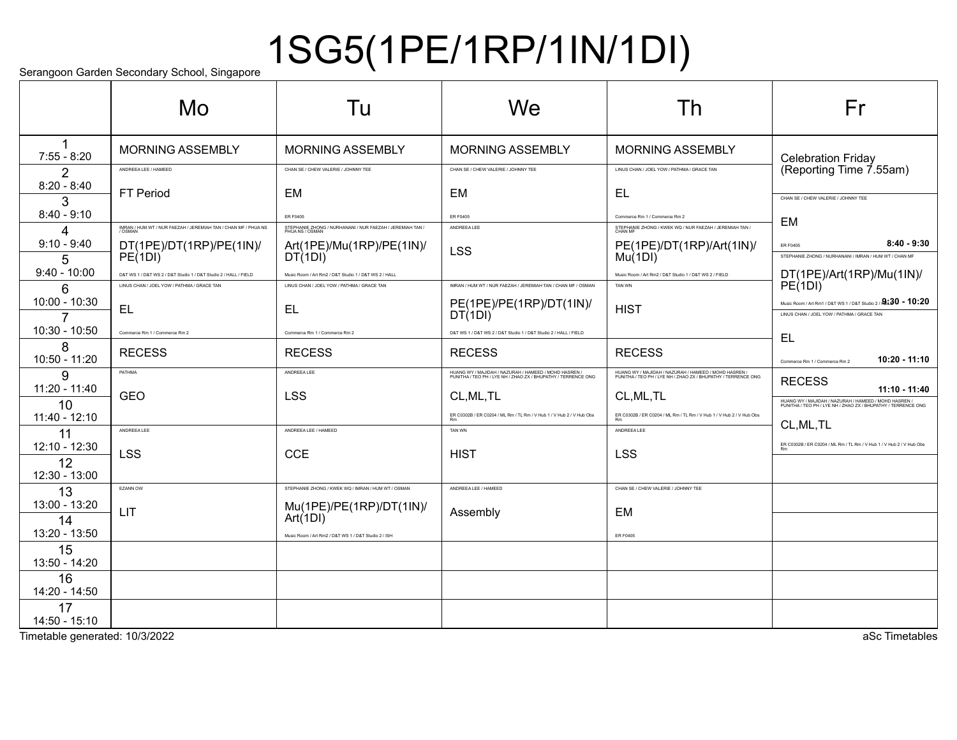# 1SG5(1PE/1RP/1IN/1DI)

Serangoon Garden Secondary School, Singapore

|                       | Mo                                                               | Tu                                                                            | We                                                                                                                     | Τh                                                                                                                     | Fr                                                                                                                     |
|-----------------------|------------------------------------------------------------------|-------------------------------------------------------------------------------|------------------------------------------------------------------------------------------------------------------------|------------------------------------------------------------------------------------------------------------------------|------------------------------------------------------------------------------------------------------------------------|
| $7:55 - 8:20$         | <b>MORNING ASSEMBLY</b>                                          | <b>MORNING ASSEMBLY</b>                                                       | <b>MORNING ASSEMBLY</b>                                                                                                | <b>MORNING ASSEMBLY</b>                                                                                                | <b>Celebration Friday</b>                                                                                              |
| $\mathcal{P}$         | ANDREEA LEE / HAMEED                                             | CHAN SE / CHEW VALERIE / JOHNNY TEE                                           | CHAN SE / CHEW VALERIE / JOHNNY TEE                                                                                    | LINUS CHAN / JOEL YOW / PATHMA / GRACE TAN                                                                             | (Reporting Time 7.55am)                                                                                                |
| $8:20 - 8:40$<br>3    | <b>FT Period</b>                                                 | EM                                                                            | EM                                                                                                                     | EL                                                                                                                     | CHAN SE / CHEW VALERIE / JOHNNY TEE                                                                                    |
| $8:40 - 9:10$         |                                                                  | ER F0405                                                                      | <b>ER F0405</b>                                                                                                        | Commerce Rm 1 / Commerce Rm 2                                                                                          | EM                                                                                                                     |
| 4                     | IMRAN / HUM WT / NUR FAEZAH / JEREMIAH TAN / CHAN MF / PHUA NS   | STEPHANIE ZHONG / NURHANANI / NUR FAEZAH / JEREMIAH TAN /<br>PHIJA NS / OSMAN | ANDREEA LEE                                                                                                            | STEPHANIE ZHONG / KWEK WQ / NUR FAEZAH / JEREMIAH TAN /<br>CHAN MF                                                     |                                                                                                                        |
| $9:10 - 9:40$<br>5    | DT(1PE)/DT(1RP)/PE(1IN)/<br>PE(1DI)                              | Art(1PE)/Mu(1RP)/PE(1IN)/<br>DT(1DI)                                          | <b>LSS</b>                                                                                                             | PE(1PE)/DT(1RP)/Art(1IN)/<br>Mu(1DI)                                                                                   | $8:40 - 9:30$<br>ER F0405<br>STEPHANIE ZHONG / NURHANANI / IMRAN / HUM WT / CHAN MF                                    |
| $9:40 - 10:00$        | D&T WS 1 / D&T WS 2 / D&T Studio 1 / D&T Studio 2 / HALL / FIELD | Music Room / Art Rm2 / D&T Studio 1 / D&T WS 2 / HALL                         |                                                                                                                        | Music Room / Art Rm2 / D&T Studio 1 / D&T WS 2 / FIELD                                                                 | DT(1PE)/Art(1RP)/Mu(1IN)/<br>PE(1DI)                                                                                   |
| 6                     | LINUS CHAN / JOEL YOW / PATHMA / GRACE TAN                       | LINUS CHAN / JOEL YOW / PATHMA / GRACE TAN                                    | IMRAN / HUM WT / NUR FAEZAH / JEREMIAH TAN / CHAN MF / OSMAN                                                           | TAN WN                                                                                                                 |                                                                                                                        |
| 10:00 - 10:30         | EL                                                               | EL                                                                            | PE(1PE)/PE(1RP)/DT(1IN)/<br>DT(1DI)                                                                                    | <b>HIST</b>                                                                                                            | Music Room / Art Rm1 / D&T WS 1 / D&T Studio 2 / 2:30 - 10:20<br>LINUS CHAN / JOEL YOW / PATHMA / GRACE TAN            |
| 10:30 - 10:50         | Commerce Rm 1 / Commerce Rm 2                                    | Commerce Rm 1 / Commerce Rm 2                                                 | D&T WS 1 / D&T WS 2 / D&T Studio 1 / D&T Studio 2 / HALL / FIELD                                                       |                                                                                                                        | EL                                                                                                                     |
| 8<br>10:50 - 11:20    | <b>RECESS</b>                                                    | <b>RECESS</b>                                                                 | <b>RECESS</b>                                                                                                          | <b>RECESS</b>                                                                                                          | 10:20 - 11:10<br>Commerce Rm 1 / Commerce Rm 2                                                                         |
| 9                     | PATHMA                                                           | <b>ANDREEALEE</b>                                                             | HUANG WY / MAJIDAH / NAZURAH / HAMEED / MOHD HASREN /<br>PUNITHA / TEO PH / LYE NH / ZHAO ZX / BHUPATHY / TERRENCE ONG | HUANG WY / MAJIDAH / NAZURAH / HAMEED / MOHD HASREN /<br>PUNITHA / TEO PH / LYE NH / ZHAO ZX / BHUPATHY / TERRENCE ONG | <b>RECESS</b>                                                                                                          |
| $11:20 - 11:40$       | <b>GEO</b>                                                       | <b>LSS</b>                                                                    | CL, ML, TL                                                                                                             | CL, ML, TL                                                                                                             | 11:10 - 11:40                                                                                                          |
| 10<br>11:40 - 12:10   |                                                                  |                                                                               | ER C0302B / ER C0204 / ML Rm / TL Rm / V Hub 1 / V Hub 2 / V Hub Obs                                                   | ER C0302B / ER C0204 / ML Rm / TL Rm / V Hub 1 / V Hub 2 / V Hub Obs                                                   | HUANG WY / MAJIDAH / NAZURAH / HAMEED / MOHD HASREN /<br>PUNITHA / TEO PH / LYE NH / ZHAO ZX / BHUPATHY / TERRENCE ONG |
| 11                    | ANDREEA LEE                                                      | ANDREEA LEE / HAMEED                                                          | <b>TAN WN</b>                                                                                                          | ANDREEA LEE                                                                                                            | CL, ML, TL                                                                                                             |
| 12:10 - 12:30         |                                                                  |                                                                               |                                                                                                                        |                                                                                                                        | ER C0302B / ER C0204 / ML Rm / TL Rm / V Hub 1 / V Hub 2 / V Hub Obs                                                   |
| 12                    | <b>LSS</b>                                                       | <b>CCE</b>                                                                    | <b>HIST</b>                                                                                                            | <b>LSS</b>                                                                                                             |                                                                                                                        |
| 12:30 - 13:00         |                                                                  |                                                                               |                                                                                                                        |                                                                                                                        |                                                                                                                        |
| 13                    | EZANN OW                                                         | STEPHANIE ZHONG / KWEK WQ / IMRAN / HUM WT / OSMAN                            | ANDREEA LEE / HAMEED                                                                                                   | CHAN SE / CHEW VALERIE / JOHNNY TEE                                                                                    |                                                                                                                        |
| 13:00 - 13:20         | LIT                                                              | Mu(1PE)/PE(1RP)/DT(1IN)/<br>Art(1DI)                                          | Assembly                                                                                                               | EM                                                                                                                     |                                                                                                                        |
| 14<br>13:20 - 13:50   |                                                                  | Music Room / Art Rm2 / D&T WS 1 / D&T Studio 2 / ISH                          |                                                                                                                        | <b>ER F0405</b>                                                                                                        |                                                                                                                        |
| 15<br>13:50 - 14:20   |                                                                  |                                                                               |                                                                                                                        |                                                                                                                        |                                                                                                                        |
| 16                    |                                                                  |                                                                               |                                                                                                                        |                                                                                                                        |                                                                                                                        |
| 14:20 - 14:50         |                                                                  |                                                                               |                                                                                                                        |                                                                                                                        |                                                                                                                        |
| 17<br>$14:50 - 15:10$ |                                                                  |                                                                               |                                                                                                                        |                                                                                                                        |                                                                                                                        |

Timetable generated: 10/3/2022 and the state of the state of the state of the state of the state of the state of the state of the state of the state of the state of the state of the state of the state of the state of the s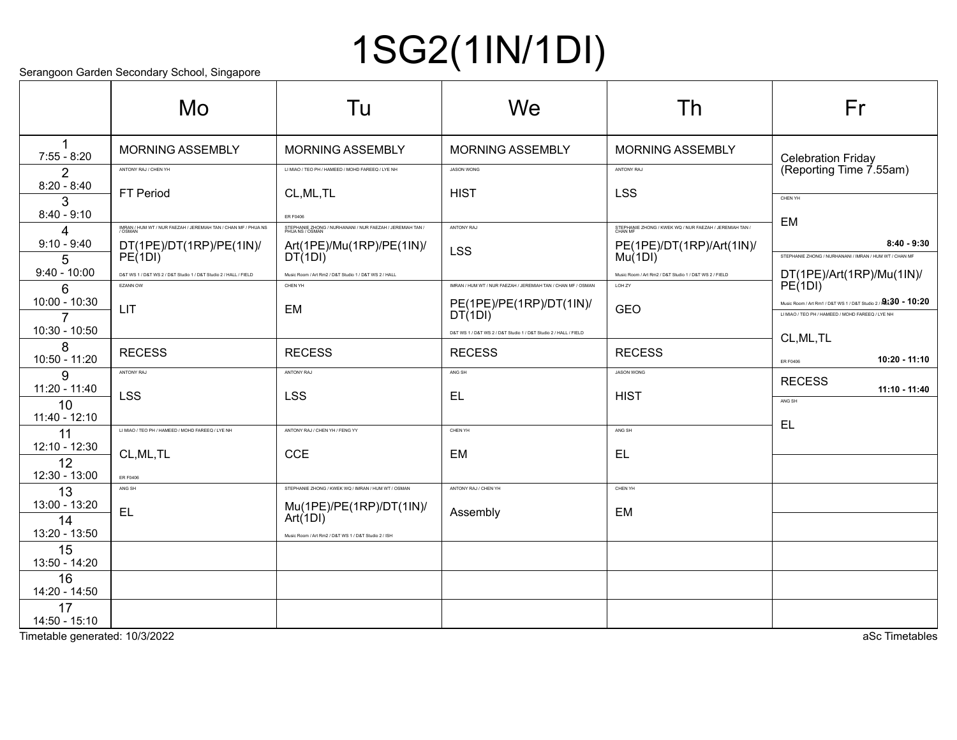# 1SG2(1IN/1DI)

Serangoon Garden Secondary School, Singapore

|                                     | Mo                                                               | Tu                                                                           | We                                                               | Th                                                                 | Fr                                                                                                                            |
|-------------------------------------|------------------------------------------------------------------|------------------------------------------------------------------------------|------------------------------------------------------------------|--------------------------------------------------------------------|-------------------------------------------------------------------------------------------------------------------------------|
| $7:55 - 8:20$                       | <b>MORNING ASSEMBLY</b>                                          | <b>MORNING ASSEMBLY</b>                                                      | <b>MORNING ASSEMBLY</b>                                          | <b>MORNING ASSEMBLY</b>                                            | <b>Celebration Friday</b>                                                                                                     |
| $\mathcal{P}$                       | ANTONY RAJ / CHEN YH                                             | LI MIAO / TEO PH / HAMEED / MOHD FAREEQ / LYE NH                             | <b>JASON WONG</b>                                                | ANTONY RAJ                                                         | (Reporting Time 7.55am)                                                                                                       |
| $8:20 - 8:40$<br>3<br>$8:40 - 9:10$ | <b>FT Period</b>                                                 | CL, ML, TL<br>ER F0406                                                       | <b>HIST</b>                                                      | <b>LSS</b>                                                         | CHEN YH                                                                                                                       |
| $\overline{4}$                      | IMRAN / HUM WT / NUR FAEZAH / JEREMIAH TAN / CHAN MF / PHUA NS   | STEPHANIE ZHONG / NURHANANI / NUR FAEZAH / JEREMIAH TAN /<br>PHUA NS / OSMAN | ANTONY RAJ                                                       | STEPHANIE ZHONG / KWEK WQ / NUR FAEZAH / JEREMIAH TAN /<br>CHAN MF | <b>EM</b>                                                                                                                     |
| $9:10 - 9:40$<br>5                  | DT(1PE)/DT(1RP)/PE(1IN)/<br>PE(1DI)                              | Art(1PE)/Mu(1RP)/PE(1IN)/<br>DT(1DI)                                         | <b>LSS</b>                                                       | PE(1PE)/DT(1RP)/Art(1IN)/<br>Mu(1DI)                               | $8:40 - 9:30$<br>STEPHANIE ZHONG / NURHANANI / IMRAN / HUM WT / CHAN MF                                                       |
| $9:40 - 10:00$                      | D&T WS 1 / D&T WS 2 / D&T Studio 1 / D&T Studio 2 / HALL / FIELD | Music Room / Art Rm2 / D&T Studio 1 / D&T WS 2 / HALL                        |                                                                  | Music Room / Art Rm2 / D&T Studio 1 / D&T WS 2 / FIELD             | DT(1PE)/Art(1RP)/Mu(1IN)/<br>PE(1DI)                                                                                          |
| 6                                   | <b>EZANN OW</b>                                                  | CHEN YH                                                                      | IMRAN / HUM WT / NUR FAEZAH / JEREMIAH TAN / CHAN MF / OSMAN     | LOH ZY                                                             |                                                                                                                               |
| 10:00 - 10:30<br>$\overline{7}$     | <b>LIT</b>                                                       | EM                                                                           | PE(1PE)/PE(1RP)/DT(1IN)/<br>DT(1DI)                              | <b>GEO</b>                                                         | Music Room / Art Rm1 / D&T WS 1 / D&T Studio 2 / $\mathbf{A}$ :30 - 10:20<br>LI MIAO / TEO PH / HAMEED / MOHD FAREEQ / LYE NH |
| 10:30 - 10:50                       |                                                                  |                                                                              | D&T WS 1 / D&T WS 2 / D&T Studio 1 / D&T Studio 2 / HALL / FIELD |                                                                    | CL, ML, TL                                                                                                                    |
| 8<br>10:50 - 11:20                  | <b>RECESS</b>                                                    | <b>RECESS</b>                                                                | <b>RECESS</b>                                                    | <b>RECESS</b>                                                      | $10:20 - 11:10$<br><b>ER F0406</b>                                                                                            |
| 9                                   | ANTONY RAJ                                                       | ANTONY RAJ                                                                   | ANG SH                                                           | JASON WONG                                                         | <b>RECESS</b>                                                                                                                 |
| 11:20 - 11:40<br>10                 | <b>LSS</b>                                                       | <b>LSS</b>                                                                   | EL                                                               | <b>HIST</b>                                                        | 11:10 - 11:40<br>ANG SH                                                                                                       |
| 11:40 - 12:10                       |                                                                  |                                                                              |                                                                  |                                                                    |                                                                                                                               |
| 11                                  | LI MIAO / TEO PH / HAMEED / MOHD FAREEQ / LYE NH                 | ANTONY RAJ / CHEN YH / FENG YY                                               | CHEN YH                                                          | ANG SH                                                             | <b>EL</b>                                                                                                                     |
| 12:10 - 12:30                       | CL, ML, TL                                                       | <b>CCE</b>                                                                   | <b>EM</b>                                                        | <b>EL</b>                                                          |                                                                                                                               |
| 12<br>12:30 - 13:00                 | <b>ER F0406</b>                                                  |                                                                              |                                                                  |                                                                    |                                                                                                                               |
| 13                                  | ANG SH                                                           | STEPHANIE ZHONG / KWEK WQ / IMRAN / HUM WT / OSMAN                           | ANTONY RAJ / CHEN YH                                             | CHEN YH                                                            |                                                                                                                               |
| 13:00 - 13:20                       | <b>EL</b>                                                        | Mu(1PE)/PE(1RP)/DT(1IN)/                                                     | Assembly                                                         | EM                                                                 |                                                                                                                               |
| 14<br>13:20 - 13:50                 |                                                                  | Art(1DI)                                                                     |                                                                  |                                                                    |                                                                                                                               |
| 15                                  |                                                                  | Music Room / Art Rm2 / D&T WS 1 / D&T Studio 2 / ISH                         |                                                                  |                                                                    |                                                                                                                               |
| 13:50 - 14:20                       |                                                                  |                                                                              |                                                                  |                                                                    |                                                                                                                               |
| 16<br>14:20 - 14:50                 |                                                                  |                                                                              |                                                                  |                                                                    |                                                                                                                               |
| 17<br>14:50 - 15:10                 |                                                                  |                                                                              |                                                                  |                                                                    |                                                                                                                               |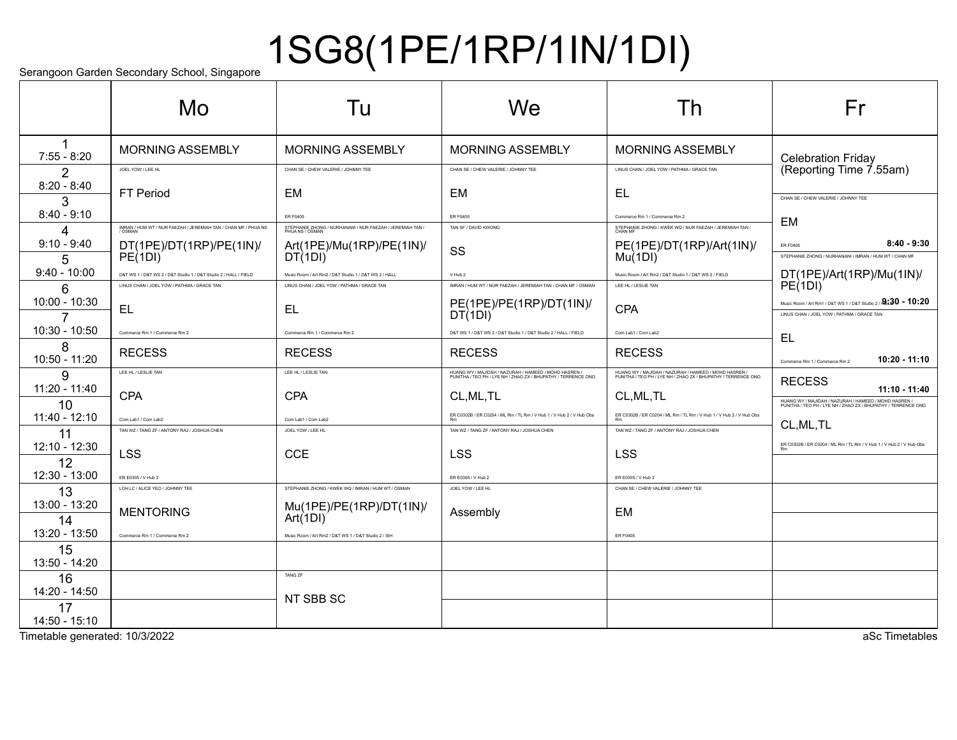# 1SG8(1PE/1RP/1IN/1DI)

Serangoon Garden Secondary School, Singapore

|                     | Mo                                                               | Tu                                                                            | <b>We</b>                                                                                                              | I h                                                                                                                    | Fr                                                                                                                     |
|---------------------|------------------------------------------------------------------|-------------------------------------------------------------------------------|------------------------------------------------------------------------------------------------------------------------|------------------------------------------------------------------------------------------------------------------------|------------------------------------------------------------------------------------------------------------------------|
| 1<br>$7:55 - 8:20$  | <b>MORNING ASSEMBLY</b>                                          | <b>MORNING ASSEMBLY</b>                                                       | <b>MORNING ASSEMBLY</b>                                                                                                | <b>MORNING ASSEMBLY</b>                                                                                                | <b>Celebration Friday</b>                                                                                              |
| 2                   | JOEL YOW / LEE HL                                                | CHAN SE / CHEW VALERIE / JOHNNY TEE                                           | CHAN SE / CHEW VALERIE / JOHNNY TEE                                                                                    | LINUS CHAN / JOEL YOW / PATHMA / GRACE TAN                                                                             | (Reporting Time 7.55am)                                                                                                |
| $8:20 - 8:40$<br>3  | FT Period                                                        | <b>EM</b>                                                                     | <b>EM</b>                                                                                                              | EL                                                                                                                     | CHAN SE / CHEW VALERIE / JOHNNY TEE                                                                                    |
| $8:40 - 9:10$       |                                                                  | <b>ER F0405</b>                                                               | <b>ER F0405</b>                                                                                                        | Commerce Rm 1 / Commerce Rm 2                                                                                          | EM                                                                                                                     |
| 4                   | IMRAN / HUM WT / NUR FAEZAH / JEREMIAH TAN / CHAN MF / PHUA NS   | STEPHANIE ZHONG / NURHANANI / NUR FAEZAH / JEREMIAH TAN /<br>PHIJA NS / OSMAN | TAN SF / DAVID KWONG                                                                                                   | STEPHANIE ZHONG / KWEK WQ / NUR FAEZAH / JEREMIAH TAN /<br>CHAN MF                                                     |                                                                                                                        |
| $9:10 - 9:40$<br>5  | DT(1PE)/DT(1RP)/PE(1IN)/<br>PE(1DI)                              | Art(1PE)/Mu(1RP)/PE(1IN)/<br>DT(1DI)                                          | SS                                                                                                                     | PE(1PE)/DT(1RP)/Art(1IN)/<br>Mu(1DI)                                                                                   | $8:40 - 9:30$<br><b>ER F0405</b><br>STEPHANIE ZHONG / NURHANANI / IMRAN / HUM WT / CHAN MF                             |
| $9:40 - 10:00$      | D&T WS 1 / D&T WS 2 / D&T Studio 1 / D&T Studio 2 / HALL / FIELD | Music Room / Art Rm2 / D&T Studio 1 / D&T WS 2 / HALL                         | V Hub 2                                                                                                                | Music Room / Art Rm2 / D&T Studio 1 / D&T WS 2 / FIELD                                                                 | DT(1PE)/Art(1RP)/Mu(1IN)/<br>PE(1DI)                                                                                   |
| 6                   | LINUS CHAN / JOEL YOW / PATHMA / GRACE TAN                       | LINUS CHAN / JOEL YOW / PATHMA / GRACE TAN                                    | IMRAN / HUM WT / NUR FAEZAH / JEREMIAH TAN / CHAN MF / OSMAN                                                           | LEE HL / LESLIE TAN                                                                                                    |                                                                                                                        |
| $10:00 - 10:30$     | EL                                                               | <b>EL</b>                                                                     | PE(1PE)/PE(1RP)/DT(1IN)/<br>DT(1DI)                                                                                    | CPA                                                                                                                    | Music Room / Art Rm1 / D&T WS 1 / D&T Studio 2 / $2.30 - 10:20$<br>LINUS CHAN / JOEL YOW / PATHMA / GRACE TAN          |
| 10:30 - 10:50       | Commerce Rm 1 / Commerce Rm 2                                    | Commerce Rm 1 / Commerce Rm 2                                                 | D&T WS 1 / D&T WS 2 / D&T Studio 1 / D&T Studio 2 / HALL / FIELD                                                       | Com Lab1 / Com Lab2                                                                                                    | EL                                                                                                                     |
| 8<br>10:50 - 11:20  | <b>RECESS</b>                                                    | <b>RECESS</b>                                                                 | <b>RECESS</b>                                                                                                          | <b>RECESS</b>                                                                                                          | 10:20 - 11:10<br>Commerce Rm 1 / Commerce Rm 2                                                                         |
| 9                   | LEE HL / LESLIE TAN                                              | LEE HL / LESLIE TAN                                                           | HUANG WY / MAJIDAH / NAZURAH / HAMEED / MOHD HASREN /<br>PUNITHA / TEO PH / LYE NH / ZHAO ZX / BHUPATHY / TERRENCE ONG | HUANG WY / MAJIDAH / NAZURAH / HAMEED / MOHD HASREN /<br>PUNITHA / TEO PH / LYE NH / ZHAO ZX / BHUPATHY / TERRENCE ONG | <b>RECESS</b>                                                                                                          |
| 11:20 - 11:40       | <b>CPA</b>                                                       | <b>CPA</b>                                                                    | CL, ML, TL                                                                                                             | CL, ML, TL                                                                                                             | 11:10 - 11:40                                                                                                          |
| 10<br>11:40 - 12:10 | Com Lab1 / Com Lab2                                              | Com Lab1 / Com Lab2                                                           | ER C0302B / ER C0204 / ML Rm / TL Rm / V Hub 1 / V Hub 2 / V Hub Obs                                                   | ER C0302B / ER C0204 / ML Rm / TL Rm / V Hub 1 / V Hub 2 / V Hub Obs                                                   | HUANG WY / MAJIDAH / NAZURAH / HAMEED / MOHD HASREN /<br>PUNITHA / TEO PH / LYE NH / ZHAO ZX / BHUPATHY / TERRENCE ONG |
| 11                  | TAN WZ / TANG ZF / ANTONY RAJ / JOSHUA CHEN                      | JOEL YOW / LEE HL                                                             | TAN WZ / TANG ZF / ANTONY RAJ / JOSHUA CHEN                                                                            | TAN WZ / TANG ZF / ANTONY RAJ / JOSHUA CHEN                                                                            | CL, ML, TL                                                                                                             |
| 12:10 - 12:30<br>12 | <b>LSS</b>                                                       | <b>CCE</b>                                                                    | <b>LSS</b>                                                                                                             | <b>LSS</b>                                                                                                             | ER C0302B / ER C0204 / ML Rm / TL Rm / V Hub 1 / V Hub 2 / V Hub Obs                                                   |
| 12:30 - 13:00       | ER E0305 / V Hub 2                                               |                                                                               | ER E0305 / V Hub 2                                                                                                     | ER E0305 / V Hub 2                                                                                                     |                                                                                                                        |
| 13                  | LOH LC / ALICE YEO / JOHNNY TEE                                  | STEPHANIE ZHONG / KWEK WQ / IMRAN / HUM WT / OSMAN                            | JOEL YOW / LEE HL                                                                                                      | CHAN SE / CHEW VALERIE / JOHNNY TEE                                                                                    |                                                                                                                        |
| 13:00 - 13:20       | <b>MENTORING</b>                                                 | Mu(1PE)/PE(1RP)/DT(1IN)/<br>Art(1DI)                                          | Assembly                                                                                                               | EM                                                                                                                     |                                                                                                                        |
| 14<br>13:20 - 13:50 | Commerce Rm 1 / Commerce Rm 2                                    | Music Room / Art Rm2 / D&T WS 1 / D&T Studio 2 / ISH                          |                                                                                                                        | <b>ER F0405</b>                                                                                                        |                                                                                                                        |
| 15<br>13:50 - 14:20 |                                                                  |                                                                               |                                                                                                                        |                                                                                                                        |                                                                                                                        |
| 16                  |                                                                  | <b>TANG ZF</b>                                                                |                                                                                                                        |                                                                                                                        |                                                                                                                        |
| 14:20 - 14:50       |                                                                  | NT SBB SC                                                                     |                                                                                                                        |                                                                                                                        |                                                                                                                        |
| 17<br>14:50 - 15:10 |                                                                  |                                                                               |                                                                                                                        |                                                                                                                        |                                                                                                                        |

Timetable generated: 10/3/2022 and the state of the state of the state of the state of the state of the state of the state of the state of the state of the state of the state of the state of the state of the state of the s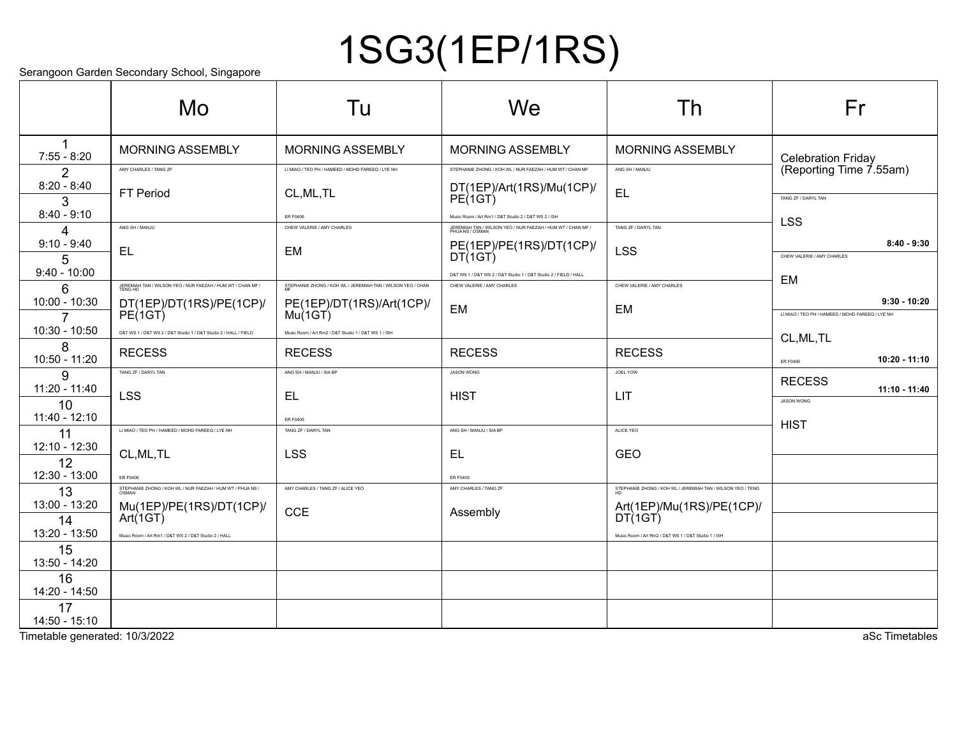## 1SG3(1EP/1RS)

Serangoon Garden Secondary School, Singapore

|                       | colungoon caladh coconadh y conool, ciligapolo<br>Mo             | Tu                                                          | We                                                                                             | Th                                                          | Fr                                               |
|-----------------------|------------------------------------------------------------------|-------------------------------------------------------------|------------------------------------------------------------------------------------------------|-------------------------------------------------------------|--------------------------------------------------|
|                       |                                                                  |                                                             |                                                                                                |                                                             |                                                  |
| $7:55 - 8:20$         | <b>MORNING ASSEMBLY</b>                                          | <b>MORNING ASSEMBLY</b>                                     | <b>MORNING ASSEMBLY</b>                                                                        | MORNING ASSEMBLY                                            | <b>Celebration Friday</b>                        |
| 2                     | AMY CHARLES / TANG ZF                                            | LI MIAO / TEO PH / HAMEED / MOHD FAREEQ / LYE NH            | STEPHANIE ZHONG / KOH WL / NUR FAEZAH / HUM WT / CHAN MF                                       | ANG SH / MANJU                                              | (Reporting Time 7.55am)                          |
| $8:20 - 8:40$         | FT Period                                                        | CL, ML, TL                                                  | DT(1EP)/Art(1RS)/Mu(1CP)/<br>PE(1GT)                                                           | <b>EL</b>                                                   | TANG ZF / DARYL TAN                              |
| 3<br>$8:40 - 9:10$    |                                                                  | ER F0406                                                    | Music Room / Art Rm1 / D&T Studio 2 / D&T WS 2 / ISH                                           |                                                             |                                                  |
| $\Delta$              | ANG SH / MANJU                                                   | CHEW VALERIE / AMY CHARLES                                  | JEREMIAH TAN / WILSON YEO / NUR FAEZAH / HUM WT / CHAN MF /<br>PHUA NS / OSMAN                 | TANG ZF / DARYL TAN                                         | <b>LSS</b>                                       |
| $9:10 - 9:40$         | EL                                                               | EM                                                          | PE(1EP)/PE(1RS)/DT(1CP)/<br>DT(1GT)                                                            | <b>LSS</b>                                                  | $8:40 - 9:30$                                    |
| 5<br>$9:40 - 10:00$   |                                                                  |                                                             |                                                                                                |                                                             | CHEW VALERIE / AMY CHARLES                       |
| 6                     | JEREMIAH TAN / WILSON YEO / NUR FAEZAH / HUM WT / CHAN MF /      | STEPHANIE ZHONG / KOH WL / JEREMIAH TAN / WILSON YEO / CHAN | D&T WS 1 / D&T WS 2 / D&T Studio 1 / D&T Studio 2 / FIELD / HALL<br>CHEW VALERIE / AMY CHARLES | CHEW VALERIE / AMY CHARLES                                  | EM                                               |
| 10:00 - 10:30         | DT(1EP)/DT(1RS)/PE(1CP)/<br>PE(1GT)                              | PE(1EP)/DT(1RS)/Art(1CP)/<br>Mu(1GT)                        | <b>EM</b>                                                                                      | EM                                                          | $9:30 - 10:20$                                   |
| 7                     |                                                                  |                                                             |                                                                                                |                                                             | LI MIAO / TEO PH / HAMEED / MOHD FAREEQ / LYE NH |
| 10:30 - 10:50         | D&T WS 1 / D&T WS 2 / D&T Studio 1 / D&T Studio 2 / HALL / FIELD | Music Room / Art Rm2 / D&T Studio 1 / D&T WS 1 / ISH        |                                                                                                |                                                             | CL, ML, TL                                       |
| 8<br>10:50 - 11:20    | <b>RECESS</b>                                                    | <b>RECESS</b>                                               | <b>RECESS</b>                                                                                  | <b>RECESS</b>                                               | 10:20 - 11:10<br><b>ER F0406</b>                 |
| 9                     | TANG ZF / DARYL TAN                                              | ANG SH / MANJU / SIA BP                                     | <b>JASON WONG</b>                                                                              | JOEL YOW                                                    | <b>RECESS</b>                                    |
| $11:20 - 11:40$<br>10 | <b>LSS</b>                                                       | EL.                                                         | <b>HIST</b>                                                                                    | LIT                                                         | $11:10 - 11:40$<br><b>JASON WONG</b>             |
| 11:40 - 12:10         |                                                                  | ER F0405                                                    |                                                                                                |                                                             |                                                  |
| 11                    | LI MIAO / TEO PH / HAMEED / MOHD FAREEQ / LYE NH                 | TANG ZF / DARYL TAN                                         | ANG SH / MANJU / SIA BP                                                                        | ALICE YEO                                                   | <b>HIST</b>                                      |
| 12:10 - 12:30         | CL, ML, TL                                                       | <b>LSS</b>                                                  | EL.                                                                                            | GEO                                                         |                                                  |
| 12<br>12:30 - 13:00   | <b>ER F0406</b>                                                  |                                                             | <b>ER F0405</b>                                                                                |                                                             |                                                  |
| 13                    | STEPHANIE ZHONG / KOH WL / NUR FAEZAH / HUM WT / PHUA NS /       | AMY CHARLES / TANG ZF / ALICE YEO                           | AMY CHARLES / TANG ZF                                                                          | STEPHANIE ZHONG / KOH WL / JEREMIAH TAN / WILSON YEO / TENG |                                                  |
| 13:00 - 13:20         | Mu(1EP)/PE(1RS)/DT(1CP)/                                         | <b>CCE</b>                                                  | Assembly                                                                                       | Art(1EP)/Mu(1RS)/PE(1CP)/                                   |                                                  |
| 14                    | Art(1GT)                                                         |                                                             |                                                                                                | DT(1GT)                                                     |                                                  |
| 13:20 - 13:50<br>15   | Music Room / Art Rm1 / D&T WS 2 / D&T Studio 2 / HALL            |                                                             |                                                                                                | Music Room / Art Rm2 / D&T WS 1 / D&T Studio 1 / ISH        |                                                  |
| 13:50 - 14:20         |                                                                  |                                                             |                                                                                                |                                                             |                                                  |
| 16                    |                                                                  |                                                             |                                                                                                |                                                             |                                                  |
| 14:20 - 14:50         |                                                                  |                                                             |                                                                                                |                                                             |                                                  |
| 17<br>14:50 - 15:10   |                                                                  |                                                             |                                                                                                |                                                             |                                                  |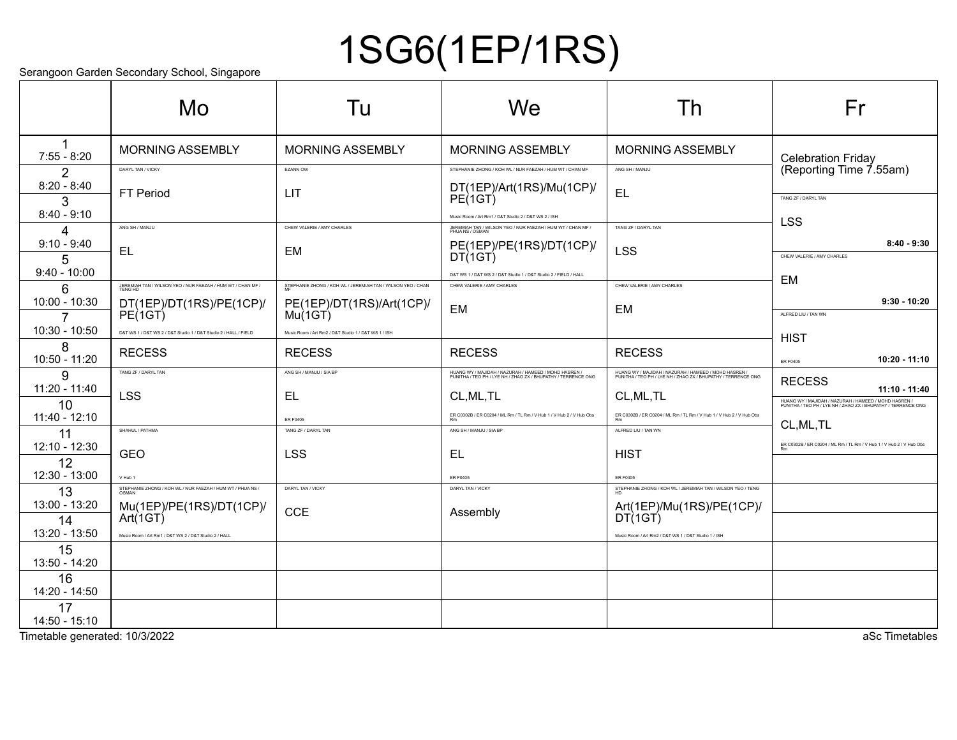## 1SG6(1EP/1RS)

Serangoon Garden Secondary School, Singapore

|                       | coldiguoi caldon cocondary concol, emgapolo<br>Mo                      | Tu                                                          | We                                                                                                                     | Th                                                                                                                     | Fr                                                                                                                                        |
|-----------------------|------------------------------------------------------------------------|-------------------------------------------------------------|------------------------------------------------------------------------------------------------------------------------|------------------------------------------------------------------------------------------------------------------------|-------------------------------------------------------------------------------------------------------------------------------------------|
| $7:55 - 8:20$         | <b>MORNING ASSEMBLY</b>                                                | <b>MORNING ASSEMBLY</b>                                     | <b>MORNING ASSEMBLY</b>                                                                                                | <b>MORNING ASSEMBLY</b>                                                                                                | <b>Celebration Friday</b>                                                                                                                 |
| 2                     | DARYL TAN / VICKY                                                      | EZANN OW                                                    | STEPHANIE ZHONG / KOH WL / NUR FAEZAH / HUM WT / CHAN MF                                                               | ANG SH / MANJU                                                                                                         | (Reporting Time 7.55am)                                                                                                                   |
| $8:20 - 8:40$<br>3    | FT Period                                                              | LIT                                                         | DT(1EP)/Art(1RS)/Mu(1CP)/<br>PE(1GT)                                                                                   | <b>EL</b>                                                                                                              | TANG ZF / DARYL TAN                                                                                                                       |
| $8:40 - 9:10$         |                                                                        |                                                             | Music Room / Art Rm1 / D&T Studio 2 / D&T WS 2 / ISH                                                                   |                                                                                                                        |                                                                                                                                           |
| Δ                     | ANG SH / MANJU                                                         | CHEW VALERIE / AMY CHARLES                                  | JEREMIAH TAN / WILSON YEO / NUR FAEZAH / HUM WT / CHAN MF /<br>PHUA NS / OSMAN                                         | TANG ZF / DARYL TAN                                                                                                    | <b>LSS</b>                                                                                                                                |
| $9:10 - 9:40$<br>5    | <b>EL</b>                                                              | EM                                                          | PE(1EP)/PE(1RS)/DT(1CP)/<br>DT(1GT)                                                                                    | LSS                                                                                                                    | $8:40 - 9:30$<br>CHEW VALERIE / AMY CHARLES                                                                                               |
| $9:40 - 10:00$        |                                                                        |                                                             | D&T WS 1 / D&T WS 2 / D&T Studio 1 / D&T Studio 2 / FIELD / HALL                                                       |                                                                                                                        |                                                                                                                                           |
| 6                     | JEREMIAH TAN / WILSON YEO / NUR FAEZAH / HUM WT / CHAN MF /<br>TENG HD | STEPHANIE ZHONG / KOH WL / JEREMIAH TAN / WILSON YEO / CHAN | CHEW VALERIE / AMY CHARLES                                                                                             | CHEW VALERIE / AMY CHARLES                                                                                             | EM                                                                                                                                        |
| 10:00 - 10:30         | DT(1EP)/DT(1RS)/PE(1CP)/<br>PE(1GT)                                    | PE(1EP)/DT(1RS)/Art(1CP)/<br>Mu(1GT)                        | EM                                                                                                                     | EM                                                                                                                     | $9:30 - 10:20$                                                                                                                            |
| 7<br>10:30 - 10:50    |                                                                        |                                                             |                                                                                                                        |                                                                                                                        | ALFRED LIU / TAN WN                                                                                                                       |
| 8                     | D&T WS 1 / D&T WS 2 / D&T Studio 1 / D&T Studio 2 / HALL / FIELD       | Music Room / Art Rm2 / D&T Studio 1 / D&T WS 1 / ISH        |                                                                                                                        |                                                                                                                        | <b>HIST</b>                                                                                                                               |
| 10:50 - 11:20         | <b>RECESS</b>                                                          | <b>RECESS</b>                                               | <b>RECESS</b>                                                                                                          | <b>RECESS</b>                                                                                                          | 10:20 - 11:10<br><b>ER F0405</b>                                                                                                          |
| 9                     | TANG ZF / DARYL TAN                                                    | ANG SH / MANJU / SIA BP                                     | HUANG WY / MAJIDAH / NAZURAH / HAMEED / MOHD HASREN /<br>PUNITHA / TEO PH / LYE NH / ZHAO ZX / BHUPATHY / TERRENCE ONG | HUANG WY / MAJIDAH / NAZURAH / HAMEED / MOHD HASREN /<br>PUNITHA / TEO PH / LYE NH / ZHAO ZX / BHUPATHY / TERRENCE ONG | <b>RECESS</b>                                                                                                                             |
| 11:20 - 11:40         | <b>LSS</b>                                                             | EL.                                                         | CL, ML, TL                                                                                                             | CL, ML, TL                                                                                                             | $11:10 - 11:40$<br>HUANG WY / MAJIDAH / NAZURAH / HAMEED / MOHD HASREN /<br>PUNITHA / TEO PH / LYE NH / ZHAO ZX / BHUPATHY / TERRENCE ONG |
| 10<br>11:40 - 12:10   |                                                                        | ER F0405                                                    | ER C0302B / ER C0204 / ML Rm / TL Rm / V Hub 1 / V Hub 2 / V Hub Obs                                                   | ER C0302B / ER C0204 / ML Rm / TL Rm / V Hub 1 / V Hub 2 / V Hub Obs                                                   |                                                                                                                                           |
| 11                    | SHAHUL / PATHMA                                                        | TANG ZF / DARYL TAN                                         | ANG SH / MANJU / SIA BP                                                                                                | ALFRED LIU / TAN WN                                                                                                    | CL, ML, TL                                                                                                                                |
| 12:10 - 12:30         | <b>GEO</b>                                                             | <b>LSS</b>                                                  | EL                                                                                                                     | <b>HIST</b>                                                                                                            | ER C0302B / ER C0204 / ML Rm / TL Rm / V Hub 1 / V Hub 2 / V Hub Obs                                                                      |
| 12                    |                                                                        |                                                             |                                                                                                                        |                                                                                                                        |                                                                                                                                           |
| 12:30 - 13:00         | V Hub 1<br>STEPHANIE ZHONG / KOH WL / NUR FAEZAH / HUM WT / PHUA NS /  | DARYL TAN / VICKY                                           | <b>ER F0405</b><br>DARYL TAN / VICKY                                                                                   | ER F0405<br>STEPHANIE ZHONG / KOH WL / JEREMIAH TAN / WILSON YEO / TENG                                                |                                                                                                                                           |
| 13<br>13:00 - 13:20   | Mu(1EP)/PE(1RS)/DT(1CP)/                                               |                                                             |                                                                                                                        | Art(1EP)/Mu(1RS)/PE(1CP)/                                                                                              |                                                                                                                                           |
| 14                    | Art(1GT)                                                               | <b>CCE</b>                                                  | Assembly                                                                                                               | DT(1GT)                                                                                                                |                                                                                                                                           |
| 13:20 - 13:50         | Music Room / Art Rm1 / D&T WS 2 / D&T Studio 2 / HALL                  |                                                             |                                                                                                                        | Music Room / Art Rm2 / D&T WS 1 / D&T Studio 1 / ISH                                                                   |                                                                                                                                           |
| 15<br>13:50 - 14:20   |                                                                        |                                                             |                                                                                                                        |                                                                                                                        |                                                                                                                                           |
| 16                    |                                                                        |                                                             |                                                                                                                        |                                                                                                                        |                                                                                                                                           |
| 14:20 - 14:50         |                                                                        |                                                             |                                                                                                                        |                                                                                                                        |                                                                                                                                           |
| 17<br>$14:50 - 15:10$ |                                                                        |                                                             |                                                                                                                        |                                                                                                                        |                                                                                                                                           |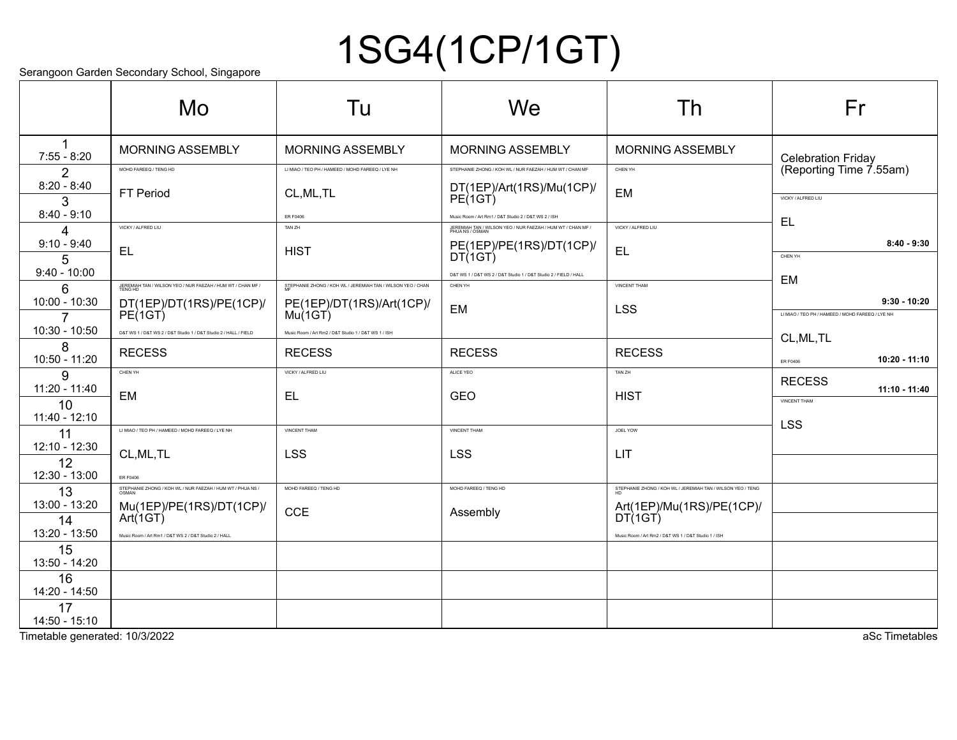# 1SG4(1CP/1GT)

Serangoon Garden Secondary School, Singapore

|                       | Mo                                                                     | Tu                                                          | We                                                                             | Th                                                          | Fr                                               |
|-----------------------|------------------------------------------------------------------------|-------------------------------------------------------------|--------------------------------------------------------------------------------|-------------------------------------------------------------|--------------------------------------------------|
| $7:55 - 8:20$         | MORNING ASSEMBLY                                                       | <b>MORNING ASSEMBLY</b>                                     | <b>MORNING ASSEMBLY</b>                                                        | MORNING ASSEMBLY                                            | <b>Celebration Friday</b>                        |
| 2                     | MOHD FAREEQ / TENG HD                                                  | LI MIAO / TEO PH / HAMEED / MOHD FAREEQ / LYE NH            | STEPHANIE ZHONG / KOH WL / NUR FAEZAH / HUM WT / CHAN MF                       | CHEN YH                                                     | (Reporting Time 7.55am)                          |
| $8:20 - 8:40$<br>3    | <b>FT Period</b>                                                       | CL, ML, TL                                                  | DT(1EP)/Art(1RS)/Mu(1CP)/<br>PE(1GT)                                           | EM                                                          | VICKY / ALFRED LIU                               |
| $8:40 - 9:10$         |                                                                        | ER F0406                                                    | Music Room / Art Rm1 / D&T Studio 2 / D&T WS 2 / ISH                           |                                                             | EL                                               |
| 4                     | VICKY / ALFRED LIU                                                     | TAN ZH                                                      | JEREMIAH TAN / WILSON YEO / NUR FAEZAH / HUM WT / CHAN MF /<br>PHUA NS / OSMAN | VICKY / ALFRED LIU                                          |                                                  |
| $9:10 - 9:40$<br>5    | <b>EL</b>                                                              | <b>HIST</b>                                                 | PE(1EP)/PE(1RS)/DT(1CP)/<br>DT(1GT)                                            | EL                                                          | $8:40 - 9:30$<br>CHEN YH                         |
| $9:40 - 10:00$        |                                                                        |                                                             | D&T WS 1 / D&T WS 2 / D&T Studio 1 / D&T Studio 2 / FIELD / HALL               |                                                             | <b>EM</b>                                        |
| 6                     | JEREMIAH TAN / WILSON YEO / NUR FAEZAH / HUM WT / CHAN MF /<br>TENG HD | STEPHANIE ZHONG / KOH WL / JEREMIAH TAN / WILSON YEO / CHAN | CHEN YH                                                                        | VINCENT THAM                                                |                                                  |
| 10:00 - 10:30         | DT(1EP)/DT(1RS)/PE(1CP)/<br>PE(1GT)                                    | PE(1EP)/DT(1RS)/Art(1CP)/<br>Mu(1GT)                        | <b>EM</b>                                                                      | <b>LSS</b>                                                  | $9:30 - 10:20$                                   |
| 7                     |                                                                        |                                                             |                                                                                |                                                             | LI MIAO / TEO PH / HAMEED / MOHD FAREEQ / LYE NH |
| 10:30 - 10:50         | D&T WS 1 / D&T WS 2 / D&T Studio 1 / D&T Studio 2 / HALL / FIELD       | Music Room / Art Rm2 / D&T Studio 1 / D&T WS 1 / ISH        |                                                                                |                                                             | CL, ML, TL                                       |
| 8<br>10:50 - 11:20    | <b>RECESS</b>                                                          | <b>RECESS</b>                                               | <b>RECESS</b>                                                                  | <b>RECESS</b>                                               | 10:20 - 11:10<br><b>ER F0406</b>                 |
| 9                     | CHEN YH                                                                | VICKY / ALFRED LIU                                          | ALICE YEO                                                                      | TAN ZH                                                      | <b>RECESS</b>                                    |
| 11:20 - 11:40         | EM                                                                     | EL.                                                         | <b>GEO</b>                                                                     | <b>HIST</b>                                                 | 11:10 - 11:40<br><b>VINCENT THAM</b>             |
| 10<br>11:40 - 12:10   |                                                                        |                                                             |                                                                                |                                                             | <b>LSS</b>                                       |
| 11                    | LI MIAO / TEO PH / HAMEED / MOHD FAREEQ / LYE NH                       | <b>VINCENT THAM</b>                                         | VINCENT THAM                                                                   | JOEL YOW                                                    |                                                  |
| 12:10 - 12:30         | CL, ML, TL                                                             | <b>LSS</b>                                                  | <b>LSS</b>                                                                     | LIT                                                         |                                                  |
| 12<br>12:30 - 13:00   | <b>ER F0406</b>                                                        |                                                             |                                                                                |                                                             |                                                  |
| 13                    | STEPHANIE ZHONG / KOH WL / NUR FAEZAH / HUM WT / PHUA NS /             | MOHD FAREEQ / TENG HD                                       | MOHD FAREEQ / TENG HD                                                          | STEPHANIE ZHONG / KOH WL / JEREMIAH TAN / WILSON YEO / TENG |                                                  |
| 13:00 - 13:20         | Mu(1EP)/PE(1RS)/DT(1CP)/                                               |                                                             |                                                                                | Art(1EP)/Mu(1RS)/PE(1CP)/                                   |                                                  |
| 14                    | Art(1GT)                                                               | <b>CCE</b>                                                  | Assembly                                                                       | DT(1GT)                                                     |                                                  |
| 13:20 - 13:50         | Music Room / Art Rm1 / D&T WS 2 / D&T Studio 2 / HALL                  |                                                             |                                                                                | Music Room / Art Rm2 / D&T WS 1 / D&T Studio 1 / ISH        |                                                  |
| 15<br>13:50 - 14:20   |                                                                        |                                                             |                                                                                |                                                             |                                                  |
| 16<br>14:20 - 14:50   |                                                                        |                                                             |                                                                                |                                                             |                                                  |
| 17<br>$14:50 - 15:10$ |                                                                        |                                                             |                                                                                |                                                             |                                                  |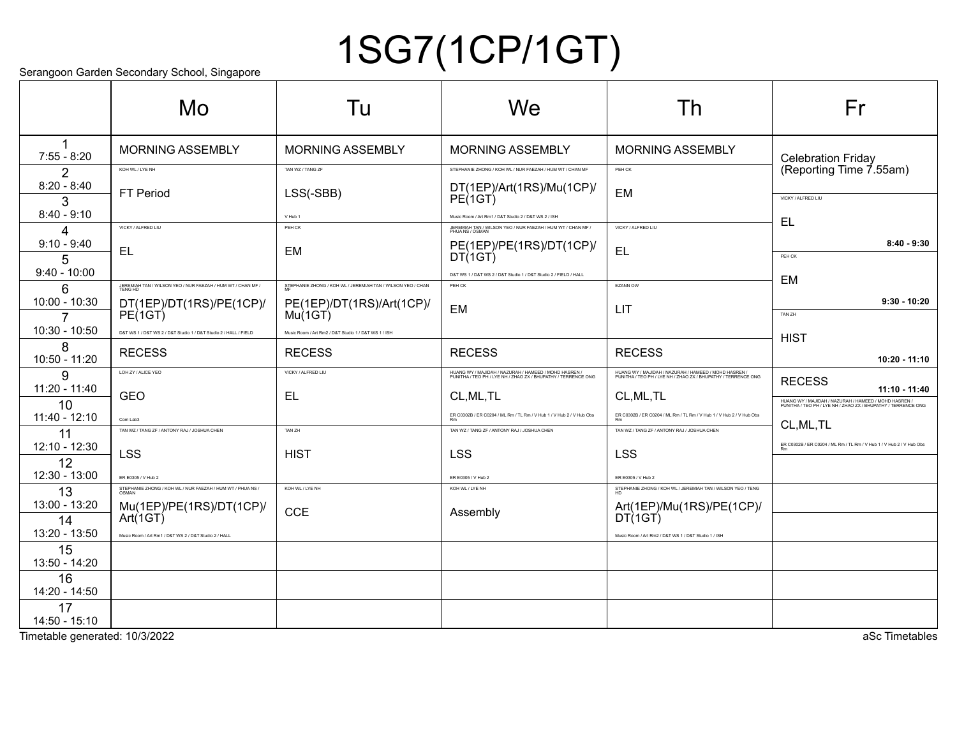# 1SG7(1CP/1GT)

Serangoon Garden Secondary School, Singapore

|                       | Mo                                                                     | Tu                                                          | We                                                                                                                     | Th                                                                                                                     | Fr                                                                                                                     |
|-----------------------|------------------------------------------------------------------------|-------------------------------------------------------------|------------------------------------------------------------------------------------------------------------------------|------------------------------------------------------------------------------------------------------------------------|------------------------------------------------------------------------------------------------------------------------|
| $7:55 - 8:20$         | <b>MORNING ASSEMBLY</b>                                                | <b>MORNING ASSEMBLY</b>                                     | <b>MORNING ASSEMBLY</b>                                                                                                | <b>MORNING ASSEMBLY</b>                                                                                                | <b>Celebration Friday</b>                                                                                              |
| 2                     | KOH WL / LYE NH                                                        | TAN WZ / TANG ZF                                            | STEPHANIE ZHONG / KOH WL / NUR FAEZAH / HUM WT / CHAN MF                                                               | PEH CK                                                                                                                 | (Reporting Time 7.55am)                                                                                                |
| $8:20 - 8:40$<br>3    | <b>FT Period</b>                                                       | LSS(-SBB)                                                   | DT(1EP)/Art(1RS)/Mu(1CP)/<br>PE(1GT)                                                                                   | <b>EM</b>                                                                                                              | VICKY / ALFRED LIU                                                                                                     |
| $8:40 - 9:10$         |                                                                        | V Hub 1                                                     | Music Room / Art Rm1 / D&T Studio 2 / D&T WS 2 / ISH                                                                   |                                                                                                                        |                                                                                                                        |
| 4                     | VICKY / ALFRED LIU                                                     | PEH CK                                                      | JEREMIAH TAN / WILSON YEO / NUR FAEZAH / HUM WT / CHAN MF /<br>PHUA NS / OSMAN                                         | VICKY / ALFRED LIU                                                                                                     | EL                                                                                                                     |
| $9:10 - 9:40$<br>5    | <b>EL</b>                                                              | <b>EM</b>                                                   | PE(1EP)/PE(1RS)/DT(1CP)/<br>DT(1GT)                                                                                    | EL                                                                                                                     | $8:40 - 9:30$<br>PEH CK                                                                                                |
| $9:40 - 10:00$        |                                                                        |                                                             | D&T WS 1 / D&T WS 2 / D&T Studio 1 / D&T Studio 2 / FIELD / HALL                                                       |                                                                                                                        |                                                                                                                        |
| 6                     | JEREMIAH TAN / WILSON YEO / NUR FAEZAH / HUM WT / CHAN MF /<br>TENG HD | STEPHANIE ZHONG / KOH WL / JEREMIAH TAN / WILSON YEO / CHAN | PEH CK                                                                                                                 | EZANN OW                                                                                                               | <b>EM</b>                                                                                                              |
| 10:00 - 10:30         | DT(1EP)/DT(1RS)/PE(1CP)/                                               | PE(1EP)/DT(1RS)/Art(1CP)/<br>Mu(1GT)                        | <b>EM</b>                                                                                                              | LIT                                                                                                                    | $9:30 - 10:20$                                                                                                         |
|                       | $PE$ $(1GT)$                                                           |                                                             |                                                                                                                        |                                                                                                                        | TAN ZH                                                                                                                 |
| 10:30 - 10:50         | D&T WS 1 / D&T WS 2 / D&T Studio 1 / D&T Studio 2 / HALL / FIELD       | Music Room / Art Rm2 / D&T Studio 1 / D&T WS 1 / ISH        |                                                                                                                        |                                                                                                                        | <b>HIST</b>                                                                                                            |
| 8<br>10:50 - 11:20    | <b>RECESS</b>                                                          | <b>RECESS</b>                                               | <b>RECESS</b>                                                                                                          | <b>RECESS</b>                                                                                                          | 10:20 - 11:10                                                                                                          |
| 9                     | LOH ZY / ALICE YEO                                                     | VICKY / ALFRED LIU                                          | HUANG WY / MAJIDAH / NAZURAH / HAMEED / MOHD HASREN /<br>PUNITHA / TEO PH / LYE NH / ZHAO ZX / BHUPATHY / TERRENCE ONG | HUANG WY / MAJIDAH / NAZURAH / HAMEED / MOHD HASREN /<br>PUNITHA / TEO PH / LYE NH / ZHAO ZX / BHUPATHY / TERRENCE ONG | <b>RECESS</b>                                                                                                          |
| 11:20 - 11:40         | <b>GEO</b>                                                             | EL                                                          | CL, ML, TL                                                                                                             | CL, ML, TL                                                                                                             | $11:10 - 11:40$                                                                                                        |
| 10<br>11:40 - 12:10   |                                                                        |                                                             | ER C0302B / ER C0204 / ML Rm / TL Rm / V Hub 1 / V Hub 2 / V Hub Obs                                                   | ER C0302B / ER C0204 / ML Rm / TL Rm / V Hub 1 / V Hub 2 / V Hub Obs                                                   | HUANG WY / MAJIDAH / NAZURAH / HAMEED / MOHD HASREN /<br>PUNITHA / TEO PH / LYE NH / ZHAO ZX / BHUPATHY / TERRENCE ONG |
| 11                    | Com Lab3<br>TAN WZ / TANG ZF / ANTONY RAJ / JOSHUA CHEN                | TAN ZH                                                      | TAN WZ / TANG ZF / ANTONY RAJ / JOSHUA CHEN                                                                            | TAN WZ / TANG ZF / ANTONY RAJ / JOSHUA CHEN                                                                            | CL, ML, TL                                                                                                             |
| 12:10 - 12:30         |                                                                        |                                                             |                                                                                                                        |                                                                                                                        | ER C0302B / ER C0204 / ML Rm / TL Rm / V Hub 1 / V Hub 2 / V Hub Obs                                                   |
| 12                    | LSS                                                                    | <b>HIST</b>                                                 | <b>LSS</b>                                                                                                             | LSS                                                                                                                    |                                                                                                                        |
| 12:30 - 13:00         | ER E0305 / V Hub 2                                                     |                                                             | ER E0305 / V Hub 2                                                                                                     | ER E0305 / V Hub 2                                                                                                     |                                                                                                                        |
| 13                    | STEPHANIE ZHONG / KOH WL / NUR FAEZAH / HUM WT / PHUA NS /             | KOH WL / LYE NH                                             | KOH WL / LYE NH                                                                                                        | STEPHANIE ZHONG / KOH WL / JEREMIAH TAN / WILSON YEO / TENG                                                            |                                                                                                                        |
| 13:00 - 13:20         | Mu(1EP)/PE(1RS)/DT(1CP)/<br>Art(1GT)                                   | <b>CCE</b>                                                  | Assembly                                                                                                               | Art(1EP)/Mu(1RS)/PE(1CP)/<br>DT(1GT)                                                                                   |                                                                                                                        |
| 14<br>13:20 - 13:50   | Music Room / Art Rm1 / D&T WS 2 / D&T Studio 2 / HALL                  |                                                             |                                                                                                                        |                                                                                                                        |                                                                                                                        |
| 15                    |                                                                        |                                                             |                                                                                                                        | Music Room / Art Rm2 / D&T WS 1 / D&T Studio 1 / ISH                                                                   |                                                                                                                        |
| 13:50 - 14:20         |                                                                        |                                                             |                                                                                                                        |                                                                                                                        |                                                                                                                        |
| 16<br>14:20 - 14:50   |                                                                        |                                                             |                                                                                                                        |                                                                                                                        |                                                                                                                        |
| 17<br>$14:50 - 15:10$ |                                                                        |                                                             |                                                                                                                        |                                                                                                                        |                                                                                                                        |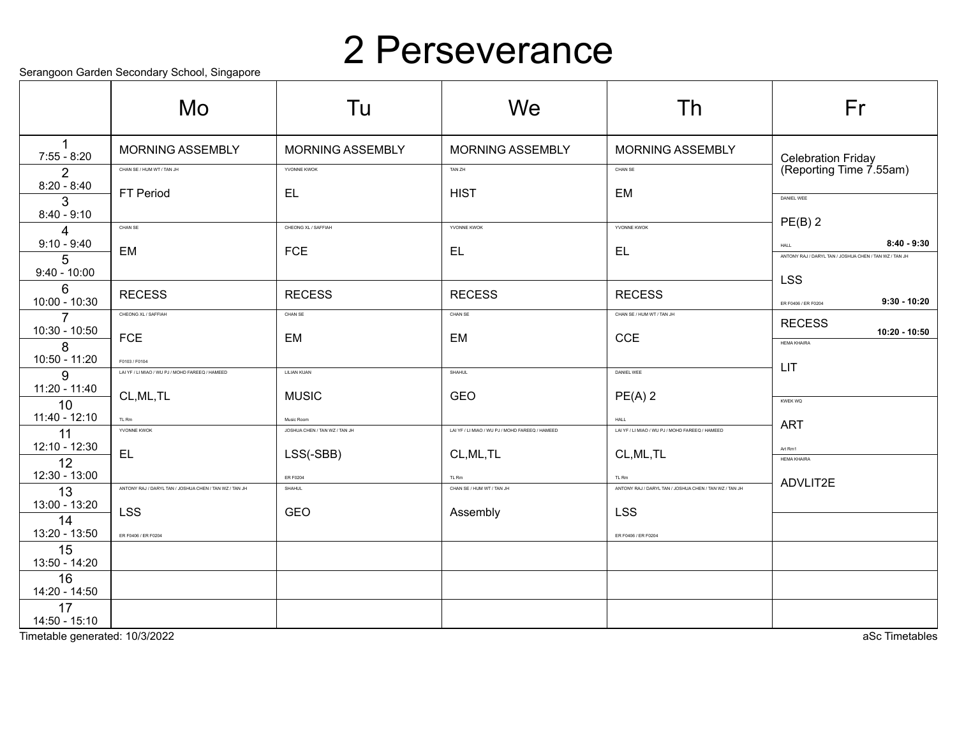#### 2 Perseverance

Serangoon Garden Secondary School, Singapore

|                                 | Mo                                                               | Tu                                          | We                                              | Th                                                      | Fr                                                     |
|---------------------------------|------------------------------------------------------------------|---------------------------------------------|-------------------------------------------------|---------------------------------------------------------|--------------------------------------------------------|
| $7:55 - 8:20$                   | <b>MORNING ASSEMBLY</b>                                          | <b>MORNING ASSEMBLY</b>                     | <b>MORNING ASSEMBLY</b>                         | <b>MORNING ASSEMBLY</b>                                 | Celebration Friday<br>(Reporting Time 7.55am)          |
| 2<br>$8:20 - 8:40$              | CHAN SE / HUM WT / TAN JH                                        | YVONNE KWOK                                 | TAN ZH                                          | CHAN SE                                                 |                                                        |
| 3<br>$8:40 - 9:10$              | FT Period                                                        | EL.                                         | <b>HIST</b>                                     | EM                                                      | DANIEL WEE                                             |
| $\overline{A}$                  | CHAN SE                                                          | CHEONG XL / SAFFIAH                         | YVONNE KWOK                                     | YVONNE KWOK                                             | $PE(B)$ 2                                              |
| $9:10 - 9:40$                   | EM                                                               | <b>FCE</b>                                  | EL                                              | EL                                                      | $8:40 - 9:30$<br>HALL                                  |
| 5<br>$9:40 - 10:00$             |                                                                  |                                             |                                                 |                                                         | ANTONY RAJ / DARYL TAN / JOSHUA CHEN / TAN WZ / TAN JH |
| 6                               | <b>RECESS</b>                                                    | <b>RECESS</b>                               | <b>RECESS</b>                                   | <b>RECESS</b>                                           | <b>LSS</b>                                             |
| 10:00 - 10:30                   | CHEONG XL / SAFFIAH                                              | CHAN SE                                     | CHAN SE                                         | CHAN SE / HUM WT / TAN JH                               | $9:30 - 10:20$<br>ER F0406 / ER F0204                  |
| $\overline{7}$<br>10:30 - 10:50 |                                                                  |                                             |                                                 |                                                         | <b>RECESS</b><br>$10:20 - 10:50$                       |
| 8                               | <b>FCE</b>                                                       | EM                                          | EM                                              | <b>CCE</b>                                              | <b>HEMA KHAIRA</b>                                     |
| 10:50 - 11:20<br>9              | F0103 / F0104<br>LAI YF / LI MIAO / WU PJ / MOHD FAREEQ / HAMEED | LILIAN KUAN                                 | SHAHUL                                          | DANIEL WEE                                              | LIT                                                    |
| 11:20 - 11:40                   | CL, ML, TL                                                       | <b>MUSIC</b>                                | <b>GEO</b>                                      | $PE(A)$ 2                                               |                                                        |
| 10<br>11:40 - 12:10             |                                                                  |                                             |                                                 |                                                         | <b>KWEK WQ</b>                                         |
| 11                              | TL Rm<br>YVONNE KWOK                                             | Music Room<br>JOSHUA CHEN / TAN WZ / TAN JH | LAI YF / LI MIAO / WU PJ / MOHD FAREEQ / HAMEED | HALL<br>LAI YF / LI MIAO / WU PJ / MOHD FAREEQ / HAMEED | <b>ART</b>                                             |
| 12:10 - 12:30                   | <b>EL</b>                                                        | LSS(-SBB)                                   | CL, ML, TL                                      | CL, ML, TL                                              | Art Rm1                                                |
| 12<br>12:30 - 13:00             |                                                                  | <b>ER F0204</b>                             | TL Rm                                           | TL Rm                                                   | <b>HEMA KHAIRA</b>                                     |
| 13                              | ANTONY RAJ / DARYL TAN / JOSHUA CHEN / TAN WZ / TAN JH           | SHAHUL                                      | CHAN SE / HUM WT / TAN JH                       | ANTONY RAJ / DARYL TAN / JOSHUA CHEN / TAN WZ / TAN JH  | ADVLIT2E                                               |
| 13:00 - 13:20                   | <b>LSS</b>                                                       | GEO                                         | Assembly                                        | <b>LSS</b>                                              |                                                        |
| 14<br>13:20 - 13:50             | ER F0406 / ER F0204                                              |                                             |                                                 | ER F0406 / ER F0204                                     |                                                        |
| 15<br>13:50 - 14:20             |                                                                  |                                             |                                                 |                                                         |                                                        |
| 16<br>14:20 - 14:50             |                                                                  |                                             |                                                 |                                                         |                                                        |
| 17<br>$14:50 - 15:10$           |                                                                  |                                             |                                                 |                                                         |                                                        |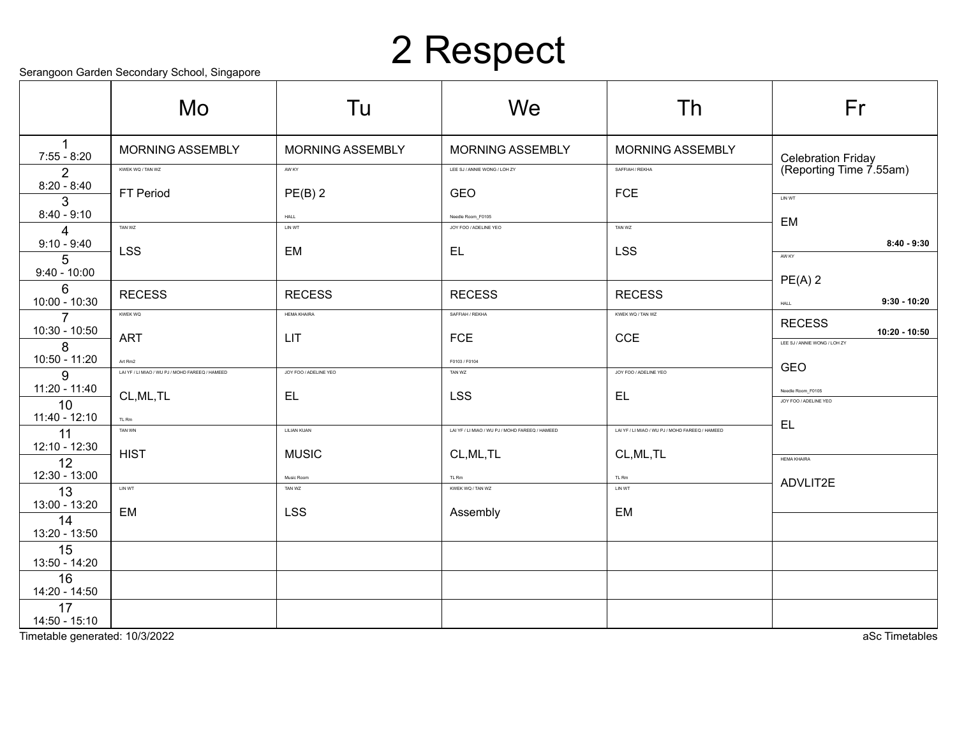## 2 Respect

Serangoon Garden Secondary School, Singapore

|                     | sorangoon Saraon Soconaary Sonoor, Singaporo<br>Mo | Tu                    | We                                              | Th                                              | Fr                                              |
|---------------------|----------------------------------------------------|-----------------------|-------------------------------------------------|-------------------------------------------------|-------------------------------------------------|
| 1<br>$7:55 - 8:20$  | <b>MORNING ASSEMBLY</b>                            | MORNING ASSEMBLY      | <b>MORNING ASSEMBLY</b>                         | <b>MORNING ASSEMBLY</b>                         |                                                 |
| $\overline{2}$      | KWEK WQ / TAN WZ                                   | AW KY                 | LEE SJ / ANNIE WONG / LOH ZY                    | SAFFIAH / REKHA                                 | Celebration Friday<br>(Reporting Time 7.55am)   |
| $8:20 - 8:40$<br>3  | FT Period                                          | $PE(B)$ 2             | GEO                                             | <b>FCE</b>                                      | LIN WT                                          |
| $8:40 - 9:10$       |                                                    | <b>HALL</b>           | Needle Room_F0105                               |                                                 | EM                                              |
| 4<br>$9:10 - 9:40$  | TAN WZ<br><b>LSS</b>                               | LIN WT<br>EM          | JOY FOO / ADELINE YEO<br>EL.                    | TAN WZ<br><b>LSS</b>                            | $8:40 - 9:30$<br>AW KY                          |
| 5<br>$9:40 - 10:00$ |                                                    |                       |                                                 |                                                 | $PE(A)$ 2                                       |
| 6<br>10:00 - 10:30  | <b>RECESS</b>                                      | <b>RECESS</b>         | <b>RECESS</b>                                   | <b>RECESS</b>                                   | $9:30 - 10:20$<br>HALL                          |
| $\overline{7}$      | <b>KWEK WQ</b>                                     | <b>HEMA KHAIRA</b>    | SAFFIAH / REKHA                                 | KWEK WQ / TAN WZ                                | <b>RECESS</b>                                   |
| 10:30 - 10:50<br>8  | <b>ART</b>                                         | LIT                   | <b>FCE</b>                                      | CCE                                             | $10:20 - 10:50$<br>LEE SJ / ANNIE WONG / LOH ZY |
| 10:50 - 11:20       | Art Rm2                                            |                       | F0103 / F0104                                   | JOY FOO / ADELINE YEO                           | <b>GEO</b>                                      |
| 9<br>11:20 - 11:40  | LAI YF / LI MIAO / WU PJ / MOHD FAREEQ / HAMEED    | JOY FOO / ADELINE YEO | TAN WZ                                          |                                                 |                                                 |
| 10                  | CL, ML, TL                                         | EL.                   | <b>LSS</b>                                      | EL                                              | Needle Room_F0105<br>JOY FOO / ADELINE YEO      |
| 11:40 - 12:10<br>11 | TL Rm<br>TAN WN                                    | LILIAN KUAN           | LAI YF / LI MIAO / WU PJ / MOHD FAREEQ / HAMEED | LAI YF / LI MIAO / WU PJ / MOHD FAREEQ / HAMEED | EL,                                             |
| 12:10 - 12:30<br>12 | <b>HIST</b>                                        | <b>MUSIC</b>          | CL, ML, TL                                      | CL, ML, TL                                      | <b>HEMA KHAIRA</b>                              |
| 12:30 - 13:00       |                                                    | Music Room            | TL Rm                                           | TL Rm                                           |                                                 |
| 13<br>13:00 - 13:20 | LIN WT                                             | TAN WZ                | KWEK WQ / TAN WZ                                | LIN WT                                          | ADVLIT2E                                        |
| 14<br>13:20 - 13:50 | EM                                                 | <b>LSS</b>            | Assembly                                        | EM                                              |                                                 |
| 15<br>13:50 - 14:20 |                                                    |                       |                                                 |                                                 |                                                 |
| 16<br>14:20 - 14:50 |                                                    |                       |                                                 |                                                 |                                                 |
| 17<br>14:50 - 15:10 |                                                    |                       |                                                 |                                                 |                                                 |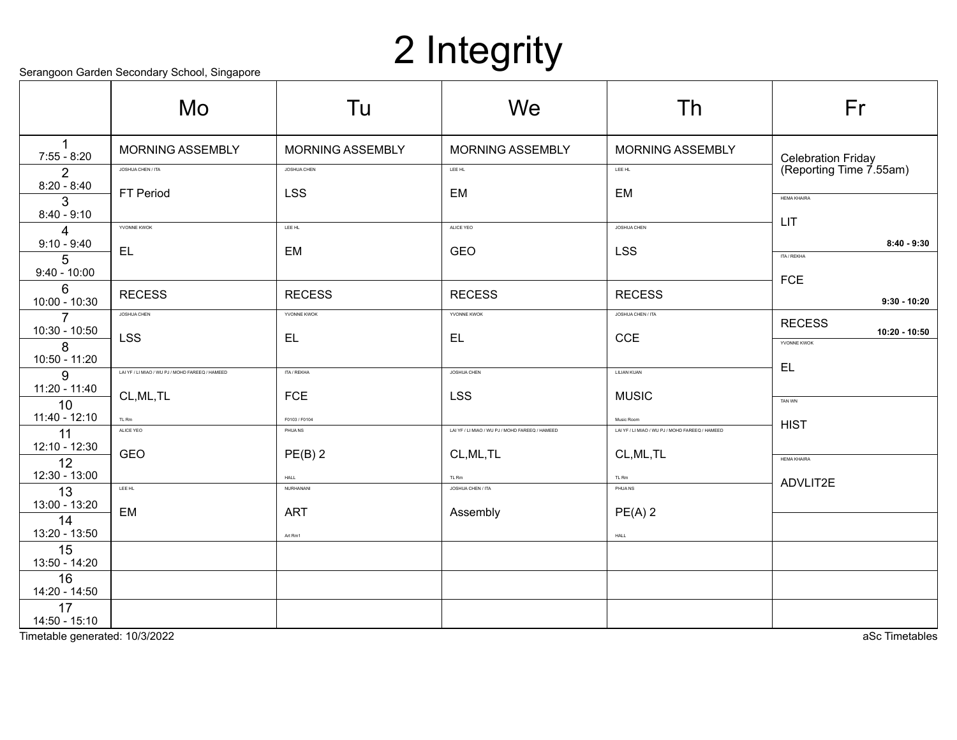# 2 Integrity

|  |  | Serangoon Garden Secondary School, Singapore |  |
|--|--|----------------------------------------------|--|
|  |  |                                              |  |

|                                      | colarigoon carach occoniaary concol, omgaporo<br>Mo | Tu                      | We                                              | Th                                              | Fr                                            |
|--------------------------------------|-----------------------------------------------------|-------------------------|-------------------------------------------------|-------------------------------------------------|-----------------------------------------------|
| 1<br>$7:55 - 8:20$                   | <b>MORNING ASSEMBLY</b>                             | <b>MORNING ASSEMBLY</b> | <b>MORNING ASSEMBLY</b>                         | <b>MORNING ASSEMBLY</b>                         |                                               |
| $\overline{2}$                       | JOSHUA CHEN / ITA                                   | JOSHUA CHEN             | LEE HL                                          | LEE HL                                          | Celebration Friday<br>(Reporting Time 7.55am) |
| $8:20 - 8:40$<br>3                   | FT Period                                           | <b>LSS</b>              | <b>EM</b>                                       | EM                                              | <b>HEMA KHAIRA</b>                            |
| $8:40 - 9:10$                        | YVONNE KWOK                                         | LEE HL                  | ALICE YEO                                       | <b>JOSHUA CHEN</b>                              | LIT                                           |
| 4<br>$9:10 - 9:40$                   |                                                     |                         |                                                 |                                                 | $8:40 - 9:30$                                 |
| 5                                    | EL                                                  | EM                      | GEO                                             | <b>LSS</b>                                      | ITA / REKHA                                   |
| $9:40 - 10:00$                       |                                                     |                         |                                                 |                                                 | <b>FCE</b>                                    |
| 6<br>10:00 - 10:30                   | <b>RECESS</b>                                       | <b>RECESS</b>           | <b>RECESS</b>                                   | <b>RECESS</b>                                   | $9:30 - 10:20$                                |
| $\overline{7}$                       | <b>JOSHUA CHEN</b>                                  | YVONNE KWOK             | YVONNE KWOK                                     | JOSHUA CHEN / ITA                               | <b>RECESS</b>                                 |
| 10:30 - 10:50                        | <b>LSS</b>                                          | EL.                     | <b>EL</b>                                       | CCE                                             | $10:20 - 10:50$<br>YVONNE KWOK                |
| 8<br>10:50 - 11:20                   |                                                     |                         |                                                 |                                                 |                                               |
| 9                                    | LAI YF / LI MIAO / WU PJ / MOHD FAREEQ / HAMEED     | ITA / REKHA             | JOSHUA CHEN                                     | LILIAN KUAN                                     | EL                                            |
| 11:20 - 11:40                        | CL, ML, TL                                          | <b>FCE</b>              | <b>LSS</b>                                      | <b>MUSIC</b>                                    | TAN WN                                        |
| 10<br>11:40 - 12:10                  | TL Rm                                               | F0103 / F0104           |                                                 | Music Room                                      |                                               |
| 11                                   | ALICE YEO                                           | PHUANS                  | LAI YF / LI MIAO / WU PJ / MOHD FAREEQ / HAMEED | LAI YF / LI MIAO / WU PJ / MOHD FAREEQ / HAMEED | <b>HIST</b>                                   |
| 12:10 - 12:30                        | <b>GEO</b>                                          | $PE(B)$ 2               | CL, ML, TL                                      | CL, ML, TL                                      | <b>HEMA KHAIRA</b>                            |
| 12<br>12:30 - 13:00                  |                                                     | HALL                    | TL Rm                                           | TL Rm                                           |                                               |
| 13                                   | LEE HL                                              | NURHANANI               | JOSHUA CHEN / ITA                               | PHUANS                                          | ADVLIT2E                                      |
| 13:00 - 13:20                        | EM                                                  | <b>ART</b>              | Assembly                                        | $PE(A)$ 2                                       |                                               |
| 14<br>13:20 - 13:50                  |                                                     | Art Rm1                 |                                                 | ${\sf HALL}$                                    |                                               |
| 15<br>13:50 - 14:20                  |                                                     |                         |                                                 |                                                 |                                               |
| 16                                   |                                                     |                         |                                                 |                                                 |                                               |
| 14:20 - 14:50<br>17<br>14:50 - 15:10 |                                                     |                         |                                                 |                                                 |                                               |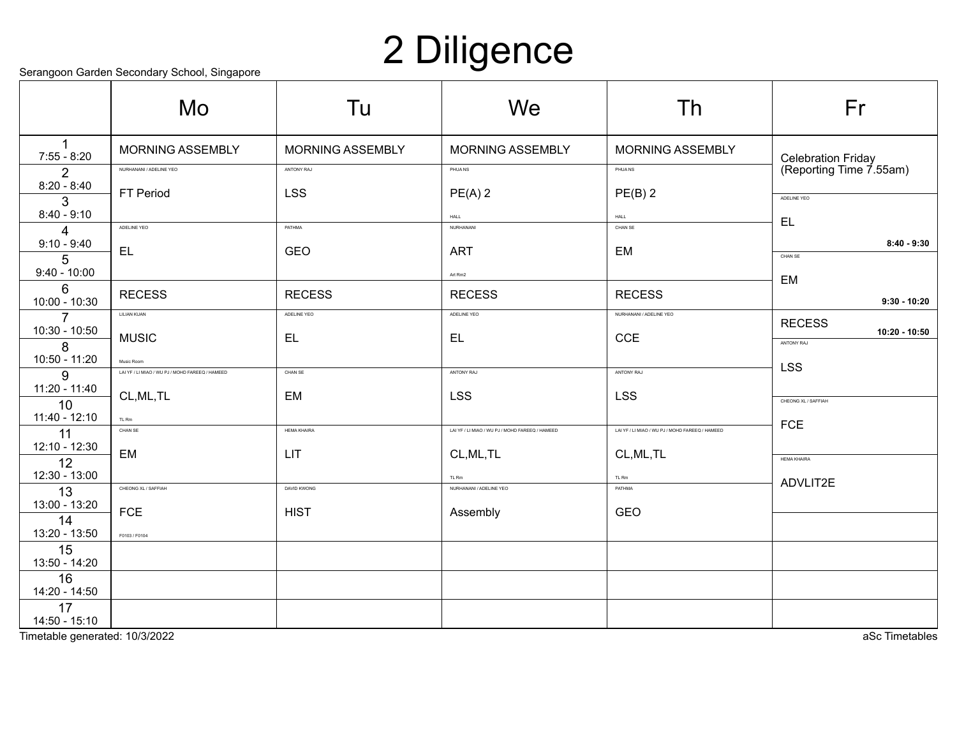## 2 Diligence

Serangoon Garden Secondary School, Singapore

|                     | colunguon caladh coconadh conodi, cingapolo<br>Mo | Tu                       | We                                              | Th                                              | Fr                                            |
|---------------------|---------------------------------------------------|--------------------------|-------------------------------------------------|-------------------------------------------------|-----------------------------------------------|
| 1<br>$7:55 - 8:20$  | <b>MORNING ASSEMBLY</b>                           | <b>MORNING ASSEMBLY</b>  | <b>MORNING ASSEMBLY</b>                         | <b>MORNING ASSEMBLY</b>                         |                                               |
| 2                   | NURHANANI / ADELINE YEO                           | ANTONY RAJ               | <b>PHUANS</b>                                   | PHUANS                                          | Celebration Friday<br>(Reporting Time 7.55am) |
| $8:20 - 8:40$<br>3  | FT Period                                         | <b>LSS</b>               | $PE(A)$ 2                                       | $PE(B)$ 2                                       | ADELINE YEO                                   |
| $8:40 - 9:10$       | ADELINE YEO                                       | PATHMA                   | HALL<br>NURHANANI                               | HALL<br>CHAN SE                                 | EL.                                           |
| 4<br>$9:10 - 9:40$  |                                                   |                          |                                                 |                                                 | $8:40 - 9:30$                                 |
| 5                   | EL.                                               | <b>GEO</b>               | <b>ART</b>                                      | EM                                              | CHAN SE                                       |
| $9:40 - 10:00$      |                                                   |                          | Art Rm2                                         |                                                 | EM                                            |
| 6<br>10:00 - 10:30  | <b>RECESS</b>                                     | <b>RECESS</b>            | <b>RECESS</b>                                   | <b>RECESS</b>                                   | $9:30 - 10:20$                                |
| $\overline{7}$      | LILIAN KUAN                                       | ADELINE YEO              | ADELINE YEO                                     | NURHANANI / ADELINE YEO                         | <b>RECESS</b>                                 |
| 10:30 - 10:50<br>8  | <b>MUSIC</b>                                      | EL                       | EL.                                             | <b>CCE</b>                                      | 10:20 - 10:50<br>ANTONY RAJ                   |
| 10:50 - 11:20       | Music Room                                        |                          |                                                 |                                                 | <b>LSS</b>                                    |
| 9                   | LAI YF / LI MIAO / WU PJ / MOHD FAREEQ / HAMEED   | $\text{CHAN}\ \text{SE}$ | ANTONY RAJ                                      | ANTONY RAJ                                      |                                               |
| 11:20 - 11:40<br>10 | CL, ML, TL                                        | EM                       | <b>LSS</b>                                      | <b>LSS</b>                                      | CHEONG XL / SAFFIAH                           |
| 11:40 - 12:10       | TL Rm                                             |                          |                                                 |                                                 | <b>FCE</b>                                    |
| 11<br>12:10 - 12:30 | CHAN SE                                           | <b>HEMA KHAIRA</b>       | LAI YF / LI MIAO / WU PJ / MOHD FAREEQ / HAMEED | LAI YF / LI MIAO / WU PJ / MOHD FAREEQ / HAMEED |                                               |
| 12                  | EM                                                | <b>LIT</b>               | CL, ML, TL                                      | CL, ML, TL                                      | <b>HEMA KHAIRA</b>                            |
| 12:30 - 13:00       |                                                   |                          | TL Rm                                           | TL Rm                                           | ADVLIT2E                                      |
| 13<br>13:00 - 13:20 | CHEONG XL / SAFFIAH                               | DAVID KWONG              | NURHANANI / ADELINE YEO                         | PATHMA                                          |                                               |
| 14                  | <b>FCE</b>                                        | <b>HIST</b>              | Assembly                                        | GEO                                             |                                               |
| 13:20 - 13:50       | F0103 / F0104                                     |                          |                                                 |                                                 |                                               |
| 15<br>13:50 - 14:20 |                                                   |                          |                                                 |                                                 |                                               |
| 16<br>14:20 - 14:50 |                                                   |                          |                                                 |                                                 |                                               |
| 17<br>14:50 - 15:10 |                                                   |                          |                                                 |                                                 |                                               |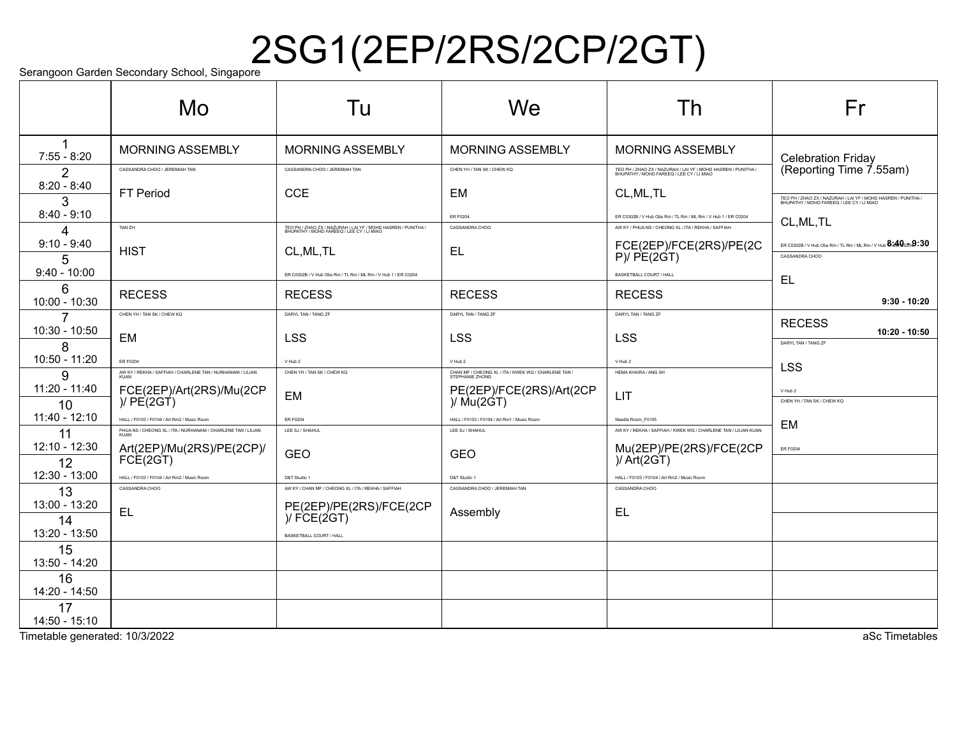# Serangoon Garden Secondary School, Singapore $2$ SG1(2EP/2RS/2CP/2GT)

|                       | Mo                                                                    | Tu                                                                                                         | We                                                                      | Th                                                                                                         | Fr                                                                                                         |
|-----------------------|-----------------------------------------------------------------------|------------------------------------------------------------------------------------------------------------|-------------------------------------------------------------------------|------------------------------------------------------------------------------------------------------------|------------------------------------------------------------------------------------------------------------|
| 1<br>$7:55 - 8:20$    | <b>MORNING ASSEMBLY</b>                                               | <b>MORNING ASSEMBLY</b>                                                                                    | <b>MORNING ASSEMBLY</b>                                                 | <b>MORNING ASSEMBLY</b>                                                                                    | <b>Celebration Friday</b>                                                                                  |
| $\overline{2}$        | CASSANDRA CHOO / JEREMIAH TAN                                         | CASSANDRA CHOO / JEREMIAH TAN                                                                              | CHEN YH / TAN SK / CHEW KQ                                              | TEO PH / ZHAO ZX / NAZURAH / LAI YF / MOHD HASREN / PUNITHA /<br>BHUPATHY / MOHD FAREEQ / LEE CY / LI MIAO | (Reporting Time 7.55am)                                                                                    |
| $8:20 - 8:40$<br>3    | <b>FT Period</b>                                                      | <b>CCE</b>                                                                                                 | <b>EM</b>                                                               | CL, ML, TL                                                                                                 | TEO PH / ZHAO ZX / NAZURAH / LAI YF / MOHD HASREN / PUNITHA /<br>BHUPATHY / MOHD FAREEQ / LEE CY / LI MIAO |
| $8:40 - 9:10$         |                                                                       |                                                                                                            | <b>ER F0204</b>                                                         | ER C0302B / V Hub Obs Rm / TL Rm / ML Rm / V Hub 1 / ER C0204                                              | CL, ML, TL                                                                                                 |
| 4                     | TAN ZH                                                                | TEO PH / ZHAO ZX / NAZURAH / LAI YF / MOHD HASREN / PUNITHA /<br>BHUPATHY / MOHD FAREEQ / LEE CY / LI MIAO | CASSANDRA CHOO                                                          | AW KY / PHUA NS / CHEONG XL / ITA / REKHA / SAFFIAH                                                        |                                                                                                            |
| $9:10 - 9:40$<br>5    | <b>HIST</b>                                                           | CL, ML, TL                                                                                                 | EL                                                                      | FCE(2EP)/FCE(2RS)/PE(2C<br>P)/PE(2GT)                                                                      | ER C0302B / V Hub Obs Rm / TL Rm / ML Rm / V Hub $\mathbf{8.40}_{20}$ $\mathbf{9.30}$<br>CASSANDRA CHOO    |
| $9:40 - 10:00$        |                                                                       | ER C0302B / V Hub Obs Rm / TL Rm / ML Rm / V Hub 1 / ER C0204                                              |                                                                         | BASKETBALL COURT / HALL                                                                                    | <b>EL</b>                                                                                                  |
| 6<br>10:00 - 10:30    | <b>RECESS</b>                                                         | <b>RECESS</b>                                                                                              | <b>RECESS</b>                                                           | <b>RECESS</b>                                                                                              | $9:30 - 10:20$                                                                                             |
| $\overline{7}$        | CHEN YH / TAN SK / CHEW KQ                                            | DARYL TAN / TANG ZF                                                                                        | DARYL TAN / TANG ZF                                                     | DARYL TAN / TANG ZF                                                                                        | <b>RECESS</b>                                                                                              |
| 10:30 - 10:50         | EM                                                                    | <b>LSS</b>                                                                                                 | <b>LSS</b>                                                              | <b>LSS</b>                                                                                                 | $10:20 - 10:50$<br>DARYL TAN / TANG ZF                                                                     |
| 8<br>10:50 - 11:20    | <b>ER F0204</b>                                                       | V Hub 2                                                                                                    | V Hub 2                                                                 | V Hub 2                                                                                                    | <b>LSS</b>                                                                                                 |
| 9                     | AW KY / REKHA / SAFFIAH / CHARLENE TAN / NURHANANI / LILIAN           | CHEN YH / TAN SK / CHEW KQ                                                                                 | CHAN MF / CHEONG XL / ITA / KWEK WQ / CHARLENE TAN /<br>STEPHANIE ZHONG | HEMA KHAIRA / ANG SH                                                                                       |                                                                                                            |
| 11:20 - 11:40<br>10   | FCE(2EP)/Art(2RS)/Mu(2CP)/<br>)/ PE(2GT)                              | <b>EM</b>                                                                                                  | PE(2EP)/FCE(2RS)/Art(2CP)<br>)/ Mu(2GT)                                 | LIT                                                                                                        | V Hub 2<br>CHEN YH / TAN SK / CHEW KQ                                                                      |
| 11:40 - 12:10         | HALL / F0103 / F0104 / Art Rm2 / Music Room                           | ER F0204                                                                                                   | HALL / F0103 / F0104 / Art Rm1 / Music Room                             | Needle Room_F0105                                                                                          | EM                                                                                                         |
| 11                    | PHUA NS / CHEONG XL / ITA / NURHANANI / CHARLENE TAN / LILIAN<br>KUAN | LEE SJ / SHAHUL                                                                                            | LEE SJ / SHAHUL                                                         | AW KY / REKHA / SAFFIAH / KWEK WQ / CHARLENE TAN / LILIAN KUAN                                             |                                                                                                            |
| 12:10 - 12:30<br>12   | Art(2EP)/Mu(2RS)/PE(2CP)/<br>FCE(2GT)                                 | <b>GEO</b>                                                                                                 | <b>GEO</b>                                                              | Mu(2EP)/PE(2RS)/FCE(2CP)<br>)/ Art(2GT)                                                                    | ER F0204                                                                                                   |
| 12:30 - 13:00         | HALL / F0103 / F0104 / Art Rm2 / Music Room                           | D&T Studio 1                                                                                               | D&T Studio 1                                                            | HALL / F0103 / F0104 / Art Rm2 / Music Room                                                                |                                                                                                            |
| 13                    | CASSANDRA CHOO                                                        | AW KY / CHAN MF / CHEONG XL / ITA / REKHA / SAFFIAH                                                        | CASSANDRA CHOO / JEREMIAH TAN                                           | CASSANDRA CHOO                                                                                             |                                                                                                            |
| 13:00 - 13:20         | <b>EL</b>                                                             | PE(2EP)/PE(2RS)/FCE(2CP)<br>)/ FCE(2GT)                                                                    | Assembly                                                                | <b>EL</b>                                                                                                  |                                                                                                            |
| 14<br>13:20 - 13:50   |                                                                       | BASKETBALL COURT / HALL                                                                                    |                                                                         |                                                                                                            |                                                                                                            |
| 15<br>13:50 - 14:20   |                                                                       |                                                                                                            |                                                                         |                                                                                                            |                                                                                                            |
| 16<br>14:20 - 14:50   |                                                                       |                                                                                                            |                                                                         |                                                                                                            |                                                                                                            |
| 17<br>$14:50 - 15:10$ |                                                                       |                                                                                                            |                                                                         |                                                                                                            |                                                                                                            |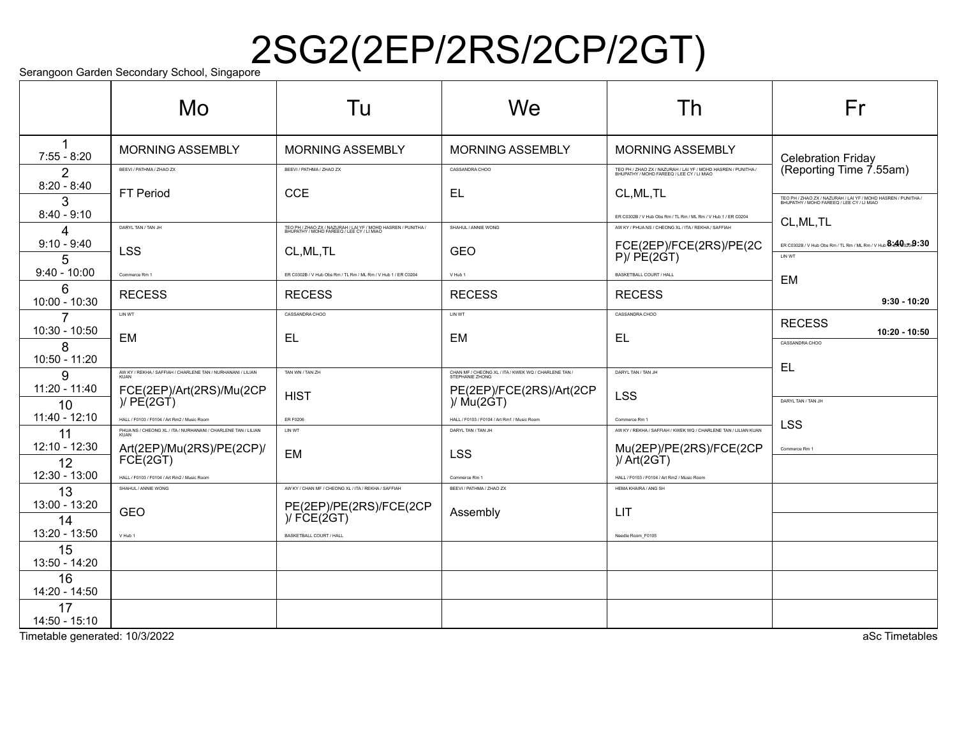# $\mathrm{S}_{\mathsf{errangoon\ Garden\ Secondary\ School,\ Singapore}} 2\mathrm{SG2}(2\mathrm{EP}/2\mathrm{RS}/2\mathrm{CP}/2\mathrm{GT})$

|                         | Mo                                                                                                           | Tu                                                                                                         | We                                                                      | Th                                                                                                                   | Fr                                                                                                                    |
|-------------------------|--------------------------------------------------------------------------------------------------------------|------------------------------------------------------------------------------------------------------------|-------------------------------------------------------------------------|----------------------------------------------------------------------------------------------------------------------|-----------------------------------------------------------------------------------------------------------------------|
| 1<br>$7:55 - 8:20$      | <b>MORNING ASSEMBLY</b>                                                                                      | <b>MORNING ASSEMBLY</b>                                                                                    | <b>MORNING ASSEMBLY</b>                                                 | <b>MORNING ASSEMBLY</b>                                                                                              | <b>Celebration Friday</b>                                                                                             |
| $\mathcal{P}$           | BEEVI / PATHMA / ZHAO ZX                                                                                     | BEEVI / PATHMA / ZHAO ZX                                                                                   | CASSANDRA CHOO                                                          | TEO PH / ZHAO ZX / NAZURAH / LAI YF / MOHD HASREN / PUNITHA /<br>BHUPATHY / MOHD FAREEQ / LEE CY / LI MIAO           | (Reporting Time 7.55am)                                                                                               |
| $8:20 - 8:40$<br>3      | FT Period                                                                                                    | <b>CCE</b>                                                                                                 | EL                                                                      | CL, ML, TL                                                                                                           | TEO PH / ZHAO ZX / NAZURAH / LAI YF / MOHD HASREN / PUNITHA /<br>BHUPATHY / MOHD FAREEQ / LEE CY / LI MIAO            |
| $8:40 - 9:10$           | DARYL TAN / TAN JH                                                                                           | TEO PH / ZHAO ZX / NAZURAH / LAI YF / MOHD HASREN / PUNITHA /<br>BHUPATHY / MOHD FAREEQ / LEE CY / LI MIAO | SHAHUL / ANNIE WONG                                                     | ER C0302B / V Hub Obs Rm / TL Rm / ML Rm / V Hub 1 / ER C0204<br>AW KY / PHUA NS / CHEONG XL / ITA / REKHA / SAFFIAH | CL, ML, TL                                                                                                            |
| 4<br>$9:10 - 9:40$<br>5 | <b>LSS</b>                                                                                                   | CL, ML, TL                                                                                                 | <b>GEO</b>                                                              | FCE(2EP)/FCE(2RS)/PE(2C<br>P)/PE(2GT)                                                                                | ER C0302B / V Hub Obs Rm / TL Rm / ML Rm / V Hub $\mathbf{8.40}_{\scriptscriptstyle{0.20}}$ $\mathbf{9.30}$<br>LIN WT |
| $9:40 - 10:00$          | Commerce Rm 1                                                                                                | ER C0302B / V Hub Obs Rm / TL Rm / ML Rm / V Hub 1 / ER C0204                                              | V Hub 1                                                                 | BASKETBALL COURT / HALL                                                                                              |                                                                                                                       |
| 6<br>10:00 - 10:30      | <b>RECESS</b>                                                                                                | <b>RECESS</b>                                                                                              | <b>RECESS</b>                                                           | <b>RECESS</b>                                                                                                        | EM<br>$9:30 - 10:20$                                                                                                  |
| 7<br>10:30 - 10:50      | LIN WT                                                                                                       | CASSANDRA CHOO                                                                                             | LIN WT                                                                  | CASSANDRA CHOO                                                                                                       | <b>RECESS</b><br>$10:20 - 10:50$                                                                                      |
| 8<br>10:50 - 11:20      | EM                                                                                                           | <b>EL</b>                                                                                                  | <b>EM</b>                                                               | <b>EL</b>                                                                                                            | CASSANDRA CHOO                                                                                                        |
| 9                       | AW KY / REKHA / SAFFIAH / CHARLENE TAN / NURHANANI / LILIAN                                                  | TAN WN / TAN ZH                                                                                            | CHAN MF / CHEONG XL / ITA / KWEK WQ / CHARLENE TAN /<br>STEPHANIE ZHONG | DARYL TAN / TAN JH                                                                                                   | EL                                                                                                                    |
| $11:20 - 11:40$<br>10   | FCE(2EP)/Art(2RS)/Mu(2CP)/<br>)/ PE(2GT)                                                                     | <b>HIST</b>                                                                                                | PE(2EP)/FCE(2RS)/Art(2CP)<br>)/ Mu(2GT)                                 | <b>LSS</b>                                                                                                           | DARYL TAN / TAN JH                                                                                                    |
| $11:40 - 12:10$<br>11   | HALL / F0103 / F0104 / Art Rm2 / Music Room<br>PHUA NS / CHEONG XL / ITA / NURHANANI / CHARLENE TAN / LILIAN | ER F0206<br>LIN WT                                                                                         | HALL / F0103 / F0104 / Art Rm1 / Music Room<br>DARYL TAN / TAN JH       | Commerce Rm 1<br>AW KY / REKHA / SAFFIAH / KWEK WQ / CHARLENE TAN / LILIAN KUAN                                      | <b>LSS</b>                                                                                                            |
| 12:10 - 12:30<br>12     | Art(2EP)/Mu(2RS)/PE(2CP)/<br>FCE(2GT)                                                                        | EM                                                                                                         | <b>LSS</b>                                                              | Mu(2EP)/PE(2RS)/FCE(2CP)<br>)/ Art(2GT)                                                                              | Commerce Rm 1                                                                                                         |
| 12:30 - 13:00           | HALL / F0103 / F0104 / Art Rm2 / Music Room                                                                  |                                                                                                            | Commerce Rm 1                                                           | HALL / F0103 / F0104 / Art Rm2 / Music Room                                                                          |                                                                                                                       |
| 13                      | SHAHUL / ANNIE WONG                                                                                          | AW KY / CHAN MF / CHEONG XL / ITA / REKHA / SAFFIAH                                                        | BEEVI / PATHMA / ZHAO ZX                                                | HEMA KHAIRA / ANG SH                                                                                                 |                                                                                                                       |
| 13:00 - 13:20<br>14     | <b>GEO</b>                                                                                                   | PE(2EP)/PE(2RS)/FCE(2CP)<br>)/FCE(2GT)                                                                     | Assembly                                                                | <b>LIT</b>                                                                                                           |                                                                                                                       |
| 13:20 - 13:50           | V Hub 1                                                                                                      | BASKETBALL COURT / HALL                                                                                    |                                                                         | Needle Room_F0105                                                                                                    |                                                                                                                       |
| 15<br>13:50 - 14:20     |                                                                                                              |                                                                                                            |                                                                         |                                                                                                                      |                                                                                                                       |
| 16<br>14:20 - 14:50     |                                                                                                              |                                                                                                            |                                                                         |                                                                                                                      |                                                                                                                       |
| 17<br>14:50 - 15:10     |                                                                                                              |                                                                                                            |                                                                         |                                                                                                                      |                                                                                                                       |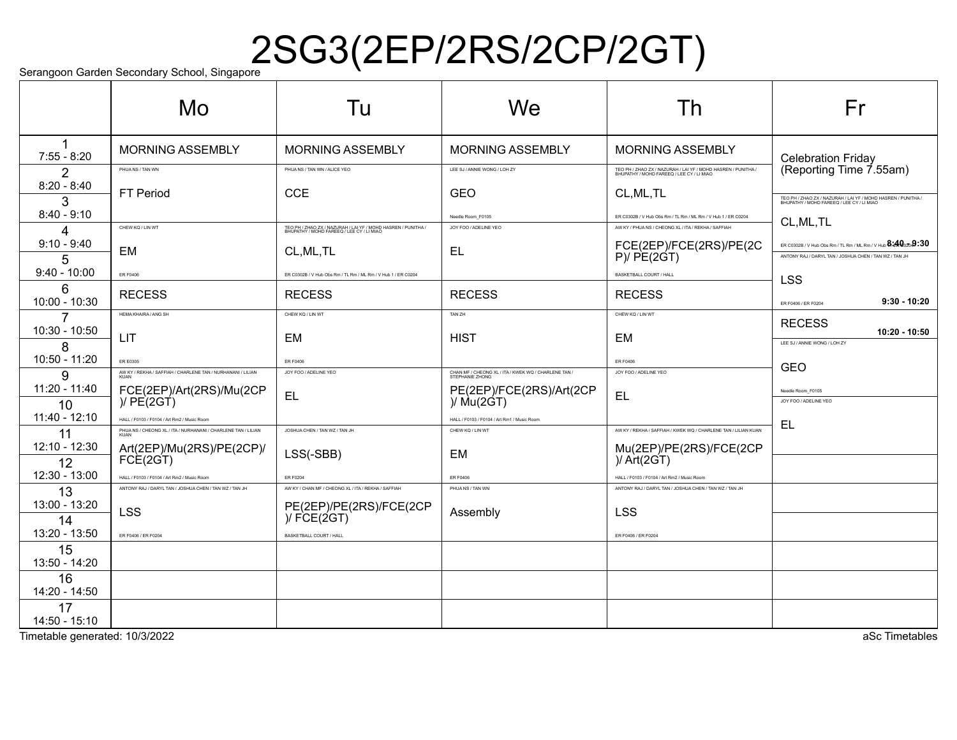# $\mathrm{S}_{\mathsf{errangoon\ Garden\ Secondary\ School,\ Singapore}} 2\mathrm{SG3}(2\mathrm{EP}/2\mathrm{RS}/2\mathrm{CP}/2\mathrm{GT})$

|                       | Mo                                                                  | Tu                                                                                                         | We                                                                      | Th                                                                                                         | Fr                                                                                                                                                                                             |
|-----------------------|---------------------------------------------------------------------|------------------------------------------------------------------------------------------------------------|-------------------------------------------------------------------------|------------------------------------------------------------------------------------------------------------|------------------------------------------------------------------------------------------------------------------------------------------------------------------------------------------------|
| 1<br>$7:55 - 8:20$    | <b>MORNING ASSEMBLY</b>                                             | <b>MORNING ASSEMBLY</b>                                                                                    | <b>MORNING ASSEMBLY</b>                                                 | <b>MORNING ASSEMBLY</b>                                                                                    | <b>Celebration Friday</b>                                                                                                                                                                      |
| $\mathcal{P}$         | PHUA NS / TAN WN                                                    | PHUA NS / TAN WN / ALICE YEO                                                                               | LEE SJ / ANNIE WONG / LOH ZY                                            | TEO PH / ZHAO ZX / NAZURAH / LAI YF / MOHD HASREN / PUNITHA /<br>BHUPATHY / MOHD FAREEQ / LEE CY / LI MIAO | (Reporting Time 7.55am)                                                                                                                                                                        |
| $8:20 - 8:40$<br>3    | <b>FT Period</b>                                                    | <b>CCE</b>                                                                                                 | <b>GEO</b>                                                              | CL, ML, TL                                                                                                 | TEO PH / ZHAO ZX / NAZURAH / LAI YF / MOHD HASREN / PUNITHA /<br>BHUPATHY / MOHD FAREEQ / LEE CY / LI MIAO                                                                                     |
| $8:40 - 9:10$         |                                                                     |                                                                                                            | Needle Room F0105                                                       | ER C0302B / V Hub Obs Rm / TL Rm / ML Rm / V Hub 1 / ER C0204                                              | CL, ML, TL                                                                                                                                                                                     |
| 4                     | CHEW KQ / LIN WT                                                    | TEO PH / ZHAO ZX / NAZURAH / LAI YF / MOHD HASREN / PUNITHA /<br>BHUPATHY / MOHD FAREEQ / LEE CY / LI MIAO | JOY FOO / ADELINE YEO                                                   | AW KY / PHUA NS / CHEONG XL / ITA / REKHA / SAFFIAH                                                        |                                                                                                                                                                                                |
| $9:10 - 9:40$<br>5    | <b>EM</b>                                                           | CL, ML, TL                                                                                                 | EL                                                                      | FCE(2EP)/FCE(2RS)/PE(2C<br>P)/ PE(2GT)                                                                     | ER C0302B / V Hub Obs Rm / TL Rm / ML Rm / V Hub $\mathbf{\$}$ i $\mathbf{\mathcal{A}\mathbb{Q}}_{0\mathbb{Z}0}\mathbf{9}\text{:}30$<br>ANTONY RAJ / DARYL TAN / JOSHUA CHEN / TAN WZ / TAN JH |
| $9:40 - 10:00$        | <b>ER F0406</b>                                                     | ER C0302B / V Hub Obs Rm / TL Rm / ML Rm / V Hub 1 / ER C0204                                              |                                                                         | <b>BASKETBALL COURT / HALL</b>                                                                             | <b>LSS</b>                                                                                                                                                                                     |
| 6<br>10:00 - 10:30    | <b>RECESS</b>                                                       | <b>RECESS</b>                                                                                              | <b>RECESS</b>                                                           | <b>RECESS</b>                                                                                              | $9:30 - 10:20$<br>ER F0406 / ER F0204                                                                                                                                                          |
| 7                     | HEMA KHAIRA / ANG SH                                                | CHEW KQ / LIN WT                                                                                           | TAN ZH                                                                  | CHEW KQ / LIN WT                                                                                           | <b>RECESS</b>                                                                                                                                                                                  |
| 10:30 - 10:50<br>8    | LIT                                                                 | <b>EM</b>                                                                                                  | <b>HIST</b>                                                             | <b>EM</b>                                                                                                  | $10:20 - 10:50$<br>LEE SJ / ANNIE WONG / LOH ZY                                                                                                                                                |
| 10:50 - 11:20         | <b>ER E0305</b>                                                     | ER F0406                                                                                                   |                                                                         | <b>ER F0406</b>                                                                                            | <b>GEO</b>                                                                                                                                                                                     |
| 9                     | AW KY / REKHA / SAFFIAH / CHARLENE TAN / NURHANANI / LILIAN<br>KUAN | JOY FOO / ADELINE YEO                                                                                      | CHAN MF / CHEONG XL / ITA / KWEK WQ / CHARLENE TAN /<br>STEPHANIE ZHONG | JOY FOO / ADELINE YEO                                                                                      |                                                                                                                                                                                                |
| $11:20 - 11:40$<br>10 | FCE(2EP)/Art(2RS)/Mu(2CP)/<br>)/ PE(2GT)                            | <b>EL</b>                                                                                                  | PE(2EP)/FCE(2RS)/Art(2CP)/<br>)/ Mu(2GT)                                | <b>EL</b>                                                                                                  | Needle Room_F0105<br>JOY FOO / ADELINE YEO                                                                                                                                                     |
| 11:40 - 12:10         | HALL / F0103 / F0104 / Art Rm2 / Music Room                         |                                                                                                            | HALL / F0103 / F0104 / Art Rm1 / Music Room                             |                                                                                                            |                                                                                                                                                                                                |
| 11                    | PHUA NS / CHEONG XL / ITA / NURHANANI / CHARLENE TAN / LILIAN       | JOSHUA CHEN / TAN WZ / TAN JH                                                                              | CHEW KO / LIN WT                                                        | AW KY / REKHA / SAFFIAH / KWEK WQ / CHARLENE TAN / LILIAN KUAN                                             | EL                                                                                                                                                                                             |
| 12:10 - 12:30<br>12   | Art(2EP)/Mu(2RS)/PE(2CP)/<br>FCE(2GT)                               | LSS(-SBB)                                                                                                  | <b>EM</b>                                                               | Mu(2EP)/PE(2RS)/FCE(2CP)<br>)/ Art(2GT)                                                                    |                                                                                                                                                                                                |
| 12:30 - 13:00         | HALL / F0103 / F0104 / Art Rm2 / Music Room                         | <b>ER F0204</b>                                                                                            | <b>ER F0406</b>                                                         | HALL / E0103 / E0104 / Art Rm2 / Music Room                                                                |                                                                                                                                                                                                |
| 13                    | ANTONY RAJ / DARYL TAN / JOSHUA CHEN / TAN WZ / TAN JH              | AW KY / CHAN MF / CHEONG XL / ITA / REKHA / SAFFIAH                                                        | PHUANS / TAN WN                                                         | ANTONY RAJ / DARYL TAN / JOSHUA CHEN / TAN WZ / TAN JH                                                     |                                                                                                                                                                                                |
| 13:00 - 13:20<br>14   | <b>LSS</b>                                                          | PE(2EP)/PE(2RS)/FCE(2CP)<br>)/FCE(2GT)                                                                     | Assembly                                                                | <b>LSS</b>                                                                                                 |                                                                                                                                                                                                |
| 13:20 - 13:50         | ER F0406 / ER F0204                                                 | BASKETBALL COURT / HALL                                                                                    |                                                                         | ER F0406 / ER F0204                                                                                        |                                                                                                                                                                                                |
| 15<br>13:50 - 14:20   |                                                                     |                                                                                                            |                                                                         |                                                                                                            |                                                                                                                                                                                                |
| 16<br>14:20 - 14:50   |                                                                     |                                                                                                            |                                                                         |                                                                                                            |                                                                                                                                                                                                |
| 17<br>14:50 - 15:10   |                                                                     |                                                                                                            |                                                                         |                                                                                                            |                                                                                                                                                                                                |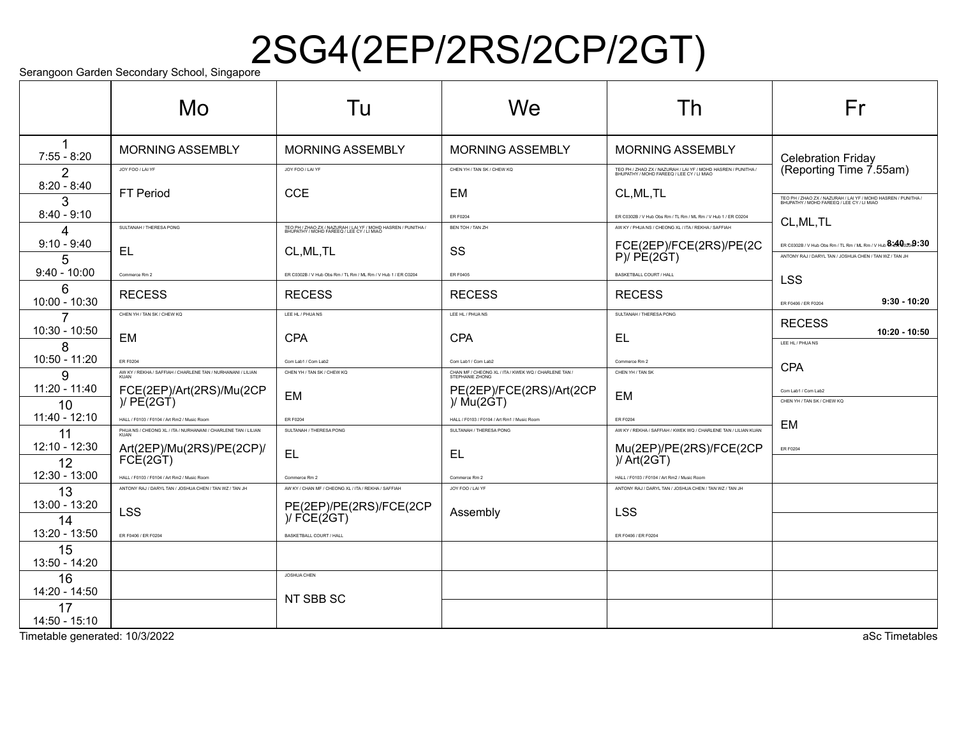# $\mathrm{S}_{\mathsf{errangoon\ Garden\ Secondary\ School,\ Singapore}} 2\mathrm{SG4}(2\mathrm{EP}/2\mathrm{RS}/2\mathrm{CP}/2\mathrm{GT})$

|                      | Mo                                                                    | Tu                                                                                                         | We                                                   | Th                                                                                                         | Fr                                                                                                                                         |
|----------------------|-----------------------------------------------------------------------|------------------------------------------------------------------------------------------------------------|------------------------------------------------------|------------------------------------------------------------------------------------------------------------|--------------------------------------------------------------------------------------------------------------------------------------------|
| 1<br>$7:55 - 8:20$   | <b>MORNING ASSEMBLY</b>                                               | <b>MORNING ASSEMBLY</b>                                                                                    | <b>MORNING ASSEMBLY</b>                              | <b>MORNING ASSEMBLY</b>                                                                                    | <b>Celebration Friday</b>                                                                                                                  |
| $\mathcal{P}$        | JOY FOO / LAI YF                                                      | JOY FOO / LAI YF                                                                                           | CHEN YH / TAN SK / CHEW KQ                           | TEO PH / ZHAO ZX / NAZURAH / LAI YF / MOHD HASREN / PUNITHA /<br>BHUPATHY / MOHD FAREEQ / LEE CY / LI MIAO | (Reporting Time 7.55am)                                                                                                                    |
| $8:20 - 8:40$<br>3   | <b>FT Period</b>                                                      | <b>CCE</b>                                                                                                 | <b>EM</b>                                            | CL, ML, TL                                                                                                 | TEO PH / ZHAO ZX / NAZURAH / LAI YF / MOHD HASREN / PUNITHA /<br>BHUPATHY / MOHD FAREEQ / LEE CY / LI MIAO                                 |
| $8:40 - 9:10$        |                                                                       |                                                                                                            | ER F0204                                             | ER C0302B / V Hub Obs Rm / TL Rm / ML Rm / V Hub 1 / ER C0204                                              | CL, ML, TL                                                                                                                                 |
| 4                    | SULTANAH / THERESA PONG                                               | TEO PH / ZHAO ZX / NAZURAH / LAI YF / MOHD HASREN / PUNITHA /<br>BHUPATHY / MOHD FAREEQ / LEE CY / LI MIAO | BEN TOH / TAN ZH                                     | AW KY / PHUA NS / CHEONG XL / ITA / REKHA / SAFFIAH                                                        |                                                                                                                                            |
| $9:10 - 9:40$<br>5   | <b>EL</b>                                                             | CL, ML, TL                                                                                                 | SS                                                   | FCE(2EP)/FCE(2RS)/PE(2C<br>P)/ PE(2GT)                                                                     | ER C0302B / V Hub Obs Rm / TL Rm / ML Rm / V Hub $\mathbf{8.40}$ $\mathbf{.923}$<br>ANTONY RAJ / DARYL TAN / JOSHUA CHEN / TAN WZ / TAN JH |
| $9:40 - 10:00$       | Commerce Rm 2                                                         | ER C0302B / V Hub Obs Rm / TL Rm / ML Rm / V Hub 1 / ER C0204                                              | <b>ER F0405</b>                                      | BASKETBALL COURT / HALL                                                                                    | <b>LSS</b>                                                                                                                                 |
| 6<br>$10:00 - 10:30$ | <b>RECESS</b>                                                         | <b>RECESS</b>                                                                                              | <b>RECESS</b>                                        | <b>RECESS</b>                                                                                              | $9:30 - 10:20$<br>ER F0406 / ER F0204                                                                                                      |
| 7                    | CHEN YH / TAN SK / CHEW KQ                                            | LEE HL / PHUANS                                                                                            | LEE HL / PHUA NS                                     | SULTANAH / THERESA PONG                                                                                    | <b>RECESS</b>                                                                                                                              |
| 10:30 - 10:50<br>8   | EM                                                                    | <b>CPA</b>                                                                                                 | <b>CPA</b>                                           | EL                                                                                                         | 10:20 - 10:50<br>LEE HL / PHUANS                                                                                                           |
| 10:50 - 11:20        | <b>ER F0204</b>                                                       | Com Lab1 / Com Lab2                                                                                        | Com Lab1 / Com Lab2                                  | Commerce Rm 2                                                                                              |                                                                                                                                            |
| 9                    | AW KY / REKHA / SAFFIAH / CHARLENE TAN / NURHANANI / LILIAN<br>KUAN   | CHEN YH / TAN SK / CHEW KQ                                                                                 | CHAN MF / CHEONG XL / ITA / KWEK WQ / CHARLENE TAN / | CHEN YH / TAN SK                                                                                           | <b>CPA</b>                                                                                                                                 |
| 11:20 - 11:40<br>10  | FCE(2EP)/Art(2RS)/Mu(2CP<br>)/ $PE(2GT)$                              | <b>EM</b>                                                                                                  | PE(2EP)/FCE(2RS)/Art(2CP)<br>)/ Mu(2GT)              | EM                                                                                                         | Com Lab1 / Com Lab2<br>CHEN YH / TAN SK / CHEW KO                                                                                          |
| 11:40 - 12:10        | HALL / F0103 / F0104 / Art Rm2 / Music Room                           | <b>ER F0204</b>                                                                                            | HALL / F0103 / F0104 / Art Rm1 / Music Room          | ER F0204                                                                                                   |                                                                                                                                            |
| 11                   | PHUA NS / CHEONG XL / ITA / NURHANANI / CHARLENE TAN / LILIAN<br>KUAN | SULTANAH / THERESA PONG                                                                                    | SULTANAH / THERESA PONG                              | AW KY / REKHA / SAFFIAH / KWEK WQ / CHARLENE TAN / LILIAN KUAN                                             | <b>EM</b>                                                                                                                                  |
| 12:10 - 12:30<br>12  | Art(2EP)/Mu(2RS)/PE(2CP)/<br>FCE(2GT)                                 | <b>EL</b>                                                                                                  | <b>EL</b>                                            | Mu(2EP)/PE(2RS)/FCE(2CP)/Art(2GT)                                                                          | <b>ER F0204</b>                                                                                                                            |
| 12:30 - 13:00        | HALL / F0103 / F0104 / Art Rm2 / Music Room                           | Commerce Rm 2                                                                                              | Commerce Rm 2                                        | HALL / F0103 / F0104 / Art Rm2 / Music Room                                                                |                                                                                                                                            |
| 13                   | ANTONY RAJ / DARYL TAN / JOSHUA CHEN / TAN WZ / TAN JH                | AW KY / CHAN MF / CHEONG XL / ITA / REKHA / SAFFIAH                                                        | JOY FOO / LAI YF                                     | ANTONY RAJ / DARYL TAN / JOSHUA CHEN / TAN WZ / TAN JH                                                     |                                                                                                                                            |
| 13:00 - 13:20<br>14  | <b>LSS</b>                                                            | PE(2EP)/PE(2RS)/FCE(2CP)<br>)/FCE(2GT)                                                                     | Assembly                                             | <b>LSS</b>                                                                                                 |                                                                                                                                            |
| 13:20 - 13:50        | ER F0406 / ER F0204                                                   | BASKETBALL COURT / HALL                                                                                    |                                                      | ER F0406 / ER F0204                                                                                        |                                                                                                                                            |
| 15<br>13:50 - 14:20  |                                                                       |                                                                                                            |                                                      |                                                                                                            |                                                                                                                                            |
| 16                   |                                                                       | <b>JOSHUA CHEN</b>                                                                                         |                                                      |                                                                                                            |                                                                                                                                            |
| 14:20 - 14:50        |                                                                       | NT SBB SC                                                                                                  |                                                      |                                                                                                            |                                                                                                                                            |
| 17<br>14:50 - 15:10  |                                                                       |                                                                                                            |                                                      |                                                                                                            |                                                                                                                                            |

Timetable generated: 10/3/2022 and the state of the state of the state of the state of the state of the state of the state of the state of the state of the state of the state of the state of the state of the state of the s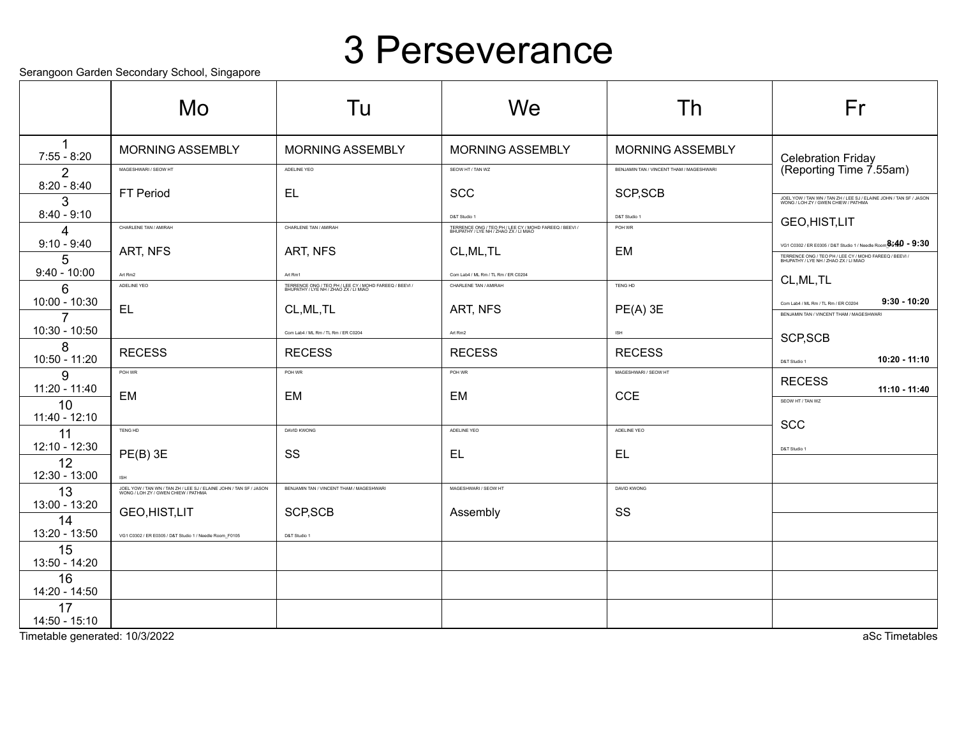#### 3 Perseverance

Serangoon Garden Secondary School, Singapore

|                                 | Mo                                                                                                        | Tu                                                                                              | We                                                                                              | Th                                       | Fr                                                                                                        |
|---------------------------------|-----------------------------------------------------------------------------------------------------------|-------------------------------------------------------------------------------------------------|-------------------------------------------------------------------------------------------------|------------------------------------------|-----------------------------------------------------------------------------------------------------------|
| $7:55 - 8:20$                   | <b>MORNING ASSEMBLY</b>                                                                                   | <b>MORNING ASSEMBLY</b>                                                                         | <b>MORNING ASSEMBLY</b>                                                                         | <b>MORNING ASSEMBLY</b>                  | <b>Celebration Friday</b>                                                                                 |
| $\overline{2}$                  | MAGESHWARI / SEOW HT                                                                                      | ADELINE YEO                                                                                     | SEOW HT / TAN WZ                                                                                | BENJAMIN TAN / VINCENT THAM / MAGESHWARI | (Reporting Time 7.55am)                                                                                   |
| $8:20 - 8:40$<br>3              | FT Period                                                                                                 | <b>EL</b>                                                                                       | <b>SCC</b>                                                                                      | SCP, SCB                                 | JOEL YOW / TAN WN / TAN ZH / LEE SJ / ELAINE JOHN / TAN SF / JASON<br>WONG / LOH ZY / GWEN CHIEW / PATHMA |
| $8:40 - 9:10$                   |                                                                                                           |                                                                                                 | D&T Studio 1                                                                                    | D&T Studio 1                             | GEO, HIST, LIT                                                                                            |
| 4<br>$9:10 - 9:40$              | CHARLENE TAN / AMIRAH                                                                                     | CHARLENE TAN / AMIRAH                                                                           | TERRENCE ONG / TEO PH / LEE CY / MOHD FAREEQ / BEEVI /<br>BHUPATHY / LYE NH / ZHAO ZX / LI MIAO | POH WR                                   | VG1 C0302 / ER E0305 / D&T Studio 1 / Needle Room $\frac{a}{2}$ $49 - 9:30$                               |
| 5                               | ART, NFS                                                                                                  | ART, NFS                                                                                        | CL, ML, TL                                                                                      | EM                                       | TERRENCE ONG / TEO PH / LEE CY / MOHD FAREEQ / BEEVI.<br>BHUPATHY / LYE NH / ZHAO ZX / LI MIAO            |
| $9:40 - 10:00$                  | Art Rm2                                                                                                   | Art Rm1                                                                                         | Com Lab4 / ML Rm / TL Rm / ER C0204                                                             |                                          | CL, ML, TL                                                                                                |
| 6                               | ADELINE YEO                                                                                               | TERRENCE ONG / TEO PH / LEE CY / MOHD FAREEQ / BEEVI /<br>BHUPATHY / LYE NH / ZHAO ZX / LI MIAO | CHARLENE TAN / AMIRAH                                                                           | TENG HD                                  |                                                                                                           |
| 10:00 - 10:30<br>$\overline{7}$ | EL                                                                                                        | CL, ML, TL                                                                                      | ART, NFS                                                                                        | $PE(A)$ 3E                               | $9:30 - 10:20$<br>Com Lab4 / ML Rm / TL Rm / ER C0204<br>BENJAMIN TAN / VINCENT THAM / MAGESHWARI         |
| 10:30 - 10:50                   |                                                                                                           | Com Lab4 / ML Rm / TL Rm / ER C0204                                                             | Art Rm2                                                                                         | <b>ISH</b>                               |                                                                                                           |
| 8                               | <b>RECESS</b>                                                                                             | <b>RECESS</b>                                                                                   | <b>RECESS</b>                                                                                   | <b>RECESS</b>                            | SCP, SCB                                                                                                  |
| 10:50 - 11:20                   | POH WR                                                                                                    | POH WR                                                                                          | POH WR                                                                                          | MAGESHWARI / SEOW HT                     | 10:20 - 11:10<br>D&T Studio 1                                                                             |
| 9<br>11:20 - 11:40              |                                                                                                           |                                                                                                 |                                                                                                 |                                          | <b>RECESS</b><br>11:10 - 11:40                                                                            |
| 10                              | EM                                                                                                        | EM                                                                                              | EM                                                                                              | <b>CCE</b>                               | SEOW HT / TAN WZ                                                                                          |
| $11:40 - 12:10$                 |                                                                                                           |                                                                                                 |                                                                                                 |                                          | <b>SCC</b>                                                                                                |
| 11<br>12:10 - 12:30             | TENG HD                                                                                                   | DAVID KWONG                                                                                     | ADELINE YEO                                                                                     | ADELINE YEO                              |                                                                                                           |
| 12                              | $PE(B)$ 3E                                                                                                | SS                                                                                              | EL                                                                                              | <b>EL</b>                                | D&T Studio 1                                                                                              |
| 12:30 - 13:00                   | <b>ISH</b>                                                                                                |                                                                                                 |                                                                                                 |                                          |                                                                                                           |
| 13                              | JOEL YOW / TAN WN / TAN ZH / LEE SJ / ELAINE JOHN / TAN SF / JASON<br>WONG / LOH ZY / GWEN CHIEW / PATHMA | BENJAMIN TAN / VINCENT THAM / MAGESHWARI                                                        | MAGESHWARI / SEOW HT                                                                            | <b>DAVID KWONG</b>                       |                                                                                                           |
| 13:00 - 13:20<br>14             | GEO, HIST, LIT                                                                                            | SCP, SCB                                                                                        | Assembly                                                                                        | SS                                       |                                                                                                           |
| 13:20 - 13:50                   | VG1 C0302 / ER E0305 / D&T Studio 1 / Needle Room_F0105                                                   | D&T Studio 1                                                                                    |                                                                                                 |                                          |                                                                                                           |
| 15<br>13:50 - 14:20             |                                                                                                           |                                                                                                 |                                                                                                 |                                          |                                                                                                           |
| 16<br>14:20 - 14:50             |                                                                                                           |                                                                                                 |                                                                                                 |                                          |                                                                                                           |
| 17<br>$14:50 - 15:10$           |                                                                                                           |                                                                                                 |                                                                                                 |                                          |                                                                                                           |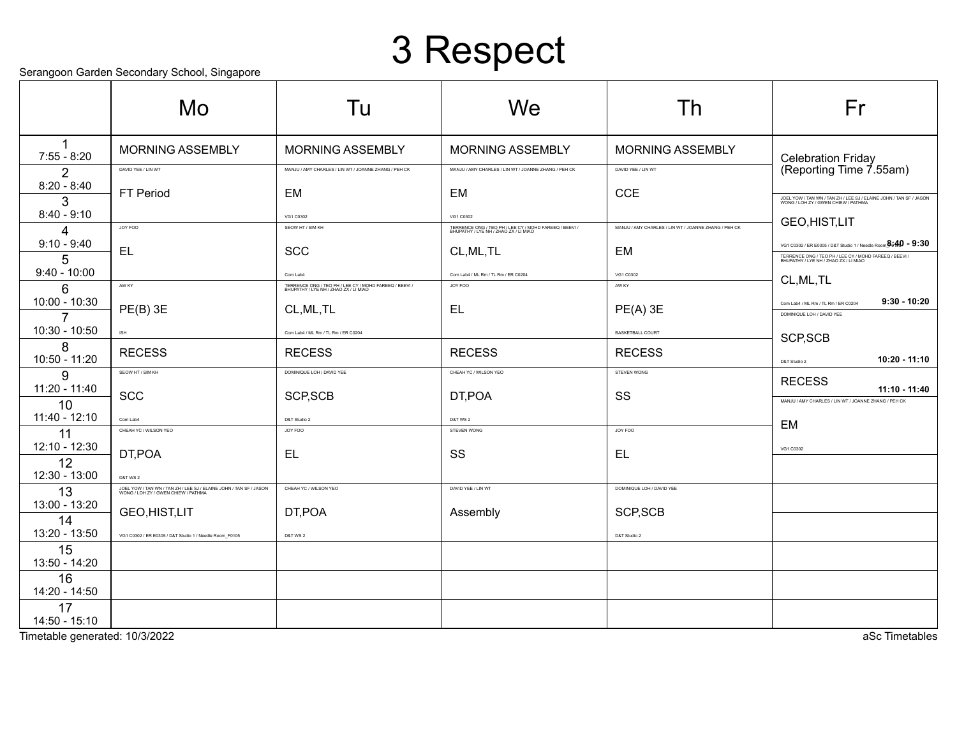## 3 Respect

Serangoon Garden Secondary School, Singapore

|                                     | ocialigoon Gardon ocoonidary Gonool, Olligaporo<br>Mo                                                     | Tu                                                                                              | We                                                                                                           | Th                                                   | Fr                                                                                                                                                                        |
|-------------------------------------|-----------------------------------------------------------------------------------------------------------|-------------------------------------------------------------------------------------------------|--------------------------------------------------------------------------------------------------------------|------------------------------------------------------|---------------------------------------------------------------------------------------------------------------------------------------------------------------------------|
| $7:55 - 8:20$                       | <b>MORNING ASSEMBLY</b>                                                                                   | <b>MORNING ASSEMBLY</b>                                                                         | <b>MORNING ASSEMBLY</b>                                                                                      | <b>MORNING ASSEMBLY</b>                              |                                                                                                                                                                           |
| 2                                   | DAVID YEE / LIN WT                                                                                        | MANJU / AMY CHARLES / LIN WT / JOANNE ZHANG / PEH CK                                            | MANJU / AMY CHARLES / LIN WT / JOANNE ZHANG / PEH CK                                                         | DAVID YEE / LIN WT                                   | Celebration Friday<br>(Reporting Time 7.55am)                                                                                                                             |
| $8:20 - 8:40$<br>3<br>$8:40 - 9:10$ | <b>FT Period</b>                                                                                          | EM                                                                                              | <b>EM</b>                                                                                                    | <b>CCE</b>                                           | JOEL YOW / TAN WN / TAN ZH / LEE SJ / ELAINE JOHN / TAN SF / JASON<br>WONG / LOH ZY / GWEN CHIEW / PATHMA                                                                 |
| 4                                   | JOY FOO                                                                                                   | VG1 C0302<br>SEOW HT / SIM KH                                                                   | VG1 C0302<br>TERRENCE ONG / TEO PH / LEE CY / MOHD FAREEQ / BEEVI /<br>BHUPATHY / LYE NH / ZHAO ZX / LI MIAO | MANJU / AMY CHARLES / LIN WT / JOANNE ZHANG / PEH CK | GEO, HIST, LIT                                                                                                                                                            |
| $9:10 - 9:40$<br>5                  | EL                                                                                                        | <b>SCC</b>                                                                                      | CL, ML, TL                                                                                                   | EM                                                   | VG1 C0302 / ER E0305 / D&T Studio 1 / Needle Room $^{8,40}_{-}$ - 9:30<br>TERRENCE ONG / TEO PH / LEE CY / MOHD FAREEQ / BEEVI /<br>BHUPATHY / LYE NH / ZHAO ZX / LI MIAO |
| $9:40 - 10:00$                      |                                                                                                           | Com Lab4                                                                                        | Com Lab4 / ML Rm / TL Rm / ER C0204                                                                          | VG1 C0302                                            | CL, ML, TL                                                                                                                                                                |
| 6                                   | AW KY                                                                                                     | TERRENCE ONG / TEO PH / LEE CY / MOHD FAREEQ / BEEVI /<br>BHUPATHY / LYE NH / ZHAO ZX / LI MIAO | JOY FOO                                                                                                      | AW KY                                                |                                                                                                                                                                           |
| 10:00 - 10:30<br>7                  | $PE(B)$ 3E                                                                                                | CL, ML, TL                                                                                      | <b>EL</b>                                                                                                    | $PE(A)$ 3E                                           | $9:30 - 10:20$<br>Com Lab4 / ML Rm / TL Rm / ER C0204<br>DOMINIQUE LOH / DAVID YEE                                                                                        |
| 10:30 - 10:50                       | ISH                                                                                                       | Com Lab4 / ML Rm / TL Rm / ER C0204                                                             |                                                                                                              | <b>BASKETBALL COURT</b>                              | SCP, SCB                                                                                                                                                                  |
| 8<br>10:50 - 11:20                  | <b>RECESS</b>                                                                                             | <b>RECESS</b>                                                                                   | <b>RECESS</b>                                                                                                | <b>RECESS</b>                                        | 10:20 - 11:10<br>D&T Studio 2                                                                                                                                             |
| 9                                   | SEOW HT / SIM KH                                                                                          | DOMINIQUE LOH / DAVID YEE                                                                       | CHEAH YC / WILSON YEO                                                                                        | STEVEN WONG                                          | <b>RECESS</b>                                                                                                                                                             |
| 11:20 - 11:40<br>10                 | <b>SCC</b>                                                                                                | SCP, SCB                                                                                        | DT,POA                                                                                                       | SS                                                   | $11:10 - 11:40$<br>MANJU / AMY CHARLES / LIN WT / JOANNE ZHANG / PEH CK                                                                                                   |
| 11:40 - 12:10                       | Com Lab4                                                                                                  | D&T Studio 2                                                                                    | D&T WS 2                                                                                                     |                                                      | EM                                                                                                                                                                        |
| 11                                  | CHEAH YC / WILSON YEO                                                                                     | JOY FOO                                                                                         | STEVEN WONG                                                                                                  | JOY FOO                                              |                                                                                                                                                                           |
| 12:10 - 12:30<br>12                 | DT,POA                                                                                                    | <b>EL</b>                                                                                       | SS                                                                                                           | <b>EL</b>                                            | VG1 C0302                                                                                                                                                                 |
| 12:30 - 13:00                       | <b>D&amp;T WS 2</b>                                                                                       |                                                                                                 |                                                                                                              |                                                      |                                                                                                                                                                           |
| 13                                  | JOEL YOW / TAN WN / TAN ZH / LEE SJ / ELAINE JOHN / TAN SF / JASON<br>WONG / LOH ZY / GWEN CHIEW / PATHMA | CHEAH YC / WILSON YEO                                                                           | DAVID YEE / LIN WT                                                                                           | DOMINIQUE LOH / DAVID YEE                            |                                                                                                                                                                           |
| 13:00 - 13:20                       | GEO, HIST, LIT                                                                                            | DT, POA                                                                                         | Assembly                                                                                                     | SCP, SCB                                             |                                                                                                                                                                           |
| 14<br>13:20 - 13:50                 | VG1 C0302 / ER E0305 / D&T Studio 1 / Needle Room F0105                                                   | D&T WS 2                                                                                        |                                                                                                              | D&T Studio 2                                         |                                                                                                                                                                           |
| 15<br>13:50 - 14:20                 |                                                                                                           |                                                                                                 |                                                                                                              |                                                      |                                                                                                                                                                           |
| 16<br>14:20 - 14:50                 |                                                                                                           |                                                                                                 |                                                                                                              |                                                      |                                                                                                                                                                           |
| 17<br>$14:50 - 15:10$               |                                                                                                           |                                                                                                 |                                                                                                              |                                                      |                                                                                                                                                                           |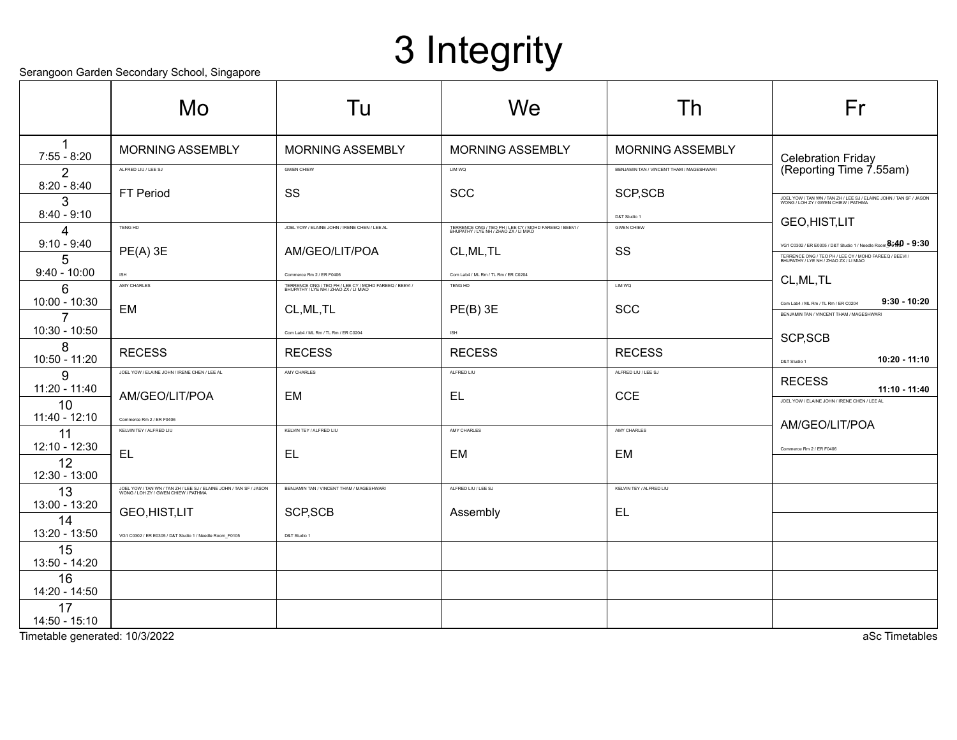# 3 Integrity

#### Serangoon Garden Secondary School, Singapore

|                      | ociangoon Gardon ocoondary Gonoor, Omgaporo                                                               |                                                                                                 |                                                                                                 |                                          |                                                                                                                                                                              |
|----------------------|-----------------------------------------------------------------------------------------------------------|-------------------------------------------------------------------------------------------------|-------------------------------------------------------------------------------------------------|------------------------------------------|------------------------------------------------------------------------------------------------------------------------------------------------------------------------------|
|                      | Mo                                                                                                        | Tu                                                                                              | We                                                                                              | Th                                       | Fr                                                                                                                                                                           |
| $7:55 - 8:20$        | <b>MORNING ASSEMBLY</b>                                                                                   | <b>MORNING ASSEMBLY</b>                                                                         | <b>MORNING ASSEMBLY</b>                                                                         | <b>MORNING ASSEMBLY</b>                  |                                                                                                                                                                              |
| 2                    | ALFRED LIU / LEE SJ                                                                                       | <b>GWEN CHIEW</b>                                                                               | LIM WQ                                                                                          | BENJAMIN TAN / VINCENT THAM / MAGESHWARI | Celebration Friday<br>(Reporting Time 7.55am)                                                                                                                                |
| $8:20 - 8:40$<br>3   | FT Period                                                                                                 | SS                                                                                              | <b>SCC</b>                                                                                      | SCP, SCB                                 | JOEL YOW / TAN WN / TAN ZH / LEE SJ / ELAINE JOHN / TAN SF / JASON<br>WONG / LOH ZY / GWEN CHIEW / PATHMA                                                                    |
| $8:40 - 9:10$        |                                                                                                           |                                                                                                 |                                                                                                 | D&T Studio 1                             | GEO, HIST, LIT                                                                                                                                                               |
| Δ                    | TENG HD                                                                                                   | JOEL YOW / ELAINE JOHN / IRENE CHEN / LEE AL                                                    | TERRENCE ONG / TEO PH / LEE CY / MOHD FAREEQ / BEEVI /<br>BHUPATHY / LYE NH / ZHAO ZX / LI MIAO | <b>GWEN CHIEW</b>                        |                                                                                                                                                                              |
| $9:10 - 9:40$<br>5   | $PE(A)$ 3E                                                                                                | AM/GEO/LIT/POA                                                                                  | CL, ML, TL                                                                                      | SS                                       | VG1 C0302 / ER E0305 / D&T Studio 1 / Needle Room $\frac{3}{2649}$ = 9:30<br>TERRENCE ONG / TEO PH / LEE CY / MOHD FAREEQ / BEEVI /<br>BHUPATHY / LYE NH / ZHAO ZX / LI MIAO |
| $9:40 - 10:00$       | ISH                                                                                                       | Commerce Rm 2 / ER F0406                                                                        | Com Lab4 / ML Rm / TL Rm / ER C0204                                                             |                                          | CL, ML, TL                                                                                                                                                                   |
| 6<br>$10:00 - 10:30$ | AMY CHARLES                                                                                               | TERRENCE ONG / TEO PH / LEE CY / MOHD FAREEQ / BEEVI /<br>BHUPATHY / LYE NH / ZHAO ZX / LI MIAO | TENG HD                                                                                         | LIM WQ                                   |                                                                                                                                                                              |
| $\overline{7}$       | EM                                                                                                        | CL, ML, TL                                                                                      | $PE(B)$ 3E                                                                                      | <b>SCC</b>                               | $9:30 - 10:20$<br>Com Lab4 / ML Rm / TL Rm / ER C0204<br>BENJAMIN TAN / VINCENT THAM / MAGESHWARI                                                                            |
| 10:30 - 10:50        |                                                                                                           | Com Lab4 / ML Rm / TL Rm / ER C0204                                                             | ISH                                                                                             |                                          | SCP, SCB                                                                                                                                                                     |
| 8<br>10:50 - 11:20   | <b>RECESS</b>                                                                                             | <b>RECESS</b>                                                                                   | <b>RECESS</b>                                                                                   | <b>RECESS</b>                            | 10:20 - 11:10<br>D&T Studio 1                                                                                                                                                |
| 9                    | JOEL YOW / ELAINE JOHN / IRENE CHEN / LEE AL                                                              | AMY CHARLES                                                                                     | ALFRED LIU                                                                                      | ALFRED LIU / LEE SJ                      | <b>RECESS</b>                                                                                                                                                                |
| 11:20 - 11:40        | AM/GEO/LIT/POA                                                                                            | EM                                                                                              | EL                                                                                              | <b>CCE</b>                               | $11:10 - 11:40$                                                                                                                                                              |
| 10<br>11:40 - 12:10  |                                                                                                           |                                                                                                 |                                                                                                 |                                          | JOEL YOW / ELAINE JOHN / IRENE CHEN / LEE AL                                                                                                                                 |
| 11                   | Commerce Rm 2 / ER F0406<br>KELVIN TEY / ALFRED LIU                                                       | KELVIN TEY / ALFRED LIU                                                                         | AMY CHARLES                                                                                     | AMY CHARLES                              | AM/GEO/LIT/POA                                                                                                                                                               |
| 12:10 - 12:30        |                                                                                                           |                                                                                                 |                                                                                                 |                                          | Commerce Rm 2 / ER F0406                                                                                                                                                     |
| 12                   | EL                                                                                                        | EL                                                                                              | EM                                                                                              | EM                                       |                                                                                                                                                                              |
| 12:30 - 13:00        |                                                                                                           |                                                                                                 |                                                                                                 |                                          |                                                                                                                                                                              |
| 13                   | JOEL YOW / TAN WN / TAN ZH / LEE SJ / ELAINE JOHN / TAN SF / JASON<br>WONG / LOH ZY / GWEN CHIEW / PATHMA | BENJAMIN TAN / VINCENT THAM / MAGESHWARI                                                        | ALFRED LIU / LEE SJ                                                                             | KELVIN TEY / ALFRED LIU                  |                                                                                                                                                                              |
| 13:00 - 13:20        | GEO, HIST, LIT                                                                                            | SCP, SCB                                                                                        | Assembly                                                                                        | <b>EL</b>                                |                                                                                                                                                                              |
| 14<br>13:20 - 13:50  |                                                                                                           |                                                                                                 |                                                                                                 |                                          |                                                                                                                                                                              |
| 15                   | VG1 C0302 / ER E0305 / D&T Studio 1 / Needle Room_F0105                                                   | D&T Studio 1                                                                                    |                                                                                                 |                                          |                                                                                                                                                                              |
| 13:50 - 14:20        |                                                                                                           |                                                                                                 |                                                                                                 |                                          |                                                                                                                                                                              |
| 16                   |                                                                                                           |                                                                                                 |                                                                                                 |                                          |                                                                                                                                                                              |
| 14:20 - 14:50        |                                                                                                           |                                                                                                 |                                                                                                 |                                          |                                                                                                                                                                              |
| 17<br>14:50 - 15:10  |                                                                                                           |                                                                                                 |                                                                                                 |                                          |                                                                                                                                                                              |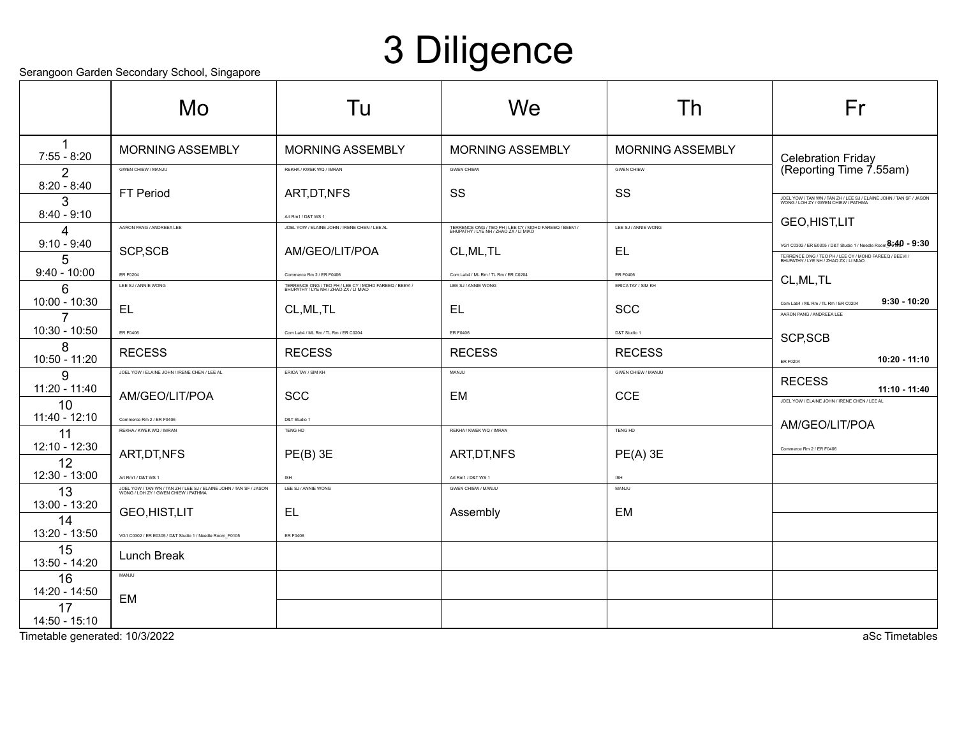## 3 Diligence

Serangoon Garden Secondary School, Singapore

|                     | ociangoon Gardon ocoondary Gonoor, Omgaporo                                                               |                                                                                                 |                                                                                                 |                           |                                                                                                           |
|---------------------|-----------------------------------------------------------------------------------------------------------|-------------------------------------------------------------------------------------------------|-------------------------------------------------------------------------------------------------|---------------------------|-----------------------------------------------------------------------------------------------------------|
|                     | Mo                                                                                                        | Tu                                                                                              | We                                                                                              | Th                        | Fr                                                                                                        |
|                     |                                                                                                           |                                                                                                 |                                                                                                 |                           |                                                                                                           |
| $7:55 - 8:20$       | <b>MORNING ASSEMBLY</b>                                                                                   | <b>MORNING ASSEMBLY</b>                                                                         | <b>MORNING ASSEMBLY</b>                                                                         | <b>MORNING ASSEMBLY</b>   | Celebration Friday                                                                                        |
| 2                   | <b>GWEN CHIEW / MANJU</b>                                                                                 | REKHA / KWEK WQ / IMRAN                                                                         | <b>GWEN CHIEW</b>                                                                               | <b>GWEN CHIEW</b>         | (Reporting Time 7.55am)                                                                                   |
| $8:20 - 8:40$       | <b>FT Period</b>                                                                                          | ART, DT, NFS                                                                                    | SS                                                                                              | SS                        |                                                                                                           |
| 3<br>$8:40 - 9:10$  |                                                                                                           |                                                                                                 |                                                                                                 |                           | JOEL YOW / TAN WN / TAN ZH / LEE SJ / ELAINE JOHN / TAN SF / JASON<br>WONG / LOH ZY / GWEN CHIEW / PATHMA |
| 4                   | AARON PANG / ANDREEA LEE                                                                                  | Art Rm1 / D&T WS 1<br>JOEL YOW / ELAINE JOHN / IRENE CHEN / LEE AL                              | TERRENCE ONG / TEO PH / LEE CY / MOHD FAREEQ / BEEVI /<br>BHUPATHY / LYE NH / ZHAO ZX / LI MIAO | LEE SJ / ANNIE WONG       | <b>GEO,HIST,LIT</b>                                                                                       |
| $9:10 - 9:40$       |                                                                                                           |                                                                                                 |                                                                                                 |                           | VG1 C0302 / ER E0305 / D&T Studio 1 / Needle Room $^{8,40}_{-}$ - 9:30                                    |
| 5                   | SCP, SCB                                                                                                  | AM/GEO/LIT/POA                                                                                  | CL, ML, TL                                                                                      | EL                        | TERRENCE ONG / TEO PH / LEE CY / MOHD FAREEQ / BEEVI /<br>BHUPATHY / LYE NH / ZHAO ZX / LI MIAO           |
| $9:40 - 10:00$      | <b>ER F0204</b>                                                                                           | Commerce Rm 2 / ER F0406                                                                        | Com Lab4 / ML Rm / TL Rm / ER C0204                                                             | ER F0406                  | CL, ML, TL                                                                                                |
| 6                   | LEE SJ / ANNIE WONG                                                                                       | TERRENCE ONG / TEO PH / LEE CY / MOHD FAREEQ / BEEVI /<br>BHUPATHY / LYE NH / ZHAO ZX / LI MIAO | LEE SJ / ANNIE WONG                                                                             | ERICA TAY / SIM KH        |                                                                                                           |
| 10:00 - 10:30<br>7  | <b>EL</b>                                                                                                 | CL, ML, TL                                                                                      | EL.                                                                                             | <b>SCC</b>                | $9:30 - 10:20$<br>Com Lab4 / ML Rm / TL Rm / ER C0204<br>AARON PANG / ANDREEA LEE                         |
| 10:30 - 10:50       | <b>ER F0406</b>                                                                                           | Com Lab4 / ML Rm / TL Rm / ER C0204                                                             | <b>ER F0406</b>                                                                                 | D&T Studio 1              |                                                                                                           |
| 8                   |                                                                                                           |                                                                                                 |                                                                                                 |                           | SCP, SCB                                                                                                  |
| 10:50 - 11:20       | <b>RECESS</b>                                                                                             | <b>RECESS</b>                                                                                   | <b>RECESS</b>                                                                                   | <b>RECESS</b>             | 10:20 - 11:10<br>ER F0204                                                                                 |
| g                   | JOEL YOW / ELAINE JOHN / IRENE CHEN / LEE AL                                                              | ERICA TAY / SIM KH                                                                              | MANJU                                                                                           | <b>GWEN CHIEW / MANJU</b> | <b>RECESS</b>                                                                                             |
| 11:20 - 11:40       | AM/GEO/LIT/POA                                                                                            | <b>SCC</b>                                                                                      | EM                                                                                              | <b>CCE</b>                | 11:10 - 11:40<br>JOEL YOW / ELAINE JOHN / IRENE CHEN / LEE AL                                             |
| 10<br>11:40 - 12:10 | Commerce Rm 2 / ER F0406                                                                                  | D&T Studio 1                                                                                    |                                                                                                 |                           |                                                                                                           |
| 11                  | REKHA / KWEK WQ / IMRAN                                                                                   | TENG HD                                                                                         | REKHA / KWEK WQ / IMRAN                                                                         | TENG HD                   | AM/GEO/LIT/POA                                                                                            |
| 12:10 - 12:30       |                                                                                                           |                                                                                                 |                                                                                                 |                           | Commerce Rm 2 / ER F0406                                                                                  |
| 12                  | ART, DT, NFS                                                                                              | $PE(B)$ 3E                                                                                      | ART, DT, NFS                                                                                    | $PE(A)$ 3E                |                                                                                                           |
| 12:30 - 13:00       | Art Rm1 / D&T WS 1                                                                                        | <b>ISH</b>                                                                                      | Art Rm1 / D&T WS 1                                                                              | ISH                       |                                                                                                           |
| 13<br>13:00 - 13:20 | JOEL YOW / TAN WN / TAN ZH / LEE SJ / ELAINE JOHN / TAN SF / JASON<br>WONG / LOH ZY / GWEN CHIEW / PATHMA | LEE SJ / ANNIE WONG                                                                             | <b>GWEN CHIEW / MANJU</b>                                                                       | MANJU                     |                                                                                                           |
| 14                  | GEO, HIST, LIT                                                                                            | EL                                                                                              | Assembly                                                                                        | EM                        |                                                                                                           |
| 13:20 - 13:50       | VG1 C0302 / ER E0305 / D&T Studio 1 / Needle Room_F0105                                                   | <b>ER F0406</b>                                                                                 |                                                                                                 |                           |                                                                                                           |
| 15<br>13:50 - 14:20 | Lunch Break                                                                                               |                                                                                                 |                                                                                                 |                           |                                                                                                           |
| 16                  | MANJU                                                                                                     |                                                                                                 |                                                                                                 |                           |                                                                                                           |
| 14:20 - 14:50       | <b>EM</b>                                                                                                 |                                                                                                 |                                                                                                 |                           |                                                                                                           |
| 17<br>14:50 - 15:10 |                                                                                                           |                                                                                                 |                                                                                                 |                           |                                                                                                           |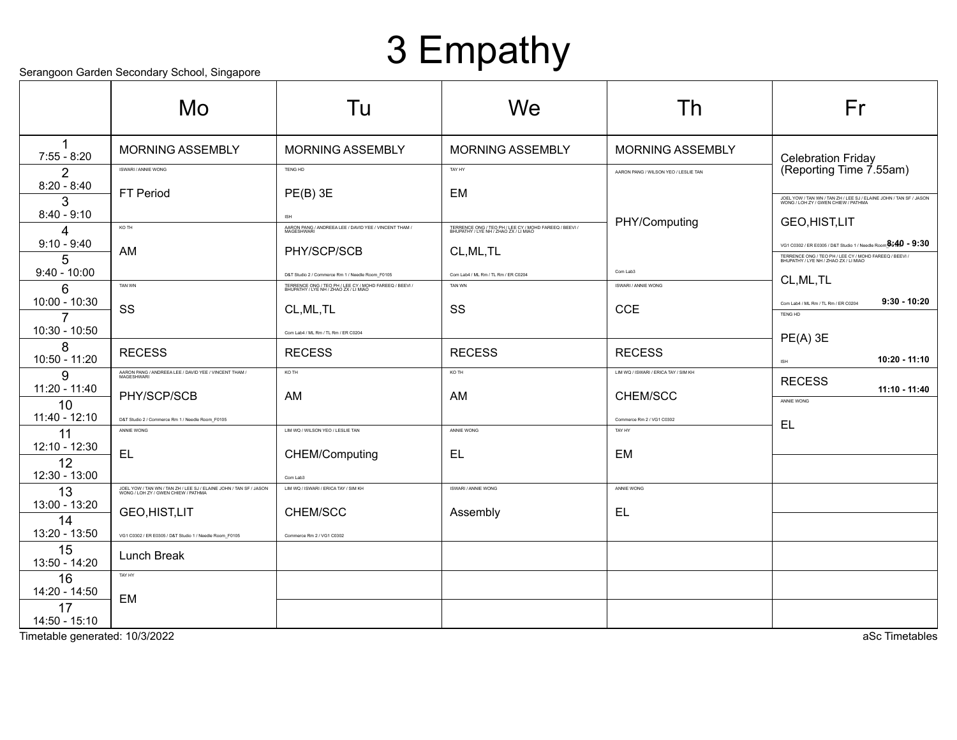## 3 Empathy

Serangoon Garden Secondary School, Singapore

|                                 | colungoon caladh coconadh y conool, ciligapolo<br>Mo                                                      | Tu                                                                                                                                                  | We                                                                                              | Th                                                    | Fr                                                                                                                                                                            |
|---------------------------------|-----------------------------------------------------------------------------------------------------------|-----------------------------------------------------------------------------------------------------------------------------------------------------|-------------------------------------------------------------------------------------------------|-------------------------------------------------------|-------------------------------------------------------------------------------------------------------------------------------------------------------------------------------|
| 1<br>$7:55 - 8:20$              | <b>MORNING ASSEMBLY</b>                                                                                   | <b>MORNING ASSEMBLY</b>                                                                                                                             | <b>MORNING ASSEMBLY</b>                                                                         | <b>MORNING ASSEMBLY</b>                               |                                                                                                                                                                               |
| 2                               | ISWARI / ANNIE WONG                                                                                       | TENG HD                                                                                                                                             | TAY HY                                                                                          | AARON PANG / WILSON YEO / LESLIE TAN                  | <b>Celebration Friday</b><br>(Reporting Time 7.55am)                                                                                                                          |
| $8:20 - 8:40$<br>3              | FT Period                                                                                                 | $PE(B)$ 3E                                                                                                                                          | <b>EM</b>                                                                                       |                                                       | JOEL YOW / TAN WN / TAN ZH / LEE SJ / ELAINE JOHN / TAN SF / JASON<br>WONG / LOH ZY / GWEN CHIEW / PATHMA                                                                     |
| $8:40 - 9:10$<br>Δ              | KO TH                                                                                                     | ISH<br>AARON PANG / ANDREEA LEE / DAVID YEE / VINCENT THAM /                                                                                        | TERRENCE ONG / TEO PH / LEE CY / MOHD FAREEQ / BEEVI /<br>BHUPATHY / LYE NH / ZHAO ZX / LI MIAO | PHY/Computing                                         | GEO, HIST, LIT                                                                                                                                                                |
| $9:10 - 9:40$<br>5              | AM                                                                                                        | PHY/SCP/SCB                                                                                                                                         | CL, ML, TL                                                                                      |                                                       | VG1 C0302 / ER E0305 / D&T Studio 1 / Needle Room $\frac{a}{2}$ 640 - 9:30<br>TERRENCE ONG / TEO PH / LEE CY / MOHD FAREEQ / BEEVI /<br>BHUPATHY / LYE NH / ZHAO ZX / LI MIAO |
| $9:40 - 10:00$<br>6             | TAN WN                                                                                                    | D&T Studio 2 / Commerce Rm 1 / Needle Room_F0105<br>TERRENCE ONG / TEO PH / LEE CY / MOHD FAREEQ / BEEVI /<br>BHUPATHY / LYE NH / ZHAO ZX / LI MIAO | Com Lab4 / ML Rm / TL Rm / ER C0204<br><b>TAN WN</b>                                            | Com Lab3<br><b>ISWARI / ANNIE WONG</b>                | CL, ML, TL                                                                                                                                                                    |
| 10:00 - 10:30<br>$\overline{7}$ | SS                                                                                                        | CL, ML, TL                                                                                                                                          | SS                                                                                              | <b>CCE</b>                                            | $9:30 - 10:20$<br>Com Lab4 / ML Rm / TL Rm / ER C0204<br>TENG HD                                                                                                              |
| 10:30 - 10:50<br>8              |                                                                                                           | Com Lab4 / ML Rm / TL Rm / ER C0204                                                                                                                 |                                                                                                 |                                                       | $PE(A)$ 3E                                                                                                                                                                    |
| 10:50 - 11:20                   | <b>RECESS</b>                                                                                             | <b>RECESS</b><br>KO TH                                                                                                                              | <b>RECESS</b><br>KO TH                                                                          | <b>RECESS</b><br>LIM WQ / ISWARI / ERICA TAY / SIM KH | 10:20 - 11:10<br>ISH                                                                                                                                                          |
| 9<br>11:20 - 11:40              | AARON PANG / ANDREEA LEE / DAVID YEE / VINCENT THAM /<br>MAGESHWARI<br>PHY/SCP/SCB                        | AM                                                                                                                                                  | AM                                                                                              | CHEM/SCC                                              | <b>RECESS</b><br>$11:10 - 11:40$                                                                                                                                              |
| 10<br>11:40 - 12:10             | D&T Studio 2 / Commerce Rm 1 / Needle Room_F0105                                                          |                                                                                                                                                     |                                                                                                 | Commerce Rm 2 / VG1 C0302                             | ANNIE WONG<br>EL                                                                                                                                                              |
| 11<br>12:10 - 12:30             | ANNIE WONG                                                                                                | LIM WQ / WILSON YEO / LESLIE TAN                                                                                                                    | ANNIE WONG                                                                                      | TAY HY                                                |                                                                                                                                                                               |
| 12<br>12:30 - 13:00             | EL                                                                                                        | CHEM/Computing<br>Com Lab3                                                                                                                          | EL                                                                                              | EM                                                    |                                                                                                                                                                               |
| 13<br>13:00 - 13:20             | JOEL YOW / TAN WN / TAN ZH / LEE SJ / ELAINE JOHN / TAN SF / JASON<br>WONG / LOH ZY / GWEN CHIEW / PATHMA | LIM WQ / ISWARI / ERICA TAY / SIM KH                                                                                                                | ISWARI / ANNIE WONG                                                                             | ANNIE WONG                                            |                                                                                                                                                                               |
| 14<br>13:20 - 13:50             | GEO, HIST, LIT<br>VG1 C0302 / ER E0305 / D&T Studio 1 / Needle Room_F0105                                 | CHEM/SCC<br>Commerce Rm 2 / VG1 C0302                                                                                                               | Assembly                                                                                        | EL.                                                   |                                                                                                                                                                               |
| 15<br>13:50 - 14:20             | Lunch Break                                                                                               |                                                                                                                                                     |                                                                                                 |                                                       |                                                                                                                                                                               |
| 16<br>14:20 - 14:50             | TAY HY                                                                                                    |                                                                                                                                                     |                                                                                                 |                                                       |                                                                                                                                                                               |
| 17<br>14:50 - 15:10             | EM                                                                                                        |                                                                                                                                                     |                                                                                                 |                                                       |                                                                                                                                                                               |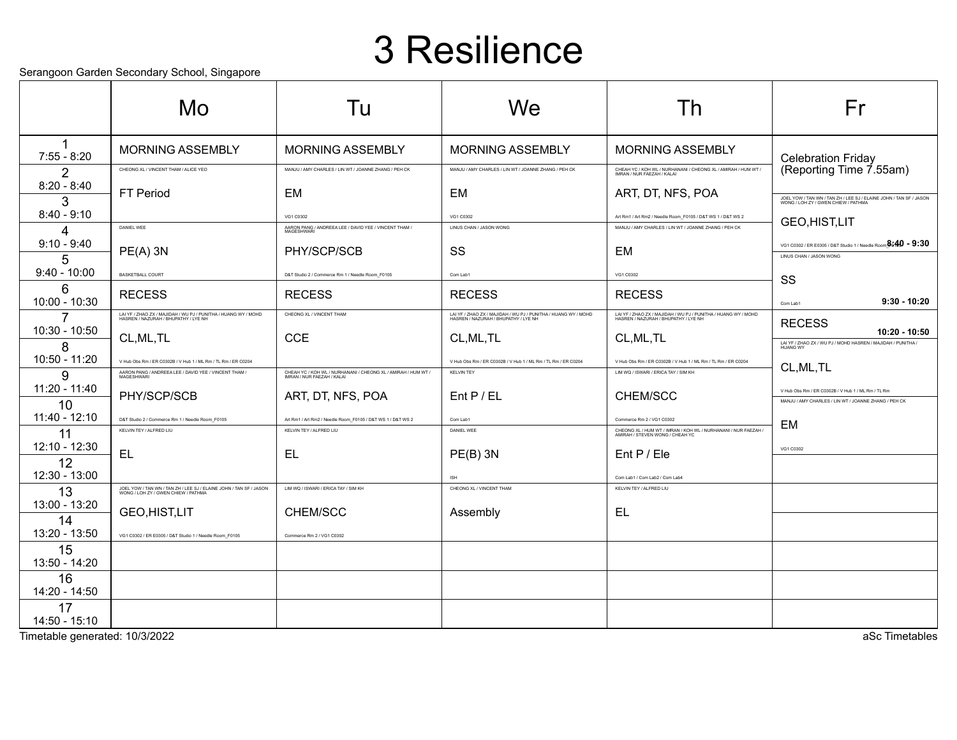### 3 Resilience

Serangoon Garden Secondary School, Singapore

|                                                 | Mo                                                                                                        | Tu                                                                                          | We                                                                                                     | Τh                                                                                                     | Fr                                                                                                         |
|-------------------------------------------------|-----------------------------------------------------------------------------------------------------------|---------------------------------------------------------------------------------------------|--------------------------------------------------------------------------------------------------------|--------------------------------------------------------------------------------------------------------|------------------------------------------------------------------------------------------------------------|
| $\mathbf 1$<br>$7:55 - 8:20$                    | <b>MORNING ASSEMBLY</b>                                                                                   | <b>MORNING ASSEMBLY</b>                                                                     | <b>MORNING ASSEMBLY</b>                                                                                | <b>MORNING ASSEMBLY</b>                                                                                |                                                                                                            |
| $\overline{2}$                                  | CHEONG XL / VINCENT THAM / ALICE YEO                                                                      | MANJU / AMY CHARLES / LIN WT / JOANNE ZHANG / PEH CK                                        | MANJU / AMY CHARLES / LIN WT / JOANNE ZHANG / PEH CK                                                   | CHEAH YC / KOH WL / NURHANANI / CHEONG XL / AMIRAH / HUM WT /<br>IMRAN / NUR FAEZAH / KALAI            | Celebration Friday<br>(Reporting Time 7.55am)                                                              |
| $8:20 - 8:40$<br>3                              | <b>FT Period</b>                                                                                          | EM                                                                                          | <b>EM</b>                                                                                              | ART, DT, NFS, POA                                                                                      | JOEL YOW / TAN WN / TAN ZH / LEE SJ / ELAINE JOHN / TAN SF / JASON<br>WONG / LOH ZY / GWEN CHIEW / PATHMA  |
| $8:40 - 9:10$                                   |                                                                                                           | VG1 C0302                                                                                   | VG1 C0302                                                                                              | Art Rm1 / Art Rm2 / Needle Room_F0105 / D&T WS 1 / D&T WS 2                                            | <b>GEO,HIST,LIT</b>                                                                                        |
| 4<br>$9:10 - 9:40$                              | DANIEL WEE                                                                                                | AARON PANG / ANDREEA LEE / DAVID YEE / VINCENT THAM /<br>MAGESHWARI                         | LINUS CHAN / JASON WONG                                                                                | MANJU / AMY CHARLES / LIN WT / JOANNE ZHANG / PEH CK                                                   | VG1 C0302 / ER E0305 / D&T Studio 1 / Needle Room $^{8.40}_{\ }$ - 9:30                                    |
| 5                                               | $PE(A)$ 3N                                                                                                | PHY/SCP/SCB                                                                                 | SS                                                                                                     | EM                                                                                                     | LINUS CHAN / JASON WONG                                                                                    |
| $9:40 - 10:00$                                  | BASKETBALL COURT                                                                                          | D&T Studio 2 / Commerce Rm 1 / Needle Room_F0105                                            | Com Lab1                                                                                               | VG1 C0302                                                                                              | SS                                                                                                         |
| 6<br>$10:00 - 10:30$                            | <b>RECESS</b>                                                                                             | <b>RECESS</b>                                                                               | <b>RECESS</b>                                                                                          | <b>RECESS</b>                                                                                          | $9:30 - 10:20$<br>Com Lab1                                                                                 |
| $\overline{7}$                                  | LAI YF / ZHAO ZX / MAJIDAH / WU PJ / PUNITHA / HUANG WY / MOHD<br>HASREN / NAZURAH / BHUPATHY / LYE NH    | CHEONG XL / VINCENT THAM                                                                    | LAI YF / ZHAO ZX / MAJIDAH / WU PJ / PUNITHA / HUANG WY / MOHD<br>HASREN / NAZURAH / BHUPATHY / LYE NH | LAI YF / ZHAO ZX / MAJIDAH / WU PJ / PUNITHA / HUANG WY / MOHD<br>HASREN / NAZURAH / BHUPATHY / LYE NH | <b>RECESS</b>                                                                                              |
| 10:30 - 10:50<br>8                              | CL, ML, TL                                                                                                | <b>CCE</b>                                                                                  | CL, ML, TL                                                                                             | CL, ML, TL                                                                                             | 10:20 - 10:50<br>LAI YF / ZHAO ZX / WU PJ / MOHD HASREN / MAJIDAH / PUNITHA                                |
| 10:50 - 11:20                                   | V Hub Obs Rm / ER C0302B / V Hub 1 / ML Rm / TL Rm / ER C0204                                             |                                                                                             | V Hub Obs Rm / ER C0302B / V Hub 1 / ML Rm / TL Rm / ER C0204                                          | V Hub Obs Rm / ER C0302B / V Hub 1 / ML Rm / TL Rm / ER C0204                                          | CL, ML, TL                                                                                                 |
| 9<br>11:20 - 11:40                              | AARON PANG / ANDREEA LEE / DAVID YEE / VINCENT THAM /<br>MAGESHWARI                                       | CHEAH YC / KOH WL / NURHANANI / CHEONG XL / AMIRAH / HUM WT /<br>IMRAN / NUR FAEZAH / KALAI | <b>KELVIN TEY</b>                                                                                      | LIM WQ / ISWARI / ERICA TAY / SIM KH                                                                   |                                                                                                            |
| 10                                              | PHY/SCP/SCB                                                                                               | ART, DT, NFS, POA                                                                           | Ent P/EL                                                                                               | CHEM/SCC                                                                                               | V Hub Obs Rm / ER C0302B / V Hub 1 / ML Rm / TL Rm<br>MANJU / AMY CHARLES / LIN WT / JOANNE ZHANG / PEH CK |
| $11:40 - 12:10$                                 | D&T Studio 2 / Commerce Rm 1 / Needle Room F0105<br>KEIVIN TEV / ALERED LILI                              | Art Rm1 / Art Rm2 / Needle Room F0105 / D&T WS 1 / D&T WS 2<br>KEI VIN TEY / ALERED LIU     | Com Lab1<br>DANIEL WEE                                                                                 | Commerce Rm 2 / VG1 C0302                                                                              | <b>EM</b>                                                                                                  |
| 11<br>$12:10 - 12:30$                           |                                                                                                           |                                                                                             |                                                                                                        | CHEONG XL / HUM WT / IMRAN / KOH WL / NURHANANI / NUR FAEZAH /<br>AMIRAH / STEVEN WONG / CHEAH YC      | VG1 C0302                                                                                                  |
| 12                                              | EL                                                                                                        | EL                                                                                          | $PE(B)$ 3N                                                                                             | Ent P / Ele                                                                                            |                                                                                                            |
| 12:30 - 13:00                                   | JOEL YOW / TAN WN / TAN ZH / LEE SJ / ELAINE JOHN / TAN SF / JASON<br>WONG / LOH ZY / GWEN CHIEW / PATHMA | LIM WQ / ISWARI / ERICA TAY / SIM KH                                                        | <b>ISH</b><br>CHEONG XL / VINCENT THAM                                                                 | Com Lab1 / Com Lab2 / Com Lab4<br>KELVIN TEY / ALFRED LIU                                              |                                                                                                            |
| 13<br>13:00 - 13:20                             |                                                                                                           |                                                                                             |                                                                                                        |                                                                                                        |                                                                                                            |
| 14                                              | GEO, HIST, LIT                                                                                            | CHEM/SCC                                                                                    | Assembly                                                                                               | EL                                                                                                     |                                                                                                            |
| 13:20 - 13:50<br>15                             | VG1 C0302 / ER E0305 / D&T Studio 1 / Needle Room_F0105                                                   | Commerce Rm 2 / VG1 C0302                                                                   |                                                                                                        |                                                                                                        |                                                                                                            |
| 13:50 - 14:20                                   |                                                                                                           |                                                                                             |                                                                                                        |                                                                                                        |                                                                                                            |
| 16<br>14:20 - 14:50                             |                                                                                                           |                                                                                             |                                                                                                        |                                                                                                        |                                                                                                            |
| 17                                              |                                                                                                           |                                                                                             |                                                                                                        |                                                                                                        |                                                                                                            |
| 14:50 - 15:10<br>Timetable generated: 10/3/2022 |                                                                                                           |                                                                                             |                                                                                                        |                                                                                                        | aSc Timetables                                                                                             |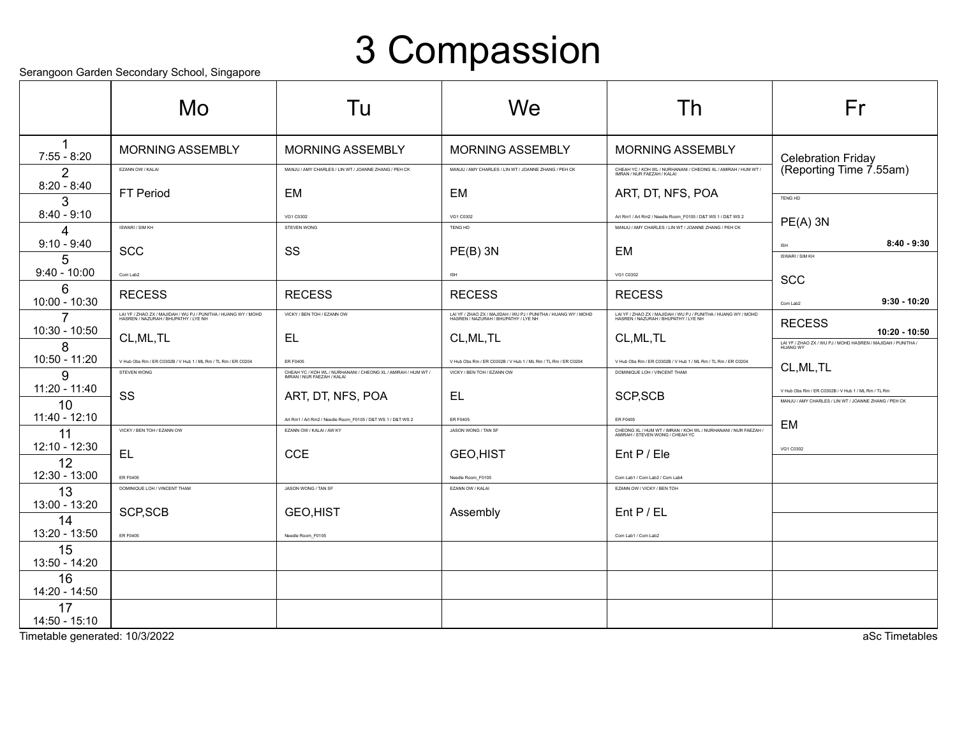## 3 Compassion

Serangoon Garden Secondary School, Singapore

|                       | coldiguoi caldon cocondary concol, emgapolo<br>Mo                                                      | Tu                                                                                          | We                                                                                                     | Th                                                                                                     | Fr                                                                     |
|-----------------------|--------------------------------------------------------------------------------------------------------|---------------------------------------------------------------------------------------------|--------------------------------------------------------------------------------------------------------|--------------------------------------------------------------------------------------------------------|------------------------------------------------------------------------|
| $7:55 - 8:20$         | <b>MORNING ASSEMBLY</b>                                                                                | <b>MORNING ASSEMBLY</b>                                                                     | <b>MORNING ASSEMBLY</b>                                                                                | MORNING ASSEMBLY                                                                                       | <b>Celebration Friday</b>                                              |
| 2<br>$8:20 - 8:40$    | EZANN OW / KALAI                                                                                       | MANJU / AMY CHARLES / LIN WT / JOANNE ZHANG / PEH CK                                        | MANJU / AMY CHARLES / LIN WT / JOANNE ZHANG / PEH CK                                                   | CHEAH YC / KOH WL / NURHANANI / CHEONG XL / AMIRAH / HUM WT /<br>IMRAN / NUR FAEZAH / KALAI            | (Reporting Time 7.55am)                                                |
| 3<br>$8:40 - 9:10$    | FT Period                                                                                              | EM<br>VG1 C0302                                                                             | EM<br>VG1 C0302                                                                                        | ART, DT, NFS, POA<br>Art Rm1 / Art Rm2 / Needle Room_F0105 / D&T WS 1 / D&T WS 2                       | <b>TENG HD</b>                                                         |
| Δ<br>$9:10 - 9:40$    | ISWARI / SIM KH                                                                                        | STEVEN WONG                                                                                 | TENG HD                                                                                                | MANJU / AMY CHARLES / LIN WT / JOANNE ZHANG / PEH CK                                                   | $PE(A)$ 3N<br>$8:40 - 9:30$<br><b>ISH</b>                              |
| 5<br>$9:40 - 10:00$   | <b>SCC</b><br>Com Lab2                                                                                 | SS                                                                                          | $PE(B)$ 3N<br><b>ISH</b>                                                                               | EM<br>VG1 C0302                                                                                        | ISWARI / SIM KH                                                        |
| 6<br>10:00 - 10:30    | <b>RECESS</b>                                                                                          | <b>RECESS</b>                                                                               | <b>RECESS</b>                                                                                          | <b>RECESS</b>                                                                                          | <b>SCC</b><br>$9:30 - 10:20$<br>Com Lab2                               |
| 7<br>10:30 - 10:50    | LAI YF / ZHAO ZX / MAJIDAH / WU PJ / PUNITHA / HUANG WY / MOHD<br>HASREN / NAZURAH / BHUPATHY / LYE NH | VICKY / BEN TOH / EZANN OW                                                                  | LAI YF / ZHAO ZX / MAJIDAH / WU PJ / PUNITHA / HUANG WY / MOHD<br>HASREN / NAZURAH / BHUPATHY / LYE NH | LAI YF / ZHAO ZX / MAJIDAH / WU PJ / PUNITHA / HUANG WY / MOHD<br>HASREN / NAZURAH / BHUPATHY / LYE NH | <b>RECESS</b><br>10:20 - 10:50                                         |
| 8<br>10:50 - 11:20    | CL, ML, TL<br>V Hub Obs Rm / ER C0302B / V Hub 1 / ML Rm / TL Rm / ER C0204                            | EL.<br><b>ER F0405</b>                                                                      | CL, ML, TL<br>V Hub Obs Rm / ER C0302B / V Hub 1 / ML Rm / TL Rm / ER C0204                            | CL, ML, TL<br>V Hub Obs Rm / ER C0302B / V Hub 1 / ML Rm / TL Rm / ER C0204                            | LAI YF / ZHAO ZX / WU PJ / MOHD HASREN / MAJIDAH / PUNITHA<br>HUANG WY |
| 9<br>$11:20 - 11:40$  | STEVEN WONG                                                                                            | CHEAH YC / KOH WL / NURHANANI / CHEONG XL / AMIRAH / HUM WT /<br>IMRAN / NUR FAEZAH / KALAI | VICKY / BEN TOH / EZANN OW                                                                             | DOMINIQUE LOH / VINCENT THAM                                                                           | CL, ML, TL<br>V Hub Obs Rm / ER C0302B / V Hub 1 / ML Rm / TL Rm       |
| 10<br>$11:40 - 12:10$ | SS                                                                                                     | ART, DT, NFS, POA<br>Art Rm1 / Art Rm2 / Needle Room_F0105 / D&T WS 1 / D&T WS 2            | EL<br><b>ER F0405</b>                                                                                  | SCP, SCB<br>ER F0405                                                                                   | MANJU / AMY CHARLES / LIN WT / JOANNE ZHANG / PEH CK                   |
| 11<br>12:10 - 12:30   | VICKY / BEN TOH / EZANN OW                                                                             | EZANN OW / KALAI / AW KY                                                                    | JASON WONG / TAN SF                                                                                    | CHEONG XL / HUM WT / IMRAN / KOH WL / NURHANANI / NUR FAEZAH /<br>AMIRAH / STEVEN WONG / CHEAH YC      | <b>EM</b><br>VG1 C0302                                                 |
| 12<br>12:30 - 13:00   | <b>EL</b>                                                                                              | <b>CCE</b>                                                                                  | <b>GEO,HIST</b>                                                                                        | Ent P / Ele                                                                                            |                                                                        |
| 13<br>13:00 - 13:20   | <b>ER F0405</b><br>DOMINIQUE LOH / VINCENT THAM                                                        | JASON WONG / TAN SF                                                                         | Needle Room_F0105<br>EZANN OW / KALAI                                                                  | Com Lab1 / Com Lab2 / Com Lab4<br>EZANN OW / VICKY / BEN TOH                                           |                                                                        |
| 14<br>13:20 - 13:50   | SCP, SCB                                                                                               | <b>GEO,HIST</b>                                                                             | Assembly                                                                                               | $Ent$ P / EL                                                                                           |                                                                        |
| 15<br>13:50 - 14:20   | <b>ER F0405</b>                                                                                        | Needle Room F0105                                                                           |                                                                                                        | Com Lab1 / Com Lab2                                                                                    |                                                                        |
| 16<br>14:20 - 14:50   |                                                                                                        |                                                                                             |                                                                                                        |                                                                                                        |                                                                        |
| 17<br>$14:50 - 15:10$ |                                                                                                        |                                                                                             |                                                                                                        |                                                                                                        |                                                                        |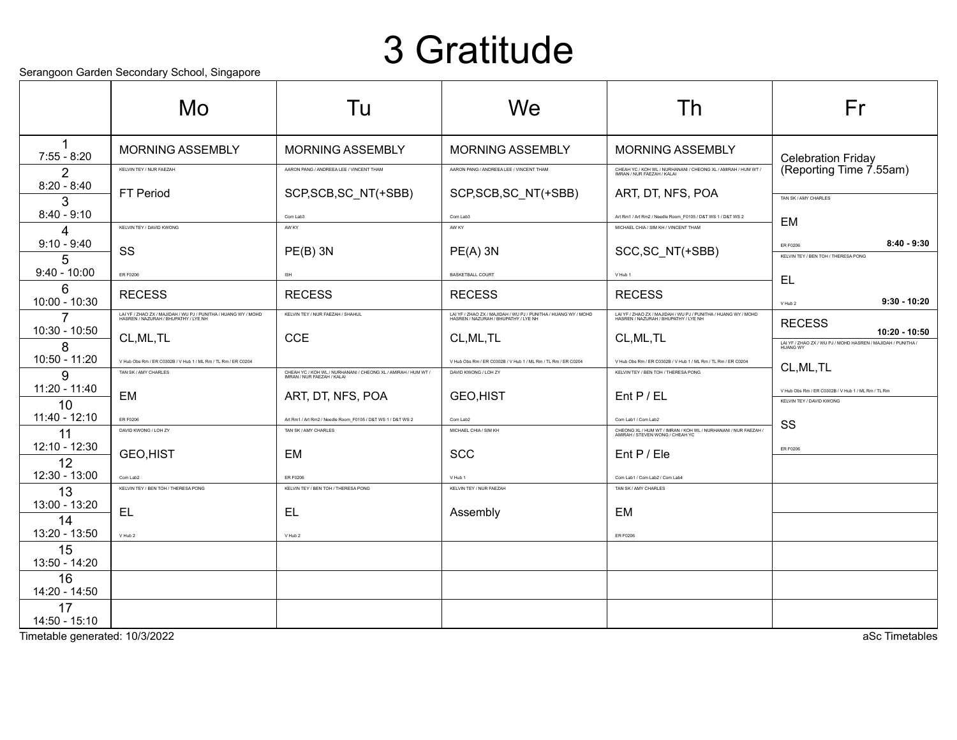### 3 Gratitude

Serangoon Garden Secondary School, Singapore

|                                   | ocialigoon Gardon ocoonidary Gonool, Olitgaporo<br>Mo                                                  | Tu                                                                                          | We                                                                                                     | Th                                                                                                                       | Fr                                                                                          |
|-----------------------------------|--------------------------------------------------------------------------------------------------------|---------------------------------------------------------------------------------------------|--------------------------------------------------------------------------------------------------------|--------------------------------------------------------------------------------------------------------------------------|---------------------------------------------------------------------------------------------|
|                                   |                                                                                                        |                                                                                             |                                                                                                        |                                                                                                                          |                                                                                             |
| $7:55 - 8:20$                     | <b>MORNING ASSEMBLY</b>                                                                                | <b>MORNING ASSEMBLY</b>                                                                     | <b>MORNING ASSEMBLY</b>                                                                                | <b>MORNING ASSEMBLY</b>                                                                                                  |                                                                                             |
| 2                                 | KELVIN TEY / NUR FAEZAH                                                                                | AARON PANG / ANDREEA LEE / VINCENT THAM                                                     | AARON PANG / ANDREEA LEE / VINCENT THAM                                                                | CHEAH YC / KOH WL / NURHANANI / CHEONG XL / AMIRAH / HUM WT /<br>IMRAN / NUR FAEZAH / KALAI                              | Celebration Friday<br>(Reporting Time 7.55am)                                               |
| $8:20 - 8:40$<br>3                | <b>FT Period</b>                                                                                       | SCP, SCB, SC_NT(+SBB)                                                                       | SCP, SCB, SC_NT(+SBB)                                                                                  | ART, DT, NFS, POA                                                                                                        | TAN SK / AMY CHARLES                                                                        |
| $8:40 - 9:10$                     |                                                                                                        | Com Lab3                                                                                    | Com Lab3                                                                                               | Art Rm1 / Art Rm2 / Needle Room F0105 / D&T WS 1 / D&T WS 2                                                              | EM                                                                                          |
| 4<br>$9:10 - 9:40$                | KELVIN TEY / DAVID KWONG                                                                               | AW KY                                                                                       | AW KY                                                                                                  | MICHAEL CHIA / SIM KH / VINCENT THAM                                                                                     | $8:40 - 9:30$<br><b>ER F0206</b>                                                            |
| 5                                 | SS                                                                                                     | $PE(B)$ 3N                                                                                  | $PE(A)$ 3N                                                                                             | SCC, SC_NT(+SBB)                                                                                                         | KELVIN TEY / BEN TOH / THERESA PONG                                                         |
| $9:40 - 10:00$                    | ER F0206                                                                                               | ISH                                                                                         | <b>BASKETBALL COURT</b>                                                                                | V Hub 1                                                                                                                  | EL                                                                                          |
| 6<br>10:00 - 10:30                | <b>RECESS</b>                                                                                          | <b>RECESS</b>                                                                               | <b>RECESS</b>                                                                                          | <b>RECESS</b>                                                                                                            | $9:30 - 10:20$<br>V Hub 2                                                                   |
| $\overline{7}$<br>$10:30 - 10:50$ | LAI YF / ZHAO ZX / MAJIDAH / WU PJ / PUNITHA / HUANG WY / MOHD<br>HASREN / NAZURAH / BHUPATHY / LYE NH | KELVIN TEY / NUR FAEZAH / SHAHUL                                                            | LAI YF / ZHAO ZX / MAJIDAH / WU PJ / PUNITHA / HUANG WY / MOHD<br>HASREN / NAZURAH / BHUPATHY / LYE NH | LAI YF / ZHAO ZX / MAJIDAH / WU PJ / PUNITHA / HUANG WY / MOHD<br>HASREN / NAZURAH / BHUPATHY / LYE NH                   | <b>RECESS</b>                                                                               |
| 8                                 | CL, ML, TL                                                                                             | <b>CCE</b>                                                                                  | CL, ML, TL                                                                                             | CL, ML, TL                                                                                                               | $10:20 - 10:50$<br>LAI YF / ZHAO ZX / WU PJ / MOHD HASREN / MAJIDAH / PUNITHA /<br>HUANG WY |
| 10:50 - 11:20                     | V Hub Obs Rm / ER C0302B / V Hub 1 / ML Rm / TL Rm / ER C0204<br>TAN SK / AMY CHARLES                  |                                                                                             | V Hub Obs Rm / ER C0302B / V Hub 1 / ML Rm / TL Rm / ER C0204<br>DAVID KWONG / LOH ZY                  | V Hub Obs Rm / ER C0302B / V Hub 1 / ML Rm / TL Rm / ER C0204<br>KELVIN TEY / BEN TOH / THERESA PONG                     | CL, ML, TL                                                                                  |
| q<br>11:20 - 11:40                |                                                                                                        | CHEAH YC / KOH WL / NURHANANI / CHEONG XL / AMIRAH / HUM WT /<br>IMRAN / NUR FAFZAH / KALAI |                                                                                                        |                                                                                                                          | V Hub Obs Rm / ER C0302B / V Hub 1 / ML Rm / TL Rm                                          |
| 10                                | EM                                                                                                     | ART, DT, NFS, POA                                                                           | <b>GEO,HIST</b>                                                                                        | $Ent$ P / EL                                                                                                             | <b>KELVIN TEY / DAVID KWONG</b>                                                             |
| 11:40 - 12:10<br>11               | ER F0206<br>DAVID KWONG / LOH ZY                                                                       | Art Rm1 / Art Rm2 / Needle Room_F0105 / D&T WS 1 / D&T WS 2<br>TAN SK / AMY CHARLES         | Com Lab2<br>MICHAEL CHIA / SIM KH                                                                      | Com Lab1 / Com Lab2<br>CHEONG XL / HUM WT / IMRAN / KOH WL / NURHANANI / NUR FAEZAH /<br>AMIRAH / STEVEN WONG / CHEAH YC | SS                                                                                          |
| 12:10 - 12:30                     | GEO, HIST                                                                                              | EM                                                                                          | <b>SCC</b>                                                                                             | Ent P / Ele                                                                                                              | <b>ER F0206</b>                                                                             |
| 12<br>12:30 - 13:00               | Com Lab2                                                                                               | ER F0206                                                                                    | V Hub 1                                                                                                | Com Lab1 / Com Lab2 / Com Lab4                                                                                           |                                                                                             |
| 13                                | KELVIN TEY / BEN TOH / THERESA PONG                                                                    | KELVIN TEY / BEN TOH / THERESA PONG                                                         | KELVIN TEY / NUR FAEZAH                                                                                | TAN SK / AMY CHARLES                                                                                                     |                                                                                             |
| 13:00 - 13:20                     | EL                                                                                                     | EL                                                                                          | Assembly                                                                                               | EM                                                                                                                       |                                                                                             |
| 14<br>13:20 - 13:50               | V Hub 2                                                                                                | V Hub 2                                                                                     |                                                                                                        | ER F0206                                                                                                                 |                                                                                             |
| 15<br>13:50 - 14:20               |                                                                                                        |                                                                                             |                                                                                                        |                                                                                                                          |                                                                                             |
| 16                                |                                                                                                        |                                                                                             |                                                                                                        |                                                                                                                          |                                                                                             |
| 14:20 - 14:50<br>17               |                                                                                                        |                                                                                             |                                                                                                        |                                                                                                                          |                                                                                             |
| $14:50 - 15:10$                   |                                                                                                        |                                                                                             |                                                                                                        |                                                                                                                          |                                                                                             |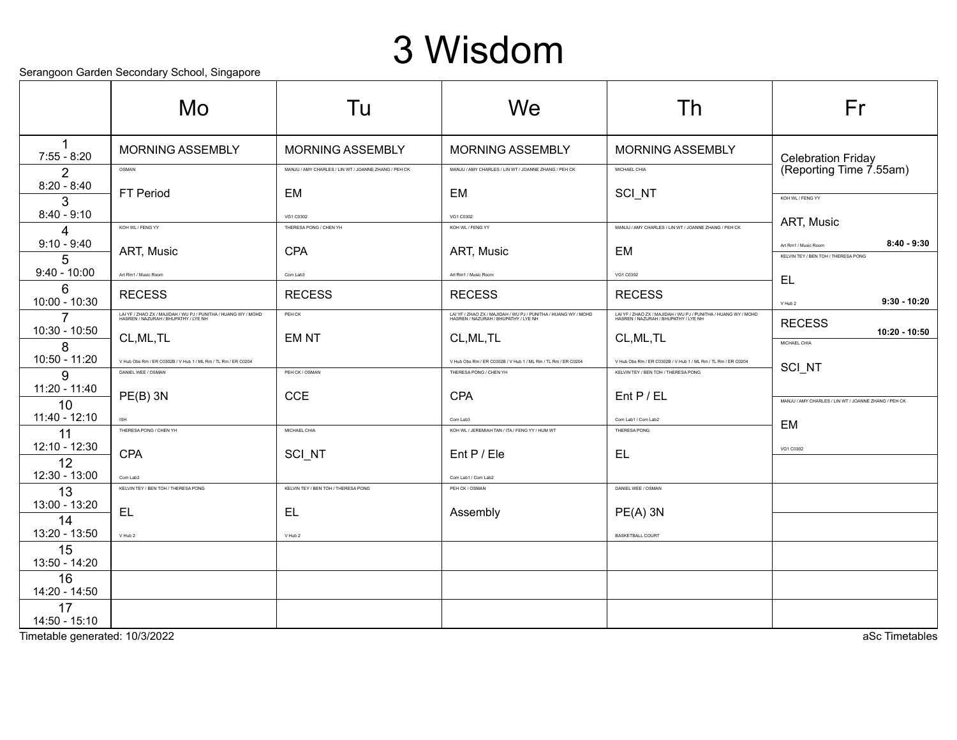## 3 Wisdom

Serangoon Garden Secondary School, Singapore

|                           | solarigoon saraon soconaary concer, singaporo<br>Mo                                                    | Tu                                                   | We                                                                                                     | Th                                                                                                     | Fr                                                   |
|---------------------------|--------------------------------------------------------------------------------------------------------|------------------------------------------------------|--------------------------------------------------------------------------------------------------------|--------------------------------------------------------------------------------------------------------|------------------------------------------------------|
| $7:55 - 8:20$             | <b>MORNING ASSEMBLY</b>                                                                                | <b>MORNING ASSEMBLY</b>                              | <b>MORNING ASSEMBLY</b>                                                                                | MORNING ASSEMBLY                                                                                       |                                                      |
| 2                         | OSMAN                                                                                                  | MANJU / AMY CHARLES / LIN WT / JOANNE ZHANG / PEH CK | MANJU / AMY CHARLES / LIN WT / JOANNE ZHANG / PEH CK                                                   | MICHAEL CHIA                                                                                           | Celebration Friday<br>(Reporting Time 7.55am)        |
| $8:20 - 8:40$<br>3        | FT Period                                                                                              | <b>EM</b>                                            | <b>EM</b>                                                                                              | SCI_NT                                                                                                 | KOH WL / FENG YY                                     |
| $8:40 - 9:10$             | KOH WL / FENG YY                                                                                       | VG1 C0302<br>THERESA PONG / CHEN YH                  | VG1 C0302<br>KOH WL / FENG YY                                                                          | MANJU / AMY CHARLES / LIN WT / JOANNE ZHANG / PEH CK                                                   | ART, Music                                           |
| $\Delta$<br>$9:10 - 9:40$ |                                                                                                        |                                                      |                                                                                                        |                                                                                                        | $8:40 - 9:30$<br>Art Rm1 / Music Room                |
| 5                         | ART, Music                                                                                             | <b>CPA</b>                                           | ART, Music                                                                                             | EM                                                                                                     | KELVIN TEY / BEN TOH / THERESA PONG                  |
| $9:40 - 10:00$            | Art Rm1 / Music Room                                                                                   | Com Lab3                                             | Art Rm1 / Music Room                                                                                   | VG1 C0302                                                                                              | EL                                                   |
| 6<br>10:00 - 10:30        | <b>RECESS</b>                                                                                          | <b>RECESS</b>                                        | <b>RECESS</b>                                                                                          | <b>RECESS</b>                                                                                          | $9:30 - 10:20$<br>V Hub 2                            |
| 7                         | LAI YF / ZHAO ZX / MAJIDAH / WU PJ / PUNITHA / HUANG WY / MOHD<br>HASREN / NAZURAH / BHUPATHY / LYE NH | PEH CK                                               | LAI YF / ZHAO ZX / MAJIDAH / WU PJ / PUNITHA / HUANG WY / MOHD<br>HASREN / NAZURAH / BHUPATHY / LYE NH | LAI YF / ZHAO ZX / MAJIDAH / WU PJ / PUNITHA / HUANG WY / MOHD<br>HASREN / NAZURAH / BHUPATHY / LYE NH | <b>RECESS</b>                                        |
| 10:30 - 10:50<br>8        | CL, ML, TL                                                                                             | <b>EMNT</b>                                          | CL, ML, TL                                                                                             | CL, ML, TL                                                                                             | 10:20 - 10:50<br>MICHAEL CHIA                        |
| 10:50 - 11:20             | V Hub Obs Rm / ER C0302B / V Hub 1 / ML Rm / TL Rm / ER C0204                                          |                                                      | V Hub Obs Rm / ER C0302B / V Hub 1 / ML Rm / TL Rm / ER C0204                                          | V Hub Obs Rm / ER C0302B / V Hub 1 / ML Rm / TL Rm / ER C0204                                          |                                                      |
| 9                         | DANIEL WEE / OSMAN                                                                                     | PEH CK / OSMAN                                       | THERESA PONG / CHEN YH                                                                                 | KELVIN TEY / BEN TOH / THERESA PONG                                                                    | <b>SCI NT</b>                                        |
| 11:20 - 11:40<br>10       | $PE(B)$ 3N                                                                                             | <b>CCE</b>                                           | <b>CPA</b>                                                                                             | $Ent$ P / EL                                                                                           | MANJU / AMY CHARLES / LIN WT / JOANNE ZHANG / PEH CK |
| 11:40 - 12:10             | ISH                                                                                                    |                                                      | Com Lab3                                                                                               | Com Lab1 / Com Lab2                                                                                    |                                                      |
| 11                        | THERESA PONG / CHEN YH                                                                                 | MICHAEL CHIA                                         | KOH WL / JEREMIAH TAN / ITA / FENG YY / HUM WT                                                         | THERESA PONG                                                                                           | EM                                                   |
| 12:10 - 12:30<br>12       | CPA                                                                                                    | SCI_NT                                               | Ent P / Ele                                                                                            | <b>EL</b>                                                                                              | VG1 C0302                                            |
| 12:30 - 13:00             | Com Lab3                                                                                               |                                                      | Com Lab1 / Com Lab2                                                                                    |                                                                                                        |                                                      |
| 13                        | KELVIN TEY / BEN TOH / THERESA PONG                                                                    | KELVIN TEY / BEN TOH / THERESA PONG                  | PEH CK / OSMAN                                                                                         | DANIEL WEE / OSMAN                                                                                     |                                                      |
| 13:00 - 13:20<br>14       | EL                                                                                                     | EL.                                                  | Assembly                                                                                               | $PE(A)$ 3N                                                                                             |                                                      |
| 13:20 - 13:50             | V Hub 2                                                                                                | V Hub 2                                              |                                                                                                        | <b>BASKETBALL COURT</b>                                                                                |                                                      |
| 15<br>13:50 - 14:20       |                                                                                                        |                                                      |                                                                                                        |                                                                                                        |                                                      |
| 16                        |                                                                                                        |                                                      |                                                                                                        |                                                                                                        |                                                      |
| 14:20 - 14:50             |                                                                                                        |                                                      |                                                                                                        |                                                                                                        |                                                      |
| 17<br>$14:50 - 15:10$     |                                                                                                        |                                                      |                                                                                                        |                                                                                                        |                                                      |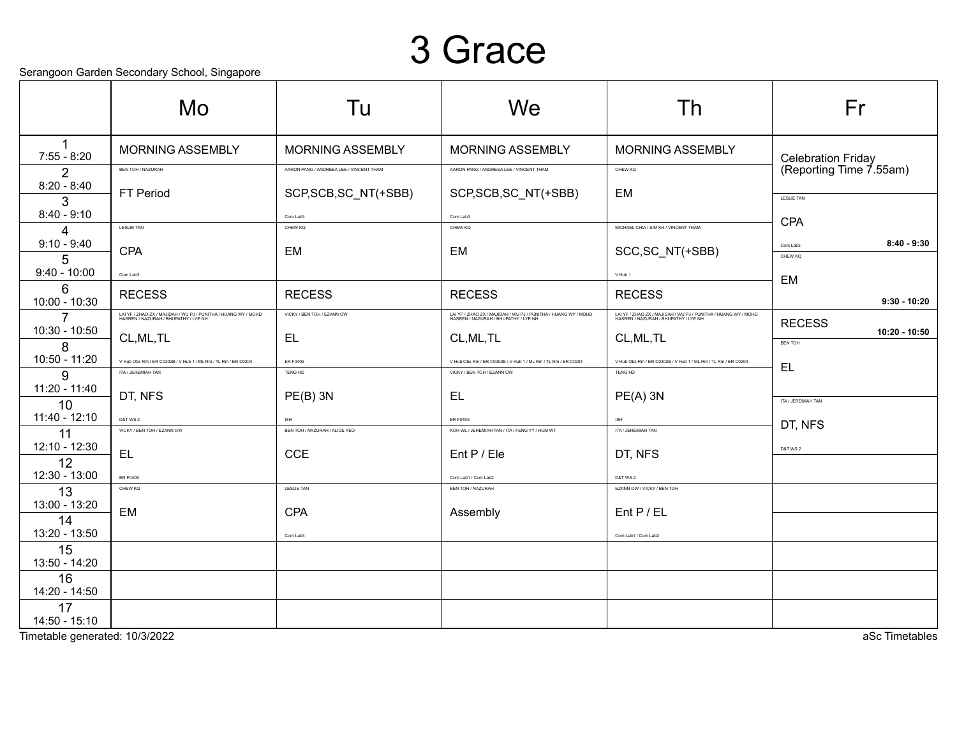#### 3 Grace

#### Serangoon Garden Secondary School, Singapore

|                     | ocialigoon Gardon ocoonidary Gonool, Olligaporo<br>Mo                                                  | Tu                                      | We                                                                                                     | Th                                                                                                      | Fr                        |
|---------------------|--------------------------------------------------------------------------------------------------------|-----------------------------------------|--------------------------------------------------------------------------------------------------------|---------------------------------------------------------------------------------------------------------|---------------------------|
|                     | <b>MORNING ASSEMBLY</b>                                                                                | <b>MORNING ASSEMBLY</b>                 | <b>MORNING ASSEMBLY</b>                                                                                | <b>MORNING ASSEMBLY</b>                                                                                 |                           |
| $7:55 - 8:20$       |                                                                                                        |                                         |                                                                                                        |                                                                                                         | <b>Celebration Friday</b> |
| 2<br>$8:20 - 8:40$  | <b>BEN TOH / NAZURAH</b>                                                                               | AARON PANG / ANDREEA LEE / VINCENT THAM | AARON PANG / ANDREEA LEE / VINCENT THAN                                                                | CHEW KQ                                                                                                 | (Reporting Time 7.55am)   |
| 3                   | <b>FT Period</b>                                                                                       | SCP, SCB, SC_NT(+SBB)                   | SCP, SCB, SC_NT(+SBB)                                                                                  | EM                                                                                                      | <b>LESLIE TAN</b>         |
| $8:40 - 9:10$       |                                                                                                        | Com Lab3                                | Com Lab3                                                                                               |                                                                                                         |                           |
| 4                   | <b>LESLIE TAN</b>                                                                                      | CHEW KQ                                 | CHEW KQ                                                                                                | MICHAEL CHIA / SIM KH / VINCENT THAM                                                                    | <b>CPA</b>                |
| $9:10 - 9:40$       | <b>CPA</b>                                                                                             | EM                                      | EM                                                                                                     | SCC, SC_NT(+SBB)                                                                                        | $8:40 - 9:30$<br>Com Lab3 |
| 5<br>$9:40 - 10:00$ |                                                                                                        |                                         |                                                                                                        |                                                                                                         | CHEW KQ                   |
| 6                   | Com Lab3                                                                                               |                                         |                                                                                                        | V Hub 1                                                                                                 | EM                        |
| 10:00 - 10:30       | <b>RECESS</b>                                                                                          | <b>RECESS</b>                           | <b>RECESS</b>                                                                                          | <b>RECESS</b>                                                                                           | $9:30 - 10:20$            |
| $\overline{7}$      | LAI YF / ZHAO ZX / MAJIDAH / WU PJ / PUNITHA / HUANG WY / MOHD<br>HASREN / NAZURAH / BHUPATHY / LYE NH | VICKY / BEN TOH / EZANN OW              | LAI YF / ZHAO ZX / MAJIDAH / WU PJ / PUNITHA / HUANG WY / MOHD<br>HASREN / NAZURAH / BHUPATHY / LYE NH | LAI YF / ZHAO ZX / MAJIDAH / WU PJ / PUNITHA / HUANG WY / MOHD<br>HASREN / NAZURAH / BHUPATHY / I YE NH | <b>RECESS</b>             |
| 10:30 - 10:50       | CL, ML, TL                                                                                             | EL.                                     | CL, ML, TL                                                                                             | CL, ML, TL                                                                                              | 10:20 - 10:50             |
| 8<br>10:50 - 11:20  |                                                                                                        |                                         |                                                                                                        |                                                                                                         | <b>BEN TOH</b>            |
| 9                   | V Hub Obs Rm / ER C0302B / V Hub 1 / ML Rm / TL Rm / ER C0204<br>ITA / JEREMIAH TAN                    | ER F0405<br>TENG HD                     | V Hub Obs Rm / ER C0302B / V Hub 1 / ML Rm / TL Rm / ER C0204<br>VICKY / BEN TOH / EZANN OW            | V Hub Obs Rm / ER C0302B / V Hub 1 / ML Rm / TL Rm / ER C0204<br>TENG HD                                | EL                        |
| 11:20 - 11:40       |                                                                                                        |                                         |                                                                                                        |                                                                                                         |                           |
| 10                  | DT, NFS                                                                                                | $PE(B)$ 3N                              | EL                                                                                                     | $PE(A)$ 3N                                                                                              | ITA / JEREMIAH TAN        |
| 11:40 - 12:10       | <b>D&amp;T WS 2</b><br>VICKY / BEN TOH / EZANN OW                                                      | ISH<br>BEN TOH / NAZURAH / ALICE YEO    | <b>ER E0405</b><br>KOH WL / JEREMIAH TAN / ITA / FENG YY / HUM WT                                      | <b>ISH</b><br>ITA / JEREMIAH TAN                                                                        | DT, NFS                   |
| 11<br>12:10 - 12:30 |                                                                                                        |                                         |                                                                                                        |                                                                                                         |                           |
| 12                  | EL.                                                                                                    | <b>CCE</b>                              | Ent P / Ele                                                                                            | DT, NFS                                                                                                 | D&T WS 2                  |
| 12:30 - 13:00       | ER F0405                                                                                               |                                         | Com Lab1 / Com Lab2                                                                                    | D&T WS 2                                                                                                |                           |
| 13                  | CHEW KQ                                                                                                | <b>LESLIE TAN</b>                       | <b>BEN TOH / NAZURAH</b>                                                                               | EZANN OW / VICKY / BEN TOH                                                                              |                           |
| 13:00 - 13:20       | EM                                                                                                     | <b>CPA</b>                              | Assembly                                                                                               | $Ent$ P / EL                                                                                            |                           |
| 14<br>13:20 - 13:50 |                                                                                                        |                                         |                                                                                                        |                                                                                                         |                           |
| 15                  |                                                                                                        | Com Lab3                                |                                                                                                        | Com Lab1 / Com Lab2                                                                                     |                           |
| 13:50 - 14:20       |                                                                                                        |                                         |                                                                                                        |                                                                                                         |                           |
| 16                  |                                                                                                        |                                         |                                                                                                        |                                                                                                         |                           |
| 14:20 - 14:50       |                                                                                                        |                                         |                                                                                                        |                                                                                                         |                           |
| 17<br>14:50 - 15:10 |                                                                                                        |                                         |                                                                                                        |                                                                                                         |                           |

Timetable generated: 10/3/2022 aSc Timetables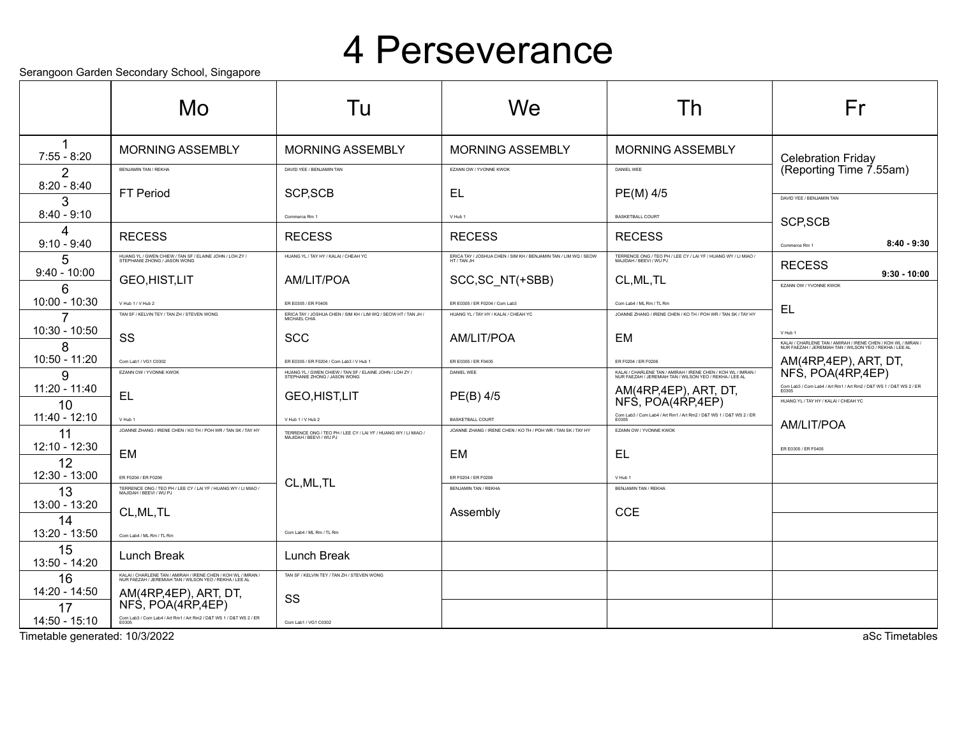#### 4 Perseverance

Serangoon Garden Secondary School, Singapore

|                                | solarigoon saraon soconaary sonoon, singaporo<br>Mo                                                                      | Tu                                                                                                             | We                                                                                      | Th                                                                                                                       | Fr                                                                                                                                                |
|--------------------------------|--------------------------------------------------------------------------------------------------------------------------|----------------------------------------------------------------------------------------------------------------|-----------------------------------------------------------------------------------------|--------------------------------------------------------------------------------------------------------------------------|---------------------------------------------------------------------------------------------------------------------------------------------------|
| $7:55 - 8:20$                  | <b>MORNING ASSEMBLY</b>                                                                                                  | <b>MORNING ASSEMBLY</b>                                                                                        | <b>MORNING ASSEMBLY</b>                                                                 | <b>MORNING ASSEMBLY</b>                                                                                                  | <b>Celebration Friday</b>                                                                                                                         |
| $\overline{2}$                 | <b>BENJAMIN TAN / REKHA</b>                                                                                              | DAVID YEE / BENJAMIN TAN                                                                                       | EZANN OW / YVONNE KWOK                                                                  | DANIEL WEE                                                                                                               | (Reporting Time 7.55am)                                                                                                                           |
| $8:20 - 8:40$                  | <b>FT Period</b>                                                                                                         | SCP, SCB                                                                                                       | EL                                                                                      | PE(M) 4/5                                                                                                                | DAVID YEE / BENJAMIN TAN                                                                                                                          |
| 3<br>$8:40 - 9:10$             |                                                                                                                          | Commerce Rm 1                                                                                                  | V Hub 1                                                                                 | <b>BASKETBALL COURT</b>                                                                                                  |                                                                                                                                                   |
| 4<br>$9:10 - 9:40$             | <b>RECESS</b>                                                                                                            | <b>RECESS</b>                                                                                                  | <b>RECESS</b>                                                                           | <b>RECESS</b>                                                                                                            | SCP, SCB<br>$8:40 - 9:30$<br>Commerce Rm 1                                                                                                        |
| 5                              | HUANG YL / GWEN CHIEW / TAN SF / ELAINE JOHN / LOH ZY /<br>STEPHANIE ZHONG / JASON WONG                                  | HUANG YL / TAY HY / KALAI / CHEAH YC                                                                           | ERICA TAY / JOSHUA CHEN / SIM KH / BENJAMIN TAN / LIM WQ / SEOW<br>HT / TAN JH          | TERRENCE ONG / TEO PH / LEE CY / LAI YF / HUANG WY / LI MIAO /<br>MAJIDAH / BEEVI / WU PJ                                | <b>RECESS</b>                                                                                                                                     |
| $9:40 - 10:00$<br>6            | <b>GEO,HIST,LIT</b>                                                                                                      | AM/LIT/POA                                                                                                     | SCC, SC_NT(+SBB)                                                                        | CL, ML, TL                                                                                                               | $9:30 - 10:00$<br>EZANN OW / YVONNE KWOK                                                                                                          |
| $10:00 - 10:30$                | V Hub 1 / V Hub 2                                                                                                        | ER E0305 / ER F0405                                                                                            | ER E0305 / ER F0204 / Com Lab3                                                          | Com Lab4 / ML Rm / TL Rm                                                                                                 | EL                                                                                                                                                |
| 7<br>10:30 - 10:50             | TAN SF / KELVIN TEY / TAN ZH / STEVEN WONG<br>SS                                                                         | ERICA TAY / JOSHUA CHEN / SIM KH / LIM WQ / SEOW HT / TAN JH /<br>MICHAEL CHIA<br><b>SCC</b>                   | HUANG YL / TAY HY / KALAI / CHEAH YC<br>AM/LIT/POA                                      | JOANNE ZHANG / IRENE CHEN / KO TH / POH WR / TAN SK / TAY HY<br>EM                                                       | V Hub 1                                                                                                                                           |
| 8<br>10:50 - 11:20             | Com Lab1 / VG1 C0302                                                                                                     | ER E0305 / ER E0204 / Com Lab3 / V Hub 1                                                                       | ER E0305 / ER F0405                                                                     | FR E0204 / FR E0206                                                                                                      | KALAI / CHARLENE TAN / AMIRAH / IRENE CHEN / KOH WL / IMRAN /<br>NUR FAEZAH / JEREMIAH TAN / WILSON YEO / REKHA / LEE AL<br>AM(4RP,4EP), ART, DT, |
| 9                              | EZANN OW / YVONNE KWOK                                                                                                   | HUANG YL / GWEN CHIEW / TAN SF / ELAINE JOHN / LOH ZY /<br>STEPHANIE ZHONG / JASON WONG                        | DANIEL WEE                                                                              | KALAI / CHARLENE TAN / AMIRAH / IRENE CHEN / KOH WL / IMRAN /<br>NUR FAEZAH / JEREMIAH TAN / WILSON YEO / REKHA / LEE AL | NFS, POA(4RP, 4EP)                                                                                                                                |
| $11:20 - 11:40$                | <b>EL</b>                                                                                                                | <b>GEO,HIST,LIT</b>                                                                                            | $PE(B)$ 4/5                                                                             | AM(4RP,4EP), ART, DT,                                                                                                    | Com Lab3 / Com Lab4 / Art Rm1 / Art Rm2 / D&T WS 1 / D&T WS 2 / ER<br>E0305                                                                       |
| 10<br>$11:40 - 12:10$          |                                                                                                                          |                                                                                                                |                                                                                         | NFS, POA(4RP,4EP)<br>Com Lab3 / Com Lab4 / Art Rm1 / Art Rm2 / D&T WS 1 / D&T WS 2 / ER                                  | HUANG YL / TAY HY / KALAI / CHEAH YC                                                                                                              |
| 11                             | V Hub 1<br>JOANNE ZHANG / IRENE CHEN / KO TH / POH WR / TAN SK / TAY HY                                                  | V Hub 1 / V Hub 2<br>TERRENCE ONG / TEO PH / LEE CY / LAI YF / HUANG WY / LI MIAO /<br>MAJIDAH / BEEVI / WU PJ | <b>BASKETBALL COURT</b><br>JOANNE ZHANG / IRENE CHEN / KO TH / POH WR / TAN SK / TAY HY | FZANN OW / YVONNE KWOK                                                                                                   | AM/LIT/POA                                                                                                                                        |
| 12:10 - 12:30                  | EM                                                                                                                       |                                                                                                                | EM                                                                                      | EL                                                                                                                       | ER E0305 / ER F0405                                                                                                                               |
| 12                             |                                                                                                                          |                                                                                                                |                                                                                         |                                                                                                                          |                                                                                                                                                   |
| 12:30 - 13:00<br>13            | ER F0204 / ER F0206<br>TERRENCE ONG / TEO PH / LEE CY / LAI YF / HUANG WY / LI MIAO /<br>MAJIDAH / BEEVI / WU PJ         | CL, ML, TL                                                                                                     | FR F0204 / FR F0206<br><b>BENJAMIN TAN / REKHA</b>                                      | V Hub 1<br><b>BENJAMIN TAN / REKHA</b>                                                                                   |                                                                                                                                                   |
| 13:00 - 13:20                  |                                                                                                                          |                                                                                                                |                                                                                         |                                                                                                                          |                                                                                                                                                   |
| 14                             | CL, ML, TL                                                                                                               |                                                                                                                | Assembly                                                                                | <b>CCE</b>                                                                                                               |                                                                                                                                                   |
| 13:20 - 13:50                  | Com Lab4 / ML Rm / TL Rm                                                                                                 | Com Lab4 / ML Rm / TL Rm                                                                                       |                                                                                         |                                                                                                                          |                                                                                                                                                   |
| 15<br>13:50 - 14:20            | Lunch Break                                                                                                              | Lunch Break                                                                                                    |                                                                                         |                                                                                                                          |                                                                                                                                                   |
| 16                             | KALAI / CHARLENE TAN / AMIRAH / IRENE CHEN / KOH WL / IMRAN /<br>NUR FAEZAH / JEREMIAH TAN / WILSON YEO / REKHA / LEE AL | TAN SF / KELVIN TEY / TAN ZH / STEVEN WONG                                                                     |                                                                                         |                                                                                                                          |                                                                                                                                                   |
| 14:20 - 14:50<br>17            | AM(4RP,4EP), ART, DT,<br>NFS, POA(4RP,4EP)                                                                               | SS                                                                                                             |                                                                                         |                                                                                                                          |                                                                                                                                                   |
| 14:50 - 15:10                  | Com Lab3 / Com Lab4 / Art Rm1 / Art Rm2 / D&T WS 1 / D&T WS 2 / ER<br>E0305                                              | Com Lab1 / VG1 C0302                                                                                           |                                                                                         |                                                                                                                          |                                                                                                                                                   |
| Timetable generated: 10/3/2022 |                                                                                                                          |                                                                                                                |                                                                                         |                                                                                                                          | aSc Timetables                                                                                                                                    |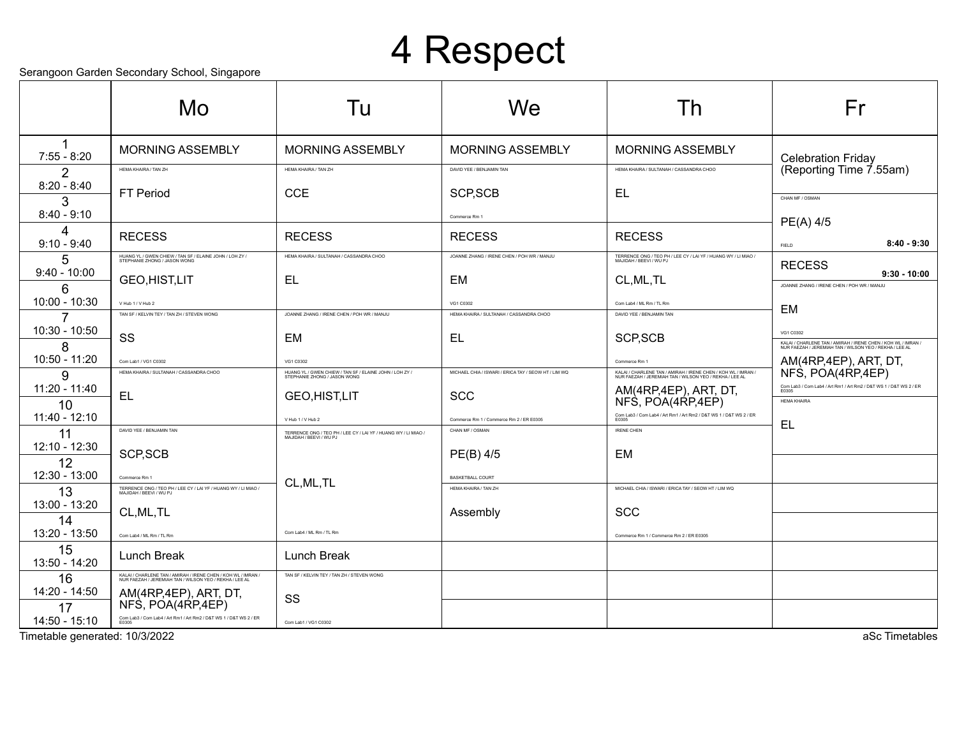## 4 Respect

Serangoon Garden Secondary School, Singapore

|                                 | ocialigoon Gardon ocoonidary Gonool, Olitgaporo<br>Mo                                                                    | Tu                                                                                                             | We                                                          | Th                                                                                                                       | Fr                                                                                                                                                |
|---------------------------------|--------------------------------------------------------------------------------------------------------------------------|----------------------------------------------------------------------------------------------------------------|-------------------------------------------------------------|--------------------------------------------------------------------------------------------------------------------------|---------------------------------------------------------------------------------------------------------------------------------------------------|
| 1<br>$7:55 - 8:20$              | MORNING ASSEMBLY                                                                                                         | <b>MORNING ASSEMBLY</b>                                                                                        | <b>MORNING ASSEMBLY</b>                                     | <b>MORNING ASSEMBLY</b>                                                                                                  | <b>Celebration Friday</b>                                                                                                                         |
| 2                               | HEMA KHAIRA / TAN ZH                                                                                                     | HEMA KHAIRA / TAN ZH                                                                                           | DAVID YEE / BENJAMIN TAN                                    | HEMA KHAIRA / SULTANAH / CASSANDRA CHOO                                                                                  | (Reporting Time 7.55am)                                                                                                                           |
| $8:20 - 8:40$<br>3              | FT Period                                                                                                                | <b>CCE</b>                                                                                                     | SCP, SCB                                                    | EL                                                                                                                       | CHAN MF / OSMAN                                                                                                                                   |
| $8:40 - 9:10$                   |                                                                                                                          |                                                                                                                | Commerce Rm 1                                               |                                                                                                                          | PE(A) 4/5                                                                                                                                         |
| 4<br>$9:10 - 9:40$              | <b>RECESS</b>                                                                                                            | <b>RECESS</b>                                                                                                  | <b>RECESS</b>                                               | <b>RECESS</b>                                                                                                            | $8:40 - 9:30$<br>FIELD                                                                                                                            |
| 5                               | HUANG YL / GWEN CHIEW / TAN SF / ELAINE JOHN / LOH ZY /<br>STEPHANIE ZHONG / JASON WONG                                  | HEMA KHAIRA / SULTANAH / CASSANDRA CHOO                                                                        | JOANNE ZHANG / IRENE CHEN / POH WR / MANJU                  | TERRENCE ONG / TEO PH / LEE CY / LAI YF / HUANG WY / LI MIAO /<br>MAJIDAH / BEEVI / WU PJ                                | <b>RECESS</b>                                                                                                                                     |
| $9:40 - 10:00$<br>6             | <b>GEO,HIST,LIT</b>                                                                                                      | EL.                                                                                                            | EM                                                          | CL, ML, TL                                                                                                               | $9:30 - 10:00$<br>JOANNE ZHANG / IRENE CHEN / POH WR / MANJU                                                                                      |
| 10:00 - 10:30                   | V Hub 1 / V Hub 2                                                                                                        |                                                                                                                | VG1 C0302                                                   | Com Lab4 / ML Rm / TL Rm                                                                                                 | EM                                                                                                                                                |
| $\overline{7}$<br>10:30 - 10:50 | TAN SF / KELVIN TEY / TAN ZH / STEVEN WONG<br>SS                                                                         | JOANNE ZHANG / IRENE CHEN / POH WR / MANJU<br>EM                                                               | HEMA KHAIRA / SULTANAH / CASSANDRA CHOO<br>EL               | DAVID YEE / BENJAMIN TAN<br>SCP, SCB                                                                                     | VG1 C0302                                                                                                                                         |
| 8<br>10:50 - 11:20              | Com Lab1 / VG1 C0302                                                                                                     | VG1 C0302                                                                                                      |                                                             | Commerce Rm 1                                                                                                            | KALAI / CHARLENE TAN / AMIRAH / IRENE CHEN / KOH WL / IMRAN /<br>NUR FAEZAH / JEREMIAH TAN / WILSON YEO / REKHA / LEE AL<br>AM(4RP,4EP), ART, DT, |
| g                               | HEMA KHAIRA / SULTANAH / CASSANDRA CHOO                                                                                  | HUANG YL / GWEN CHIEW / TAN SF / ELAINE JOHN / LOH ZY /<br>STEPHANIE ZHONG / JASON WONG                        | MICHAEL CHIA / ISWARI / ERICA TAY / SEOW HT / LIM WQ        | KALAI / CHARLENE TAN / AMIRAH / IRENE CHEN / KOH WL / IMRAN /<br>NUR FAEZAH / JEREMIAH TAN / WILSON YEO / REKHA / LEE AL | NFS, POA(4RP, 4EP)                                                                                                                                |
| $11:20 - 11:40$                 | EL                                                                                                                       | <b>GEO,HIST,LIT</b>                                                                                            | <b>SCC</b>                                                  | AM(4RP,4EP), ART, DT,                                                                                                    | Com Lab3 / Com Lab4 / Art Rm1 / Art Rm2 / D&T WS 1 / D&T WS 2 / ER<br>E0305                                                                       |
| 10<br>$11:40 - 12:10$           |                                                                                                                          |                                                                                                                |                                                             | NFS, POA(4RP,4EP)<br>Com Lab3 / Com Lab4 / Art Rm1 / Art Rm2 / D&T WS 1 / D&T WS 2 / ER                                  | <b>HEMA KHAIRA</b>                                                                                                                                |
| 11                              | DAVID YEE / BENJAMIN TAN                                                                                                 | V Hub 1 / V Hub 2<br>TERRENCE ONG / TEO PH / LEE CY / LAI YF / HUANG WY / LI MIAO /<br>MAJIDAH / BEEVI / WU PJ | Commerce Rm 1 / Commerce Rm 2 / ER E0305<br>CHAN MF / OSMAN | <b>IRENE CHEN</b>                                                                                                        | EL                                                                                                                                                |
| 12:10 - 12:30<br>12             | SCP, SCB                                                                                                                 |                                                                                                                | PE(B) 4/5                                                   | EM                                                                                                                       |                                                                                                                                                   |
| 12:30 - 13:00                   | Commerce Rm 1                                                                                                            |                                                                                                                | <b>BASKETBALL COURT</b>                                     |                                                                                                                          |                                                                                                                                                   |
| 13                              | TERRENCE ONG / TEO PH / LEE CY / LAI YF / HUANG WY / LI MIAO /<br>MAJIDAH / BEEVI / WU PJ                                | CL, ML, TL                                                                                                     | HEMA KHAIRA / TAN ZH                                        | MICHAEL CHIA / ISWARI / ERICA TAY / SEOW HT / LIM WQ                                                                     |                                                                                                                                                   |
| 13:00 - 13:20<br>14             | CL, ML, TL                                                                                                               |                                                                                                                | Assembly                                                    | <b>SCC</b>                                                                                                               |                                                                                                                                                   |
| 13:20 - 13:50                   | Com Lab4 / ML Rm / TL Rm                                                                                                 | Com Lab4 / ML Rm / TL Rm                                                                                       |                                                             | Commerce Rm 1 / Commerce Rm 2 / ER E0305                                                                                 |                                                                                                                                                   |
| 15<br>13:50 - 14:20             | Lunch Break                                                                                                              | Lunch Break                                                                                                    |                                                             |                                                                                                                          |                                                                                                                                                   |
| 16                              | KALAI / CHARLENE TAN / AMIRAH / IRENE CHEN / KOH WL / IMRAN /<br>NUR FAEZAH / JEREMIAH TAN / WILSON YEO / REKHA / LEE AL | TAN SF / KELVIN TEY / TAN ZH / STEVEN WONG                                                                     |                                                             |                                                                                                                          |                                                                                                                                                   |
| 14:20 - 14:50                   | AM(4RP,4EP), ART, DT,                                                                                                    | SS                                                                                                             |                                                             |                                                                                                                          |                                                                                                                                                   |
| 17<br>14:50 - 15:10             | NFS, POA(4RP,4EP)<br>Com Lab3 / Com Lab4 / Art Rm1 / Art Rm2 / D&T WS 1 / D&T WS 2 / ER<br>E0305                         |                                                                                                                |                                                             |                                                                                                                          |                                                                                                                                                   |
| Timetable generated: 10/3/2022  |                                                                                                                          | Com Lab1 / VG1 C0302                                                                                           |                                                             |                                                                                                                          | aSc Timetables                                                                                                                                    |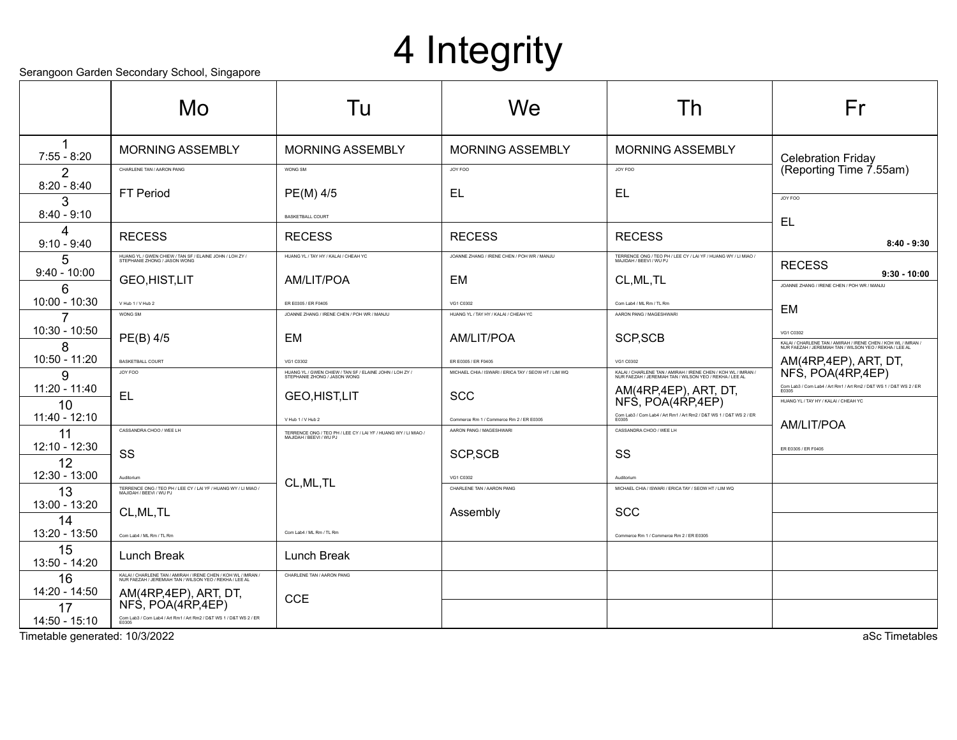# 4 Integrity

Serangoon Garden Secondary School, Singapore

|                       | Jerangoon Garden Jecondary Johoor, Jingapore                                                                             |                                                                                           |                                                      |                                                                                                                          |                                                                                                                                       |
|-----------------------|--------------------------------------------------------------------------------------------------------------------------|-------------------------------------------------------------------------------------------|------------------------------------------------------|--------------------------------------------------------------------------------------------------------------------------|---------------------------------------------------------------------------------------------------------------------------------------|
|                       | Mo                                                                                                                       | Tu                                                                                        | We                                                   | Th                                                                                                                       | Fr                                                                                                                                    |
| 1<br>$7:55 - 8:20$    | <b>MORNING ASSEMBLY</b>                                                                                                  | <b>MORNING ASSEMBLY</b>                                                                   | <b>MORNING ASSEMBLY</b>                              | <b>MORNING ASSEMBLY</b>                                                                                                  | <b>Celebration Friday</b>                                                                                                             |
| 2                     | CHARLENE TAN / AARON PANG                                                                                                | WONG SM                                                                                   | JOY FOO                                              | JOY FOO                                                                                                                  | (Reporting Time 7.55am)                                                                                                               |
| $8:20 - 8:40$<br>3    | <b>FT Period</b>                                                                                                         | PE(M) 4/5                                                                                 | EL                                                   | EL,                                                                                                                      | JOY FOO                                                                                                                               |
| $8:40 - 9:10$         |                                                                                                                          | <b>BASKETBALL COURT</b>                                                                   |                                                      |                                                                                                                          | EL                                                                                                                                    |
| Δ<br>$9:10 - 9:40$    | <b>RECESS</b>                                                                                                            | <b>RECESS</b>                                                                             | <b>RECESS</b>                                        | <b>RECESS</b>                                                                                                            | $8:40 - 9:30$                                                                                                                         |
| 5                     | HUANG YL / GWEN CHIEW / TAN SF / ELAINE JOHN / LOH ZY /<br>STEPHANIE ZHONG / JASON WONG                                  | HUANG YL / TAY HY / KALAI / CHEAH YC                                                      | JOANNE ZHANG / IRENE CHEN / POH WR / MANJU           | TERRENCE ONG / TEO PH / LEE CY / LAI YF / HUANG WY / LI MIAO /<br>MAJIDAH / REEVI / WI I PJ                              | <b>RECESS</b>                                                                                                                         |
| $9:40 - 10:00$<br>6   | GEO, HIST, LIT                                                                                                           | AM/LIT/POA                                                                                | EM                                                   | CL, ML, TL                                                                                                               | $9:30 - 10:00$<br>JOANNE ZHANG / IRENE CHEN / POH WR / MANJU                                                                          |
| 10:00 - 10:30         | V Hub 1 / V Hub 2                                                                                                        | ER E0305 / ER F0405                                                                       | VG1 C0302                                            | Com Lab4 / ML Rm / TL Rm                                                                                                 | EM                                                                                                                                    |
|                       | WONG SM                                                                                                                  | JOANNE ZHANG / IRENE CHEN / POH WR / MANJU                                                | HUANG YL / TAY HY / KALAI / CHEAH YC                 | AARON PANG / MAGESHWARI                                                                                                  |                                                                                                                                       |
| 10:30 - 10:50<br>8    | PE(B) 4/5                                                                                                                | EM                                                                                        | AM/LIT/POA                                           | SCP, SCB                                                                                                                 | VG1 C0302<br>KALAI / CHARLENE TAN / AMIRAH / IRENE CHEN / KOH WL / IMRAN /<br>NUR FAEZAH / JEREMIAH TAN / WILSON YEO / REKHA / LEE AL |
| 10:50 - 11:20         | BASKETBALL COURT                                                                                                         | VG1 C0302                                                                                 | ER E0305 / ER F0405                                  | VG1 C0302                                                                                                                | AM(4RP,4EP), ART, DT,                                                                                                                 |
| g                     | JOY FOO                                                                                                                  | HUANG YL / GWEN CHIEW / TAN SF / ELAINE JOHN / LOH ZY /<br>STEPHANIE ZHONG / JASON WONG   | MICHAEL CHIA / ISWARI / ERICA TAY / SEOW HT / LIM WQ | KALAI / CHARLENE TAN / AMIRAH / IRENE CHEN / KOH WL / IMRAN /<br>NUR FAEZAH / JEREMIAH TAN / WILSON YEO / REKHA / LEE AL | NFS, POA(4RP,4EP)                                                                                                                     |
| $11:20 - 11:40$<br>10 | EL                                                                                                                       | <b>GEO,HIST,LIT</b>                                                                       | <b>SCC</b>                                           | AM(4RP,4EP), ART, DT,<br>NFS, POA(4RP,4EP)                                                                               | Com Lab3 / Com Lab4 / Art Rm1 / Art Rm2 / D&T WS 1 / D&T WS 2 / ER<br>E0305<br>HUANG YL / TAY HY / KALAI / CHEAH YC                   |
| 11:40 - 12:10         |                                                                                                                          | V Hub 1 / V Hub 2                                                                         | Commerce Rm 1 / Commerce Rm 2 / ER E0305             | Com Lab3 / Com Lab4 / Art Rm1 / Art Rm2 / D&T WS 1 / D&T WS 2 / ER<br>E0305                                              |                                                                                                                                       |
| 11                    | CASSANDRA CHOO / WEE LH                                                                                                  | TERRENCE ONG / TEO PH / LEE CY / LAI YF / HUANG WY / LI MIAO /<br>MAJIDAH / BEEVI / WU PJ | AARON PANG / MAGESHWARI                              | CASSANDRA CHOO / WEE LH                                                                                                  | AM/LIT/POA                                                                                                                            |
| $12:10 - 12:30$<br>12 | SS                                                                                                                       |                                                                                           | SCP, SCB                                             | SS                                                                                                                       | ER E0305 / ER F0405                                                                                                                   |
| 12:30 - 13:00         | Auditoriun                                                                                                               |                                                                                           | VG1 C0302                                            | Auditorium                                                                                                               |                                                                                                                                       |
| 13                    | TERRENCE ONG / TEO PH / LEE CY / LAI YF / HUANG WY / LI MIAO /<br>MAJIDAH / BEEVI / WU PJ                                | CL, ML, TL                                                                                | CHARLENE TAN / AARON PANG                            | MICHAEL CHIA / ISWARI / ERICA TAY / SEOW HT / LIM WQ                                                                     |                                                                                                                                       |
| 13:00 - 13:20         | CL, ML, TL                                                                                                               |                                                                                           | Assembly                                             | <b>SCC</b>                                                                                                               |                                                                                                                                       |
| 14                    |                                                                                                                          |                                                                                           |                                                      |                                                                                                                          |                                                                                                                                       |
| 13:20 - 13:50         | Com Lab4 / ML Rm / TL Rm                                                                                                 | Com Lab4 / ML Rm / TL Rm                                                                  |                                                      | Commerce Rm 1 / Commerce Rm 2 / ER E0305                                                                                 |                                                                                                                                       |
| 15<br>13:50 - 14:20   | Lunch Break                                                                                                              | <b>Lunch Break</b>                                                                        |                                                      |                                                                                                                          |                                                                                                                                       |
| 16                    | KALAI / CHARLENE TAN / AMIRAH / IRENE CHEN / KOH WL / IMRAN /<br>NUR FAEZAH / JEREMIAH TAN / WILSON YEO / REKHA / LEE AL | CHARLENE TAN / AARON PANG                                                                 |                                                      |                                                                                                                          |                                                                                                                                       |
| 14:20 - 14:50         | AM(4RP,4EP), ART, DT,                                                                                                    | <b>CCE</b>                                                                                |                                                      |                                                                                                                          |                                                                                                                                       |
| 17                    | NFS, POA(4RP, 4EP)                                                                                                       |                                                                                           |                                                      |                                                                                                                          |                                                                                                                                       |
| 14:50 - 15:10         | Com Lab3 / Com Lab4 / Art Rm1 / Art Rm2 / D&T WS 1 / D&T WS 2 / ER<br>E0305                                              |                                                                                           |                                                      |                                                                                                                          |                                                                                                                                       |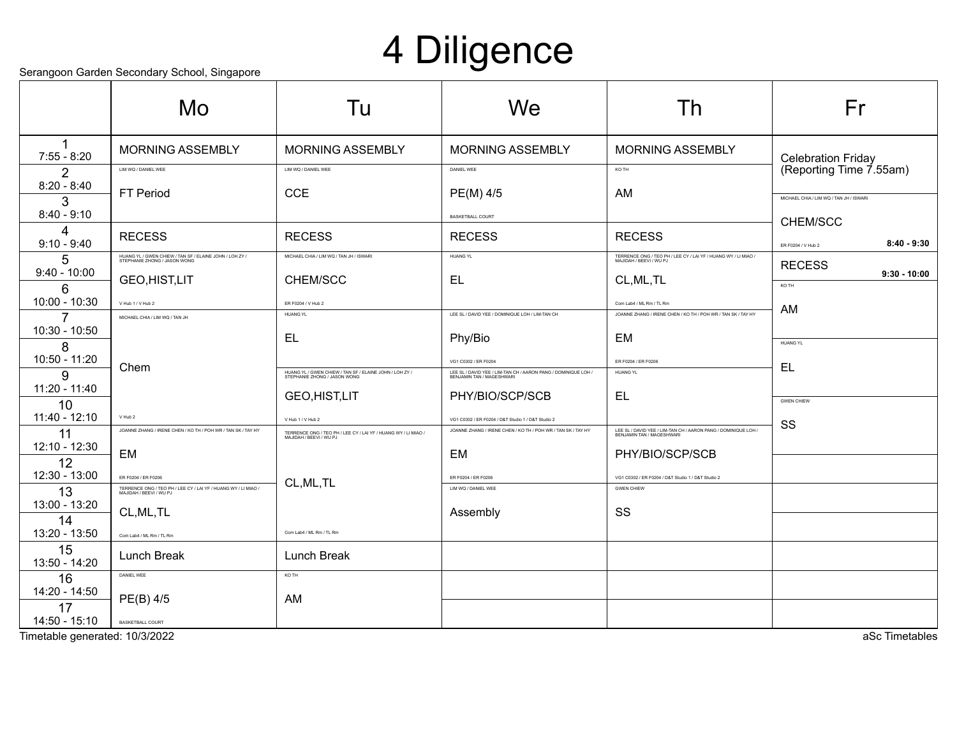## 4 Diligence

Serangoon Garden Secondary School, Singapore

|                                | ocialigoon Gardon ocoonidary Gonool, Olitgaporo<br>Mo                                     | Tu                                                                                        | We                                                                                                                  | Th                                                                                           | Fr                                      |
|--------------------------------|-------------------------------------------------------------------------------------------|-------------------------------------------------------------------------------------------|---------------------------------------------------------------------------------------------------------------------|----------------------------------------------------------------------------------------------|-----------------------------------------|
| 1<br>$7:55 - 8:20$             | <b>MORNING ASSEMBLY</b>                                                                   | <b>MORNING ASSEMBLY</b>                                                                   | <b>MORNING ASSEMBLY</b>                                                                                             | <b>MORNING ASSEMBLY</b>                                                                      | <b>Celebration Friday</b>               |
| $\overline{2}$                 | LIM WO / DANIEL WEE                                                                       | LIM WO / DANIEL WEE                                                                       | DANIEL WEE                                                                                                          | KO TH                                                                                        | (Reporting Time 7.55am)                 |
| $8:20 - 8:40$                  | FT Period                                                                                 | <b>CCE</b>                                                                                | PE(M) 4/5                                                                                                           | AM                                                                                           | MICHAEL CHIA / LIM WQ / TAN JH / ISWARI |
| 3<br>$8:40 - 9:10$             |                                                                                           |                                                                                           | <b>BASKETBALL COURT</b>                                                                                             |                                                                                              | CHEM/SCC                                |
| 4<br>$9:10 - 9:40$             | <b>RECESS</b>                                                                             | <b>RECESS</b>                                                                             | <b>RECESS</b>                                                                                                       | <b>RECESS</b>                                                                                | $8:40 - 9:30$<br>ER F0204 / V Hub 2     |
| 5                              | HUANG YL / GWEN CHIEW / TAN SF / ELAINE JOHN / LOH ZY /<br>STEPHANIE ZHONG / JASON WONG   | MICHAEL CHIA / LIM WQ / TAN JH / ISWARI                                                   | HUANG YL                                                                                                            | TERRENCE ONG / TEO PH / LEE CY / LAI YF / HUANG WY / LI MIAO /<br>MAJIDAH / BEEVI / WU PJ    | <b>RECESS</b>                           |
| $9:40 - 10:00$                 | <b>GEO,HIST,LIT</b>                                                                       | CHEM/SCC                                                                                  | EL.                                                                                                                 | CL, ML, TL                                                                                   | $9:30 - 10:00$<br>KO TH                 |
| 6<br>10:00 - 10:30             | V Hub 1 / V Hub 2                                                                         | ER F0204 / V Hub 2                                                                        |                                                                                                                     | Com Lab4 / ML Rm / TL Rm                                                                     |                                         |
| 7                              | MICHAEL CHIA / LIM WQ / TAN JH                                                            | <b>HUANG YL</b>                                                                           | LEE SL / DAVID YEE / DOMINIQUE LOH / LIM-TAN CH                                                                     | JOANNE ZHANG / IRENE CHEN / KO TH / POH WR / TAN SK / TAY HY                                 | AM                                      |
| 10:30 - 10:50                  |                                                                                           | EL                                                                                        | Phy/Bio                                                                                                             | EM                                                                                           |                                         |
| 8                              |                                                                                           |                                                                                           |                                                                                                                     |                                                                                              | <b>HUANG YL</b>                         |
| 10:50 - 11:20<br>9             | Chem                                                                                      | HUANG YL / GWEN CHIEW / TAN SF / ELAINE JOHN / LOH ZY /<br>STEPHANIE ZHONG / JASON WONG   | VG1 C0302 / ER F0204<br>LEE SL / DAVID YEE / LIM-TAN CH / AARON PANG / DOMINIQUE LOH /<br>BENJAMIN TAN / MAGESHWARI | ER F0204 / ER F0206<br><b>HUANG YL</b>                                                       | EL                                      |
| $11:20 - 11:40$                |                                                                                           |                                                                                           | PHY/BIO/SCP/SCB                                                                                                     | <b>EL</b>                                                                                    |                                         |
| 10                             |                                                                                           | <b>GEO,HIST,LIT</b>                                                                       |                                                                                                                     |                                                                                              | <b>GWEN CHIEW</b>                       |
| $11:40 - 12:10$                | V Hub 2<br>JOANNE ZHANG / IRENE CHEN / KO TH / POH WR / TAN SK / TAY HY                   | V Hub 1 / V Hub 2                                                                         | VG1 C0302 / ER F0204 / D&T Studio 1 / D&T Studio 2<br>JOANNE ZHANG / IRENE CHEN / KO TH / POH WR / TAN SK / TAY HY  | LEE SL / DAVID YEE / LIM-TAN CH / AARON PANG / DOMINIQUE LOH /<br>REN IAMIN TAN / MAGESHWARI | SS                                      |
| 11<br>12:10 - 12:30            |                                                                                           | TERRENCE ONG / TEO PH / LEE CY / LAI YF / HUANG WY / LI MIAO /<br>MAJIDAH / BEEVI / WU PJ |                                                                                                                     |                                                                                              |                                         |
| 12                             | EM                                                                                        |                                                                                           | EM                                                                                                                  | PHY/BIO/SCP/SCB                                                                              |                                         |
| 12:30 - 13:00                  | ER F0204 / ER F0206                                                                       | CL, ML, TL                                                                                | FR E0204 / FR E0206                                                                                                 | VG1 C0302 / ER F0204 / D&T Studio 1 / D&T Studio 2                                           |                                         |
| 13<br>13:00 - 13:20            | TERRENCE ONG / TEO PH / LEE CY / LAI YF / HUANG WY / LI MIAO /<br>MAJIDAH / BEEVI / WU PJ |                                                                                           | LIM WO / DANIEL WEE                                                                                                 | <b>GWEN CHIEW</b>                                                                            |                                         |
| 14                             | CL, ML, TL                                                                                |                                                                                           | Assembly                                                                                                            | SS                                                                                           |                                         |
| 13:20 - 13:50                  | Com Lab4 / ML Rm / TL Rm                                                                  | Com Lab4 / ML Rm / TL Rm                                                                  |                                                                                                                     |                                                                                              |                                         |
| 15<br>13:50 - 14:20            | Lunch Break                                                                               | Lunch Break                                                                               |                                                                                                                     |                                                                                              |                                         |
| 16                             | DANIEL WEE                                                                                | KO TH                                                                                     |                                                                                                                     |                                                                                              |                                         |
| 14:20 - 14:50                  | PE(B) 4/5                                                                                 | AM                                                                                        |                                                                                                                     |                                                                                              |                                         |
| 17<br>14:50 - 15:10            | BASKETBALL COURT                                                                          |                                                                                           |                                                                                                                     |                                                                                              |                                         |
| Timetable generated: 10/3/2022 |                                                                                           |                                                                                           |                                                                                                                     |                                                                                              | aSc Timetables                          |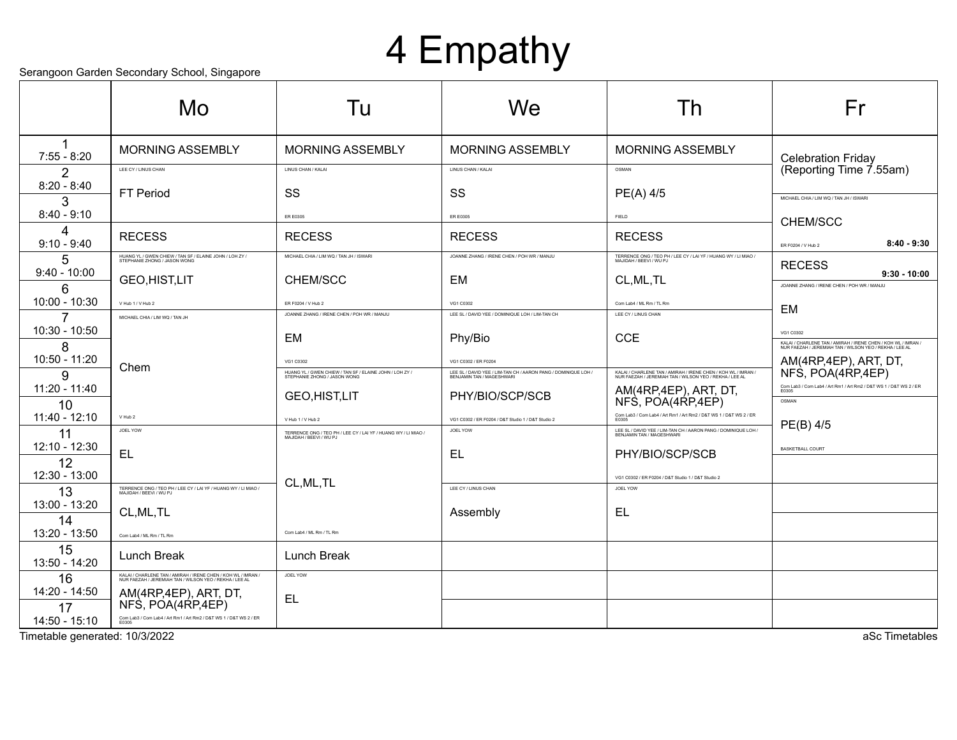## 4 Empathy

Serangoon Garden Secondary School, Singapore

|                                                 | Mo                                                                                                                       | Tu                                                                                        | We                                                                                          | Th                                                                                                                       | Fr                                                                                                                                                |
|-------------------------------------------------|--------------------------------------------------------------------------------------------------------------------------|-------------------------------------------------------------------------------------------|---------------------------------------------------------------------------------------------|--------------------------------------------------------------------------------------------------------------------------|---------------------------------------------------------------------------------------------------------------------------------------------------|
| 1<br>$7:55 - 8:20$                              | <b>MORNING ASSEMBLY</b>                                                                                                  | <b>MORNING ASSEMBLY</b>                                                                   | <b>MORNING ASSEMBLY</b>                                                                     | <b>MORNING ASSEMBLY</b>                                                                                                  | <b>Celebration Friday</b>                                                                                                                         |
| 2                                               | LEE CY / LINUS CHAN                                                                                                      | LINUS CHAN / KALAI                                                                        | LINUS CHAN / KALAI                                                                          | OSMAN                                                                                                                    | (Reporting Time 7.55am)                                                                                                                           |
| $8:20 - 8:40$<br>3                              | FT Period                                                                                                                | SS                                                                                        | SS                                                                                          | PE(A) 4/5                                                                                                                | MICHAEL CHIA / LIM WQ / TAN JH / ISWARI                                                                                                           |
| $8:40 - 9:10$                                   |                                                                                                                          | ER E0305                                                                                  | ER E0305                                                                                    | FIELD                                                                                                                    | CHEM/SCC                                                                                                                                          |
| 4<br>$9:10 - 9:40$                              | <b>RECESS</b>                                                                                                            | <b>RECESS</b>                                                                             | <b>RECESS</b>                                                                               | <b>RECESS</b>                                                                                                            | $8:40 - 9:30$<br>ER F0204 / V Hub 2                                                                                                               |
| 5                                               | HUANG YL / GWEN CHIEW / TAN SF / ELAINE JOHN / LOH ZY /<br>STEPHANIE ZHONG / JASON WONG                                  | MICHAEL CHIA / LIM WQ / TAN JH / ISWARI                                                   | JOANNE ZHANG / IRENE CHEN / POH WR / MANJU                                                  | TERRENCE ONG / TEO PH / LEE CY / LAI YF / HUANG WY / LI MIAO /<br>MAJIDAH / BEEVI / WU PJ                                | <b>RECESS</b>                                                                                                                                     |
| $9:40 - 10:00$<br>6                             | GEO, HIST, LIT                                                                                                           | CHEM/SCC                                                                                  | EM                                                                                          | CL, ML, TL                                                                                                               | $9:30 - 10:00$<br>JOANNE ZHANG / IRENE CHEN / POH WR / MANJU                                                                                      |
| 10:00 - 10:30                                   | V Hub 1 / V Hub 2                                                                                                        | ER F0204 / V Hub 2                                                                        | VG1 C0302                                                                                   | Com Lab4 / ML Rm / TL Rm                                                                                                 | EM                                                                                                                                                |
| 7<br>10:30 - 10:50                              | MICHAEL CHIA / LIM WQ / TAN JH                                                                                           | JOANNE ZHANG / IRENE CHEN / POH WR / MANJU<br>EM                                          | LEE SL / DAVID YEE / DOMINIQUE LOH / LIM-TAN CH<br>Phy/Bio                                  | LEE CY / LINUS CHAN<br><b>CCE</b>                                                                                        | VG1 C0302                                                                                                                                         |
| 8<br>10:50 - 11:20                              | Chem                                                                                                                     | VG1 C0302                                                                                 | VG1 C0302 / ER F0204                                                                        |                                                                                                                          | KALAI / CHARLENE TAN / AMIRAH / IRENE CHEN / KOH WL / IMRAN /<br>NUR FAEZAH / JEREMIAH TAN / WILSON YEO / REKHA / LEE AL<br>AM(4RP,4EP), ART, DT, |
| 9                                               |                                                                                                                          | HUANG YL / GWEN CHIEW / TAN SF / ELAINE JOHN / LOH ZY /<br>STEPHANIE ZHONG / JASON WONG   | LEE SL / DAVID YEE / LIM-TAN CH / AARON PANG / DOMINIQUE LOH /<br>BENJAMIN TAN / MAGESHWARI | KALAI / CHARLENE TAN / AMIRAH / IRENE CHEN / KOH WL / IMRAN /<br>NUR FAEZAH / JEREMIAH TAN / WILSON YEO / REKHA / LEE AL | NFS, POA(4RP, 4EP)                                                                                                                                |
| $11:20 - 11:40$<br>10                           |                                                                                                                          | <b>GEO,HIST,LIT</b>                                                                       | PHY/BIO/SCP/SCB                                                                             | AM(4RP,4EP), ART, DT,<br>NFS, POA(4RP,4EP)                                                                               | Com Lab3 / Com Lab4 / Art Rm1 / Art Rm2 / D&T WS 1 / D&T WS 2 / ER<br>E0305<br>OSMAN                                                              |
| 11:40 - 12:10                                   | V Hub 2                                                                                                                  | V Hub 1 / V Hub 2                                                                         | VG1 C0302 / ER F0204 / D&T Studio 1 / D&T Studio 2                                          | Com Lab3 / Com Lab4 / Art Rm1 / Art Rm2 / D&T WS 1 / D&T WS 2 / ER<br>E0305                                              | PE(B) 4/5                                                                                                                                         |
| 11                                              | JOEL YOW                                                                                                                 | TERRENCE ONG / TEO PH / LEE CY / LAI YF / HUANG WY / LI MIAO /<br>MAJIDAH / BEEVI / WU PJ | JOEL YOW                                                                                    | LEE SL / DAVID YEE / LIM-TAN CH / AARON PANG / DOMINIQUE LOH /<br>BENJAMIN TAN / MAGESHWARI                              |                                                                                                                                                   |
| 12:10 - 12:30<br>12                             | EL                                                                                                                       |                                                                                           | <b>EL</b>                                                                                   | PHY/BIO/SCP/SCB                                                                                                          | <b>BASKETBALL COURT</b>                                                                                                                           |
| 12:30 - 13:00                                   |                                                                                                                          | CL, ML, TL                                                                                |                                                                                             | VG1 C0302 / ER F0204 / D&T Studio 1 / D&T Studio 2                                                                       |                                                                                                                                                   |
| 13                                              | TERRENCE ONG / TEO PH / LEE CY / LAI YF / HUANG WY / LI MIAO /<br>MAJIDAH / BEEVI / WU PJ                                |                                                                                           | LEE CY / LINUS CHAN                                                                         | JOEL YOW                                                                                                                 |                                                                                                                                                   |
| 13:00 - 13:20<br>14                             | CL, ML, TL                                                                                                               |                                                                                           | Assembly                                                                                    | EL                                                                                                                       |                                                                                                                                                   |
| 13:20 - 13:50                                   | Com Lab4 / ML Rm / TL Rm                                                                                                 | Com Lab4 / ML Rm / TL Rm                                                                  |                                                                                             |                                                                                                                          |                                                                                                                                                   |
| 15<br>13:50 - 14:20                             | <b>Lunch Break</b>                                                                                                       | Lunch Break                                                                               |                                                                                             |                                                                                                                          |                                                                                                                                                   |
| 16                                              | KALAI / CHARLENE TAN / AMIRAH / IRENE CHEN / KOH WL / IMRAN /<br>NUR FAEZAH / JEREMIAH TAN / WILSON YEO / REKHA / LEE AL | JOEL YOW                                                                                  |                                                                                             |                                                                                                                          |                                                                                                                                                   |
| 14:20 - 14:50                                   | AM(4RP,4EP), ART, DT,                                                                                                    | <b>EL</b>                                                                                 |                                                                                             |                                                                                                                          |                                                                                                                                                   |
| 17                                              | NFS, POA(4RP,4EP)<br>Com Lab3 / Com Lab4 / Art Rm1 / Art Rm2 / D&T WS 1 / D&T WS 2 / ER<br>E0305                         |                                                                                           |                                                                                             |                                                                                                                          |                                                                                                                                                   |
| 14:50 - 15:10<br>Timetable generated: 10/3/2022 |                                                                                                                          |                                                                                           |                                                                                             |                                                                                                                          | aSc Timetables                                                                                                                                    |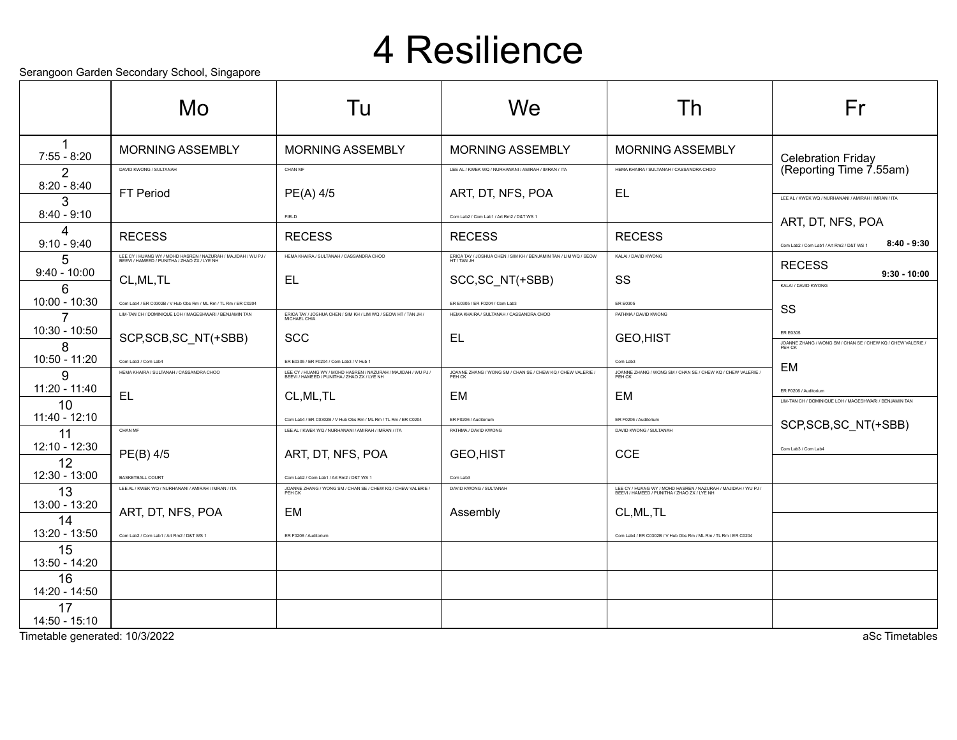### 4 Resilience

Serangoon Garden Secondary School, Singapore

|                     | Mo                                                                                                           | Tu                                                                                                                     | We                                                                              | I h                                                                                                          | Fr                                                                                       |
|---------------------|--------------------------------------------------------------------------------------------------------------|------------------------------------------------------------------------------------------------------------------------|---------------------------------------------------------------------------------|--------------------------------------------------------------------------------------------------------------|------------------------------------------------------------------------------------------|
| $7:55 - 8:20$       | <b>MORNING ASSEMBLY</b>                                                                                      | <b>MORNING ASSEMBLY</b>                                                                                                | <b>MORNING ASSEMBLY</b>                                                         | <b>MORNING ASSEMBLY</b>                                                                                      | <b>Celebration Friday</b>                                                                |
| 2                   | DAVID KWONG / SULTANAH                                                                                       | CHAN MF                                                                                                                | LEE AL / KWEK WQ / NURHANANI / AMIRAH / IMRAN / ITA                             | HEMA KHAIRA / SULTANAH / CASSANDRA CHOO                                                                      | (Reporting Time 7.55am)                                                                  |
| $8:20 - 8:40$       | FT Period                                                                                                    | PE(A) 4/5                                                                                                              | ART, DT, NFS, POA                                                               | EL                                                                                                           | LEE AL / KWEK WQ / NURHANANI / AMIRAH / IMRAN / ITA                                      |
| 3<br>$8:40 - 9:10$  |                                                                                                              | FIELD                                                                                                                  | Com Lab2 / Com Lab1 / Art Rm2 / D&T WS 1                                        |                                                                                                              |                                                                                          |
| 4                   | <b>RECESS</b>                                                                                                | <b>RECESS</b>                                                                                                          | <b>RECESS</b>                                                                   | <b>RECESS</b>                                                                                                | ART, DT, NFS, POA                                                                        |
| $9:10 - 9:40$       |                                                                                                              | HEMA KHAIRA / SULTANAH / CASSANDRA CHOO                                                                                |                                                                                 | KALAI / DAVID KWONG                                                                                          | $8:40 - 9:30$<br>Com Lab2 / Com Lab1 / Art Rm2 / D&T WS 1                                |
| 5<br>$9:40 - 10:00$ | LEE CY / HUANG WY / MOHD HASREN / NAZURAH / MAJIDAH / WU PJ /<br>BEEVI / HAMEED / PUNITHA / ZHAO ZX / LYE NH |                                                                                                                        | ERICA TAY / JOSHUA CHEN / SIM KH / BENJAMIN TAN / LIM WQ / SEOW<br>HT / TAN .IH |                                                                                                              | <b>RECESS</b><br>$9:30 - 10:00$                                                          |
| 6                   | CL, ML, TL                                                                                                   | EL                                                                                                                     | SCC, SC NT(+SBB)                                                                | SS                                                                                                           | KALAI / DAVID KWONG                                                                      |
| $10:00 - 10:30$     | Com Lab4 / ER C0302B / V Hub Obs Rm / ML Rm / TL Rm / ER C0204                                               |                                                                                                                        | ER E0305 / ER F0204 / Com Lab3                                                  | ER E0305                                                                                                     | SS                                                                                       |
| $\overline{7}$      | LIM-TAN CH / DOMINIQUE LOH / MAGESHWARI / BENJAMIN TAN                                                       | ERICA TAY / JOSHUA CHEN / SIM KH / LIM WQ / SEOW HT / TAN JH /<br>MICHAEL CHIA                                         | HEMA KHAIRA / SULTANAH / CASSANDRA CHOO                                         | PATHMA / DAVID KWONG                                                                                         |                                                                                          |
| 10:30 - 10:50<br>8  | SCP, SCB, SC_NT(+SBB)                                                                                        | <b>SCC</b>                                                                                                             | EL                                                                              | <b>GEO,HIST</b>                                                                                              | <b>ER E0305</b><br>JOANNE ZHANG / WONG SM / CHAN SE / CHEW KQ / CHEW VALERIE /<br>PEH CK |
| 10:50 - 11:20       | Com Lab3 / Com Lab4                                                                                          | ER E0305 / ER F0204 / Com Lab3 / V Hub 1                                                                               |                                                                                 | Com Lab3                                                                                                     |                                                                                          |
| 9                   | HEMA KHAIRA / SULTANAH / CASSANDRA CHOO                                                                      | LEE CY / HUANG WY / MOHD HASREN / NAZURAH / MAJIDAH / WU PJ /<br>BEEVI / HAMEED / PUNITHA / ZHAO ZX / LYE NH           | JOANNE ZHANG / WONG SM / CHAN SE / CHEW KQ / CHEW VALERIE /<br>PEH CK           | JOANNE ZHANG / WONG SM / CHAN SE / CHEW KQ / CHEW VALERIE /<br>PEH CK                                        | EM                                                                                       |
| 11:20 - 11:40       | <b>EL</b>                                                                                                    | CL, ML, TL                                                                                                             | EM                                                                              | EM                                                                                                           | ER F0206 / Auditorium                                                                    |
| 10<br>11:40 - 12:10 |                                                                                                              |                                                                                                                        |                                                                                 |                                                                                                              | LIM-TAN CH / DOMINIQUE LOH / MAGESHWARI / BENJAMIN TAN                                   |
| 11                  | CHAN ME                                                                                                      | Com Lab4 / ER C0302B / V Hub Obs Rm / ML Rm / TL Rm / ER C0204<br>I FF AI / KWFK WO / NURHANANI / AMIRAH / IMRAN / ITA | FR F0206 / Auditorium<br>PATHMA / DAVID KWONG                                   | FR F0206 / Auditorium<br>DAVID KWONG / SULTANAH                                                              | SCP, SCB, SC_NT(+SBB)                                                                    |
| 12:10 - 12:30       |                                                                                                              | ART, DT, NFS, POA                                                                                                      | <b>GEO,HIST</b>                                                                 | <b>CCE</b>                                                                                                   | Com Lab3 / Com Lab4                                                                      |
| 12                  | PE(B) 4/5                                                                                                    |                                                                                                                        |                                                                                 |                                                                                                              |                                                                                          |
| 12:30 - 13:00       | <b>BASKETBALL COURT</b><br>LEE AL / KWEK WQ / NURHANANI / AMIRAH / IMRAN / ITA                               | Com Lab2 / Com Lab1 / Art Rm2 / D&T WS 1<br>JOANNE ZHANG / WONG SM / CHAN SE / CHEW KQ / CHEW VALERIE /<br>PEH CK      | Com Lab3<br>DAVID KWONG / SULTANAH                                              |                                                                                                              |                                                                                          |
| 13<br>13:00 - 13:20 |                                                                                                              |                                                                                                                        |                                                                                 | LEE CY / HUANG WY / MOHD HASREN / NAZURAH / MAJIDAH / WU PJ /<br>BEEVI / HAMEED / PUNITHA / ZHAO ZX / LYE NH |                                                                                          |
| 14                  | ART, DT, NFS, POA                                                                                            | EM                                                                                                                     | Assembly                                                                        | CL, ML, TL                                                                                                   |                                                                                          |
| 13:20 - 13:50       | Com Lab2 / Com Lab1 / Art Rm2 / D&T WS 1                                                                     | ER F0206 / Auditorium                                                                                                  |                                                                                 | Com Lab4 / ER C0302B / V Hub Obs Rm / ML Rm / TL Rm / ER C0204                                               |                                                                                          |
| 15<br>13:50 - 14:20 |                                                                                                              |                                                                                                                        |                                                                                 |                                                                                                              |                                                                                          |
| 16<br>14:20 - 14:50 |                                                                                                              |                                                                                                                        |                                                                                 |                                                                                                              |                                                                                          |
| 17<br>14:50 - 15:10 |                                                                                                              |                                                                                                                        |                                                                                 |                                                                                                              |                                                                                          |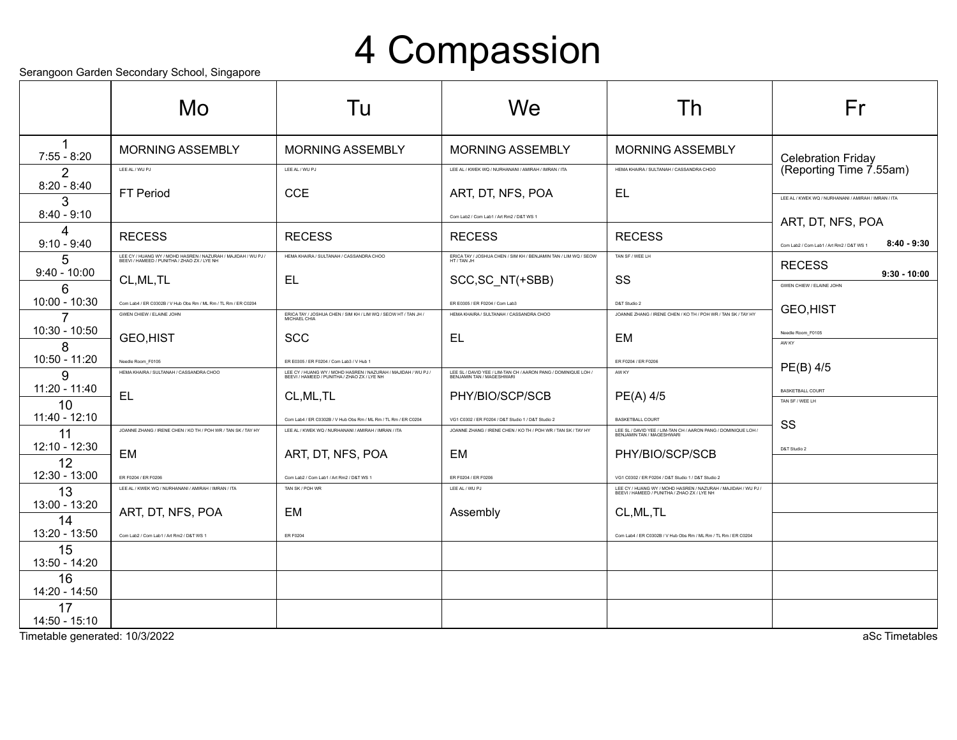## 4 Compassion

Serangoon Garden Secondary School, Singapore

|                                     | ocialigoon Gardon ocoonidary Gonool, Olligaporo<br>Mo                                                        | Tu                                                                                                                    | We                                                                                                                 | Th                                                                                                                      | Fr                                                        |
|-------------------------------------|--------------------------------------------------------------------------------------------------------------|-----------------------------------------------------------------------------------------------------------------------|--------------------------------------------------------------------------------------------------------------------|-------------------------------------------------------------------------------------------------------------------------|-----------------------------------------------------------|
| $7:55 - 8:20$                       | <b>MORNING ASSEMBLY</b>                                                                                      | <b>MORNING ASSEMBLY</b>                                                                                               | <b>MORNING ASSEMBLY</b>                                                                                            | <b>MORNING ASSEMBLY</b>                                                                                                 | <b>Celebration Friday</b>                                 |
| 2                                   | LEE AL / WU PJ                                                                                               | LEE AL / WU PJ                                                                                                        | I FF AI / KWFK WO / NURHANANI / AMIRAH / IMRAN / ITA                                                               | HEMA KHAIRA / SULTANAH / CASSANDRA CHOO                                                                                 | (Reporting Time 7.55am)                                   |
| $8:20 - 8:40$<br>3<br>$8:40 - 9:10$ | <b>FT Period</b>                                                                                             | <b>CCE</b>                                                                                                            | ART, DT, NFS, POA                                                                                                  | EL                                                                                                                      | LEE AL / KWEK WQ / NURHANANI / AMIRAH / IMRAN / ITA       |
| 4                                   |                                                                                                              |                                                                                                                       | Com Lab2 / Com Lab1 / Art Rm2 / D&T WS 1                                                                           |                                                                                                                         | ART, DT, NFS, POA                                         |
| $9:10 - 9:40$                       | <b>RECESS</b>                                                                                                | <b>RECESS</b>                                                                                                         | <b>RECESS</b>                                                                                                      | <b>RECESS</b>                                                                                                           | $8:40 - 9:30$<br>Com Lab2 / Com Lab1 / Art Rm2 / D&T WS 1 |
| 5<br>$9:40 - 10:00$                 | LEE CY / HUANG WY / MOHD HASREN / NAZURAH / MAJIDAH / WU PJ /<br>BEEVI / HAMEED / PUNITHA / ZHAO ZX / LYE NH | HEMA KHAIRA / SULTANAH / CASSANDRA CHOO                                                                               | ERICA TAY / JOSHUA CHEN / SIM KH / BENJAMIN TAN / LIM WQ / SEOW<br>HT / TAN .IH                                    | TAN SF / WEE LH                                                                                                         | <b>RECESS</b><br>$9:30 - 10:00$                           |
| 6                                   | CL, ML, TL                                                                                                   | EL                                                                                                                    | SCC, SC_NT(+SBB)                                                                                                   | SS                                                                                                                      | GWEN CHIEW / ELAINE JOHN                                  |
| 10:00 - 10:30                       | Com Lab4 / ER C0302B / V Hub Obs Rm / ML Rm / TL Rm / ER C0204                                               |                                                                                                                       | ER E0305 / ER F0204 / Com Lab3                                                                                     | D&T Studio 2                                                                                                            | GEO, HIST                                                 |
| $10:30 - 10:50$                     | GWEN CHIEW / ELAINE JOHN                                                                                     | ERICA TAY / JOSHUA CHEN / SIM KH / LIM WQ / SEOW HT / TAN JH /                                                        | HEMA KHAIRA / SULTANAH / CASSANDRA CHOO                                                                            | JOANNE ZHANG / IRENE CHEN / KO TH / POH WR / TAN SK / TAY HY                                                            |                                                           |
| 8                                   | GEO, HIST                                                                                                    | <b>SCC</b>                                                                                                            | EL                                                                                                                 | EM                                                                                                                      | Needle Room F0105<br>AW KY                                |
| 10:50 - 11:20                       | Needle Room_F0105                                                                                            | ER E0305 / ER F0204 / Com Lab3 / V Hub 1                                                                              |                                                                                                                    | ER F0204 / ER F0206                                                                                                     |                                                           |
| g                                   | HEMA KHAIRA / SULTANAH / CASSANDRA CHOO                                                                      | LEE CY / HUANG WY / MOHD HASREN / NAZURAH / MAJIDAH / WU PJ /<br>BEEVI / HAMEED / PUNITHA / ZHAO ZX / LYE NH          | LEE SL / DAVID YEE / LIM-TAN CH / AARON PANG / DOMINIQUE LOH .<br>BEN JAMIN TAN / MAGESHWARI                       | AW KY                                                                                                                   | PE(B) 4/5                                                 |
| $11:20 - 11:40$                     | EL                                                                                                           | CL, ML, TL                                                                                                            | PHY/BIO/SCP/SCB                                                                                                    | PE(A) 4/5                                                                                                               | <b>BASKETBALL COURT</b>                                   |
| 10<br>$11:40 - 12:10$               |                                                                                                              |                                                                                                                       |                                                                                                                    |                                                                                                                         | TAN SF / WEE LH                                           |
| 11                                  | JOANNE ZHANG / IRENE CHEN / KO TH / POH WR / TAN SK / TAY HY                                                 | Com Lab4 / ER C0302B / V Hub Obs Rm / ML Rm / TL Rm / ER C0204<br>LEE AL / KWEK WQ / NURHANANI / AMIRAH / IMRAN / ITA | VG1 C0302 / ER F0204 / D&T Studio 1 / D&T Studio 2<br>JOANNE ZHANG / IRENE CHEN / KO TH / POH WR / TAN SK / TAY HY | <b>BASKETBALL COURT</b><br>LEE SL / DAVID YEE / LIM-TAN CH / AARON PANG / DOMINIQUE LOH /<br>BEN IAMIN TAN / MAGESHWARI | SS                                                        |
| 12:10 - 12:30                       |                                                                                                              |                                                                                                                       |                                                                                                                    |                                                                                                                         | D&T Studio 2                                              |
| 12                                  | EM                                                                                                           | ART, DT, NFS, POA                                                                                                     | EM                                                                                                                 | PHY/BIO/SCP/SCB                                                                                                         |                                                           |
| 12:30 - 13:00                       | ER F0204 / ER F0206                                                                                          | Com Lab2 / Com Lab1 / Art Rm2 / D&T WS 1                                                                              | ER F0204 / ER F0206                                                                                                | VG1 C0302 / ER F0204 / D&T Studio 1 / D&T Studio 2                                                                      |                                                           |
| 13                                  | LEE AL / KWEK WQ / NURHANANI / AMIRAH / IMRAN / ITA                                                          | TAN SK / POH WR                                                                                                       | LEE AL / WU PJ                                                                                                     | LEE CY / HUANG WY / MOHD HASREN / NAZURAH / MAJIDAH / WU PJ /<br>BEEVI / HAMEED / PUNITHA / ZHAO ZX / LYE NH            |                                                           |
| 13:00 - 13:20<br>14                 | ART, DT, NFS, POA                                                                                            | EM                                                                                                                    | Assembly                                                                                                           | CL, ML, TL                                                                                                              |                                                           |
| 13:20 - 13:50                       | Com Lab2 / Com Lab1 / Art Rm2 / D&T WS 1                                                                     | <b>ER F0204</b>                                                                                                       |                                                                                                                    | Com Lab4 / ER C0302B / V Hub Obs Rm / ML Rm / TL Rm / ER C0204                                                          |                                                           |
| 15<br>13:50 - 14:20                 |                                                                                                              |                                                                                                                       |                                                                                                                    |                                                                                                                         |                                                           |
| 16<br>14:20 - 14:50                 |                                                                                                              |                                                                                                                       |                                                                                                                    |                                                                                                                         |                                                           |
| 17<br>$14:50 - 15:10$               |                                                                                                              |                                                                                                                       |                                                                                                                    |                                                                                                                         |                                                           |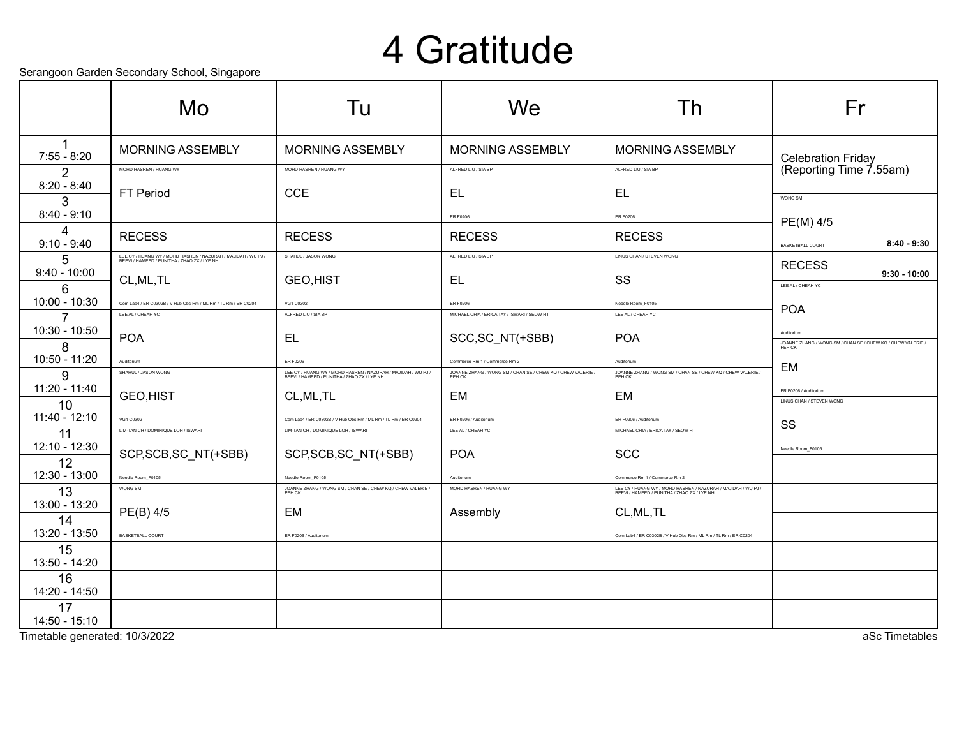#### 4 Gratitude

Serangoon Garden Secondary School, Singapore

|                       | colungoon caladh coconadh y conool, cingapolo<br>Mo.                                                         | Tu                                                                                                           | We                                                                    | Th                                                                                                           | Fr                                                                                  |
|-----------------------|--------------------------------------------------------------------------------------------------------------|--------------------------------------------------------------------------------------------------------------|-----------------------------------------------------------------------|--------------------------------------------------------------------------------------------------------------|-------------------------------------------------------------------------------------|
| $7:55 - 8:20$         | <b>MORNING ASSEMBLY</b>                                                                                      | <b>MORNING ASSEMBLY</b>                                                                                      | <b>MORNING ASSEMBLY</b>                                               | <b>MORNING ASSEMBLY</b>                                                                                      | <b>Celebration Friday</b>                                                           |
| $\overline{2}$        | MOHD HASREN / HUANG WY                                                                                       | MOHD HASREN / HUANG WY                                                                                       | ALFRED LIU / SIA BP                                                   | ALFRED LIU / SIA BP                                                                                          | (Reporting Time 7.55am)                                                             |
| $8:20 - 8:40$<br>3    | FT Period                                                                                                    | <b>CCE</b>                                                                                                   | <b>EL</b>                                                             | EL                                                                                                           | WONG SM                                                                             |
| $8:40 - 9:10$         |                                                                                                              |                                                                                                              | ER F0206                                                              | ER F0206                                                                                                     | PE(M) 4/5                                                                           |
| 4<br>$9:10 - 9:40$    | <b>RECESS</b>                                                                                                | <b>RECESS</b>                                                                                                | <b>RECESS</b>                                                         | <b>RECESS</b>                                                                                                | $8:40 - 9:30$<br><b>BASKETBALL COURT</b>                                            |
| 5                     | LEE CY / HUANG WY / MOHD HASREN / NAZURAH / MAJIDAH / WU PJ /<br>BEEVI / HAMEED / PUNITHA / ZHAO ZX / LYE NH | SHAHUL / JASON WONG                                                                                          | ALFRED LIU / SIA BP                                                   | LINUS CHAN / STEVEN WONG                                                                                     | <b>RECESS</b>                                                                       |
| $9:40 - 10:00$<br>6   | CL, ML, TL                                                                                                   | <b>GEO,HIST</b>                                                                                              | EL                                                                    | SS                                                                                                           | $9:30 - 10:00$<br>LEE AL / CHEAH YC                                                 |
| 10:00 - 10:30         | Com Lab4 / ER C0302B / V Hub Obs Rm / ML Rm / TL Rm / ER C0204                                               | VG1 C0302                                                                                                    | ER E0206                                                              | Needle Room F0105                                                                                            | <b>POA</b>                                                                          |
|                       | LEE AL / CHEAH YC                                                                                            | ALFRED LIU / SIA BP                                                                                          | MICHAEL CHIA / ERICA TAY / ISWARI / SEOW HT                           | LEE AL / CHEAH YC                                                                                            |                                                                                     |
| 10:30 - 10:50<br>8    | <b>POA</b>                                                                                                   | <b>EL</b>                                                                                                    | SCC, SC_NT(+SBB)                                                      | <b>POA</b>                                                                                                   | Auditorium<br>JOANNE ZHANG / WONG SM / CHAN SE / CHEW KQ / CHEW VALERIE /<br>PEH CK |
| 10:50 - 11:20         | Auditorium                                                                                                   | ER F0206                                                                                                     | Commerce Rm 1 / Commerce Rm 2                                         | Auditorium                                                                                                   | EM                                                                                  |
| g                     | SHAHUL / JASON WONG                                                                                          | LEE CY / HUANG WY / MOHD HASREN / NAZURAH / MAJIDAH / WU PJ /<br>BEEVI / HAMEED / PUNITHA / ZHAO ZX / LYE NH | JOANNE ZHANG / WONG SM / CHAN SE / CHEW KQ / CHEW VALERIE /<br>PEH CK | JOANNE ZHANG / WONG SM / CHAN SE / CHEW KQ / CHEW VALERIE /<br>PEH CK                                        |                                                                                     |
| 11:20 - 11:40<br>10   | <b>GEO,HIST</b>                                                                                              | CL, ML, TL                                                                                                   | EM                                                                    | EM                                                                                                           | ER F0206 / Auditorium<br>LINUS CHAN / STEVEN WONG                                   |
| 11:40 - 12:10         | VG1 C0302                                                                                                    | Com Lab4 / ER C0302B / V Hub Obs Rm / ML Rm / TL Rm / ER C0204                                               | ER F0206 / Auditorium                                                 | ER F0206 / Auditorium                                                                                        | SS                                                                                  |
| 11                    | LIM-TAN CH / DOMINIQUE LOH / ISWARI                                                                          | LIM-TAN CH / DOMINIQUE LOH / ISWARI                                                                          | LEE AL / CHEAH YC                                                     | MICHAEL CHIA / ERICA TAY / SEOW HT                                                                           |                                                                                     |
| 12:10 - 12:30<br>12   | SCP, SCB, SC_NT(+SBB)                                                                                        | SCP, SCB, SC_NT(+SBB)                                                                                        | <b>POA</b>                                                            | <b>SCC</b>                                                                                                   | Needle Room F0105                                                                   |
| 12:30 - 13:00         | Needle Room F0105                                                                                            | Needle Room F0105                                                                                            | Auditorium                                                            | Commerce Rm 1 / Commerce Rm 2                                                                                |                                                                                     |
| 13                    | WONG SM                                                                                                      | JOANNE ZHANG / WONG SM / CHAN SE / CHEW KQ / CHEW VALERIE /<br>PEH CK                                        | MOHD HASREN / HUANG WY                                                | LEE CY / HUANG WY / MOHD HASREN / NAZURAH / MAJIDAH / WU PJ /<br>BEEVI / HAMEED / PUNITHA / ZHAO ZX / LYE NH |                                                                                     |
| 13:00 - 13:20<br>14   | PE(B) 4/5                                                                                                    | EM                                                                                                           | Assembly                                                              | CL, ML, TL                                                                                                   |                                                                                     |
| 13:20 - 13:50         | <b>BASKETBALL COURT</b>                                                                                      | ER F0206 / Auditorium                                                                                        |                                                                       | Com Lab4 / ER C0302B / V Hub Obs Rm / ML Rm / TL Rm / ER C0204                                               |                                                                                     |
| 15<br>13:50 - 14:20   |                                                                                                              |                                                                                                              |                                                                       |                                                                                                              |                                                                                     |
| 16<br>14:20 - 14:50   |                                                                                                              |                                                                                                              |                                                                       |                                                                                                              |                                                                                     |
| 17<br>$14:50 - 15:10$ |                                                                                                              |                                                                                                              |                                                                       |                                                                                                              |                                                                                     |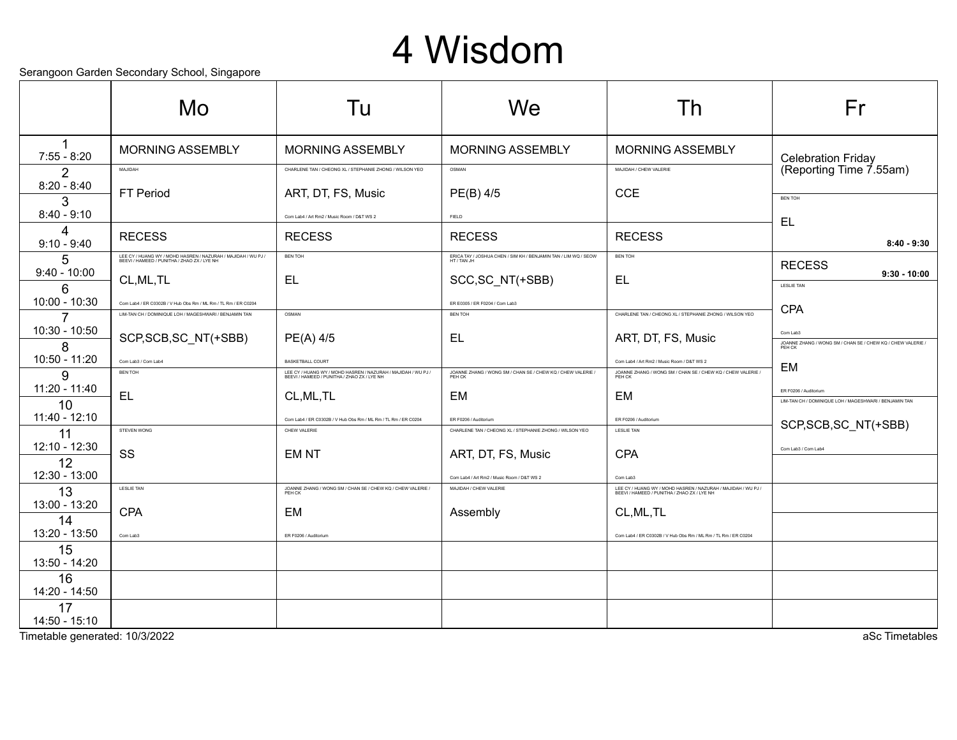#### 4 Wisdom

Serangoon Garden Secondary School, Singapore

|                       | Mo                                                                                                           | Tu                                                                                                           | We                                                                              | Th                                                                                                           | Fr                                                                              |
|-----------------------|--------------------------------------------------------------------------------------------------------------|--------------------------------------------------------------------------------------------------------------|---------------------------------------------------------------------------------|--------------------------------------------------------------------------------------------------------------|---------------------------------------------------------------------------------|
| $7:55 - 8:20$         | <b>MORNING ASSEMBLY</b>                                                                                      | <b>MORNING ASSEMBLY</b>                                                                                      | <b>MORNING ASSEMBLY</b>                                                         | <b>MORNING ASSEMBLY</b>                                                                                      | <b>Celebration Friday</b>                                                       |
| 2                     | MAJIDAH                                                                                                      | CHARLENE TAN / CHEONG XL / STEPHANIE ZHONG / WILSON YEO                                                      | OSMAN                                                                           | MAJIDAH / CHEW VALERIE                                                                                       | (Reporting Time 7.55am)                                                         |
| $8:20 - 8:40$<br>3    | FT Period                                                                                                    | ART, DT, FS, Music                                                                                           | PE(B) 4/5                                                                       | <b>CCE</b>                                                                                                   | <b>BEN TOH</b>                                                                  |
| $8:40 - 9:10$         |                                                                                                              | Com Lab4 / Art Rm2 / Music Room / D&T WS 2                                                                   | FIELD                                                                           |                                                                                                              | EL                                                                              |
| 4<br>$9:10 - 9:40$    | <b>RECESS</b>                                                                                                | <b>RECESS</b>                                                                                                | <b>RECESS</b>                                                                   | <b>RECESS</b>                                                                                                | $8:40 - 9:30$                                                                   |
| 5                     | LEE CY / HUANG WY / MOHD HASREN / NAZURAH / MAJIDAH / WU PJ /<br>BEEVI / HAMEED / PUNITHA / ZHAO ZX / LYE NH | <b>BEN TOH</b>                                                                                               | ERICA TAY / JOSHUA CHEN / SIM KH / BENJAMIN TAN / LIM WQ / SEOW<br>HT / TAN .IH | <b>BEN TOH</b>                                                                                               | <b>RECESS</b>                                                                   |
| $9:40 - 10:00$<br>6   | CL, ML, TL                                                                                                   | <b>EL</b>                                                                                                    | SCC, SC_NT(+SBB)                                                                | <b>EL</b>                                                                                                    | $9:30 - 10:00$<br><b>LESLIE TAN</b>                                             |
| 10:00 - 10:30         | Com Lab4 / ER C0302B / V Hub Obs Rm / ML Rm / TL Rm / ER C0204                                               |                                                                                                              | ER E0305 / ER F0204 / Com Lab3                                                  |                                                                                                              | <b>CPA</b>                                                                      |
| 7                     | LIM-TAN CH / DOMINIQUE LOH / MAGESHWARI / BENJAMIN TAN                                                       | OSMAN                                                                                                        | <b>BEN TOH</b>                                                                  | CHARLENE TAN / CHEONG XL / STEPHANIE ZHONG / WILSON YEO                                                      |                                                                                 |
| 10:30 - 10:50<br>8    | SCP, SCB, SC_NT(+SBB)                                                                                        | $PE(A)$ 4/5                                                                                                  | EL                                                                              | ART, DT, FS, Music                                                                                           | Com Lab3<br>JOANNE ZHANG / WONG SM / CHAN SE / CHEW KQ / CHEW VALERIE<br>PEH CK |
| 10:50 - 11:20         | Com Lab3 / Com Lab4                                                                                          | <b>BASKETBALL COURT</b>                                                                                      |                                                                                 | Com Lab4 / Art Rm2 / Music Room / D&T WS 2                                                                   | EM                                                                              |
| 9                     | <b>BEN TOH</b>                                                                                               | LEE CY / HUANG WY / MOHD HASREN / NAZURAH / MAJIDAH / WU PJ /<br>BEEVI / HAMEED / PUNITHA / ZHAO ZX / LYE NH | JOANNE ZHANG / WONG SM / CHAN SE / CHEW KQ / CHEW VALERIE /                     | JOANNE ZHANG / WONG SM / CHAN SE / CHEW KQ / CHEW VALERIE /                                                  |                                                                                 |
| $11:20 - 11:40$<br>10 | EL                                                                                                           | CL, ML, TL                                                                                                   | EM                                                                              | EM                                                                                                           | ER F0206 / Auditorium<br>LIM-TAN CH / DOMINIQUE LOH / MAGESHWARI / BENJAMIN TAN |
| $11:40 - 12:10$       |                                                                                                              | Com Lab4 / ER C0302B / V Hub Obs Rm / ML Rm / TL Rm / ER C0204                                               | ER F0206 / Auditorium                                                           | ER F0206 / Auditorium                                                                                        | SCP, SCB, SC_NT(+SBB)                                                           |
| 11                    | STEVEN WONG                                                                                                  | CHEW VALERIE                                                                                                 | CHARLENE TAN / CHEONG XL / STEPHANIE ZHONG / WILSON YEO                         | <b>LESLIE TAN</b>                                                                                            |                                                                                 |
| 12:10 - 12:30<br>12   | SS                                                                                                           | <b>EMNT</b>                                                                                                  | ART, DT, FS, Music                                                              | <b>CPA</b>                                                                                                   | Com Lab3 / Com Lab4                                                             |
| 12:30 - 13:00         |                                                                                                              |                                                                                                              | Com Lab4 / Art Rm2 / Music Room / D&T WS 2                                      | Com Lab3                                                                                                     |                                                                                 |
| 13                    | <b>LESLIE TAN</b>                                                                                            | JOANNE ZHANG / WONG SM / CHAN SE / CHEW KQ / CHEW VALERIE /<br>PEH CK                                        | MAJIDAH / CHEW VALERIE                                                          | LEE CY / HUANG WY / MOHD HASREN / NAZURAH / MAJIDAH / WU PJ /<br>BEEVI / HAMEED / PUNITHA / ZHAO ZX / LYE NH |                                                                                 |
| 13:00 - 13:20         | <b>CPA</b>                                                                                                   | EM                                                                                                           | Assembly                                                                        | CL, ML, TL                                                                                                   |                                                                                 |
| 14<br>13:20 - 13:50   | Com Lab3                                                                                                     | ER F0206 / Auditorium                                                                                        |                                                                                 | Com Lab4 / ER C0302B / V Hub Obs Rm / ML Rm / TL Rm / ER C0204                                               |                                                                                 |
| 15<br>13:50 - 14:20   |                                                                                                              |                                                                                                              |                                                                                 |                                                                                                              |                                                                                 |
| 16<br>14:20 - 14:50   |                                                                                                              |                                                                                                              |                                                                                 |                                                                                                              |                                                                                 |
| 17<br>14:50 - 15:10   |                                                                                                              |                                                                                                              |                                                                                 |                                                                                                              |                                                                                 |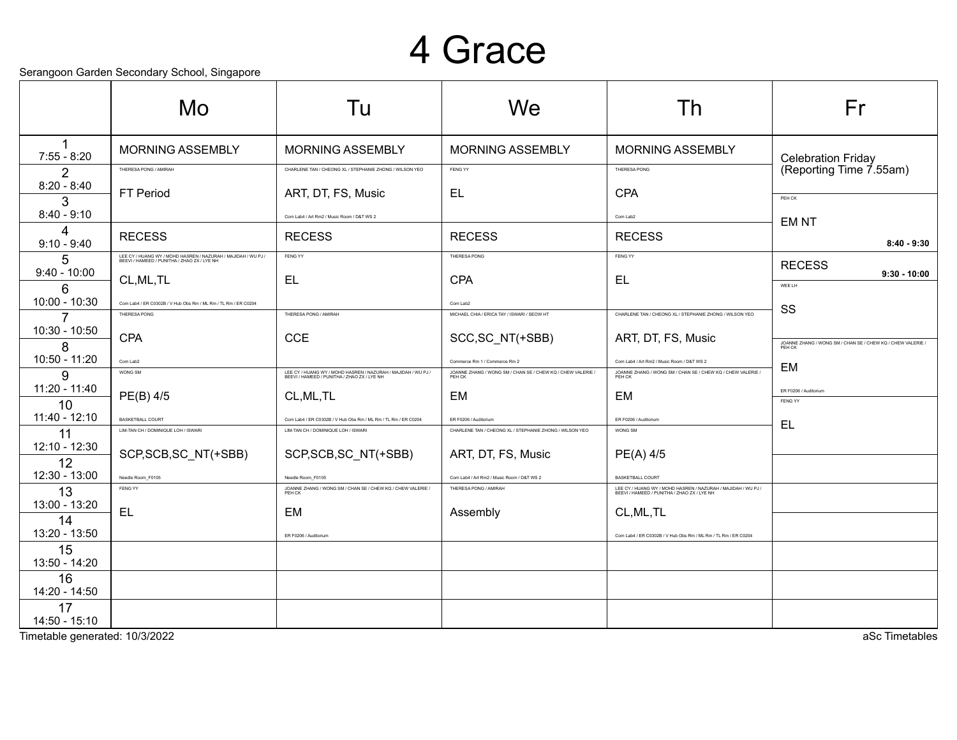#### 4 Grace

Serangoon Garden Secondary School, Singapore

|                     | colungoon caladh coconadh y conool, cingapolo<br>Mo.                                                         | Tu                                                                                                           | We                                                                    | Th                                                                                                           | Fr                                                                  |
|---------------------|--------------------------------------------------------------------------------------------------------------|--------------------------------------------------------------------------------------------------------------|-----------------------------------------------------------------------|--------------------------------------------------------------------------------------------------------------|---------------------------------------------------------------------|
| $7:55 - 8:20$       | <b>MORNING ASSEMBLY</b>                                                                                      | <b>MORNING ASSEMBLY</b>                                                                                      | <b>MORNING ASSEMBLY</b>                                               | <b>MORNING ASSEMBLY</b>                                                                                      | <b>Celebration Friday</b>                                           |
| 2                   | THERESA PONG / AMIRAH                                                                                        | CHARLENE TAN / CHEONG XL / STEPHANIE ZHONG / WILSON YEO                                                      | FENG YY                                                               | THERESA PONG                                                                                                 | (Reporting Time 7.55am)                                             |
| $8:20 - 8:40$<br>3  | FT Period                                                                                                    | ART, DT, FS, Music                                                                                           | <b>EL</b>                                                             | <b>CPA</b>                                                                                                   | PEH CK                                                              |
| $8:40 - 9:10$       |                                                                                                              | Com Lab4 / Art Rm2 / Music Room / D&T WS 2                                                                   |                                                                       | Com Lab2                                                                                                     | <b>EMNT</b>                                                         |
| 4<br>$9:10 - 9:40$  | <b>RECESS</b>                                                                                                | <b>RECESS</b>                                                                                                | <b>RECESS</b>                                                         | <b>RECESS</b>                                                                                                | $8:40 - 9:30$                                                       |
| 5                   | LEE CY / HUANG WY / MOHD HASREN / NAZURAH / MAJIDAH / WU PJ /<br>BEEVI / HAMEED / PUNITHA / ZHAO ZX / LYE NH | FENG YY                                                                                                      | THERESA PONG                                                          | FENG YY                                                                                                      | <b>RECESS</b>                                                       |
| $9:40 - 10:00$<br>6 | CL, ML, TL                                                                                                   | <b>EL</b>                                                                                                    | <b>CPA</b>                                                            | <b>EL</b>                                                                                                    | $9:30 - 10:00$<br>WEE LH                                            |
| 10:00 - 10:30       | Com Lab4 / ER C0302B / V Hub Obs Rm / ML Rm / TL Rm / ER C0204                                               |                                                                                                              | Com Lab2                                                              |                                                                                                              | SS                                                                  |
|                     | THERESA PONG                                                                                                 | THERESA PONG / AMIRAH                                                                                        | MICHAEL CHIA / ERICA TAY / ISWARI / SEOW HT                           | CHARLENE TAN / CHEONG XL / STEPHANIE ZHONG / WILSON YEO                                                      |                                                                     |
| 10:30 - 10:50<br>8  | <b>CPA</b>                                                                                                   | <b>CCE</b>                                                                                                   | SCC, SC_NT(+SBB)                                                      | ART, DT, FS, Music                                                                                           | JOANNE ZHANG / WONG SM / CHAN SE / CHEW KQ / CHEW VALERIE<br>PEH CK |
| 10:50 - 11:20       | Com Lab2                                                                                                     |                                                                                                              | Commerce Rm 1 / Commerce Rm 2                                         | Com Lab4 / Art Rm2 / Music Room / D&T WS 2                                                                   | EM                                                                  |
| g                   | WONG SM                                                                                                      | LEE CY / HUANG WY / MOHD HASREN / NAZURAH / MAJIDAH / WU PJ /<br>BEEVI / HAMEED / PUNITHA / ZHAO ZX / LYE NH | JOANNE ZHANG / WONG SM / CHAN SE / CHEW KQ / CHEW VALERIE /<br>PEH CK | JOANNE ZHANG / WONG SM / CHAN SE / CHEW KQ / CHEW VALERIE /<br>PEH CK                                        |                                                                     |
| 11:20 - 11:40<br>10 | PE(B) 4/5                                                                                                    | CL, ML, TL                                                                                                   | EM                                                                    | EM                                                                                                           | ER F0206 / Auditorium<br>FENG YY                                    |
| 11:40 - 12:10       | <b>BASKETBALL COURT</b>                                                                                      | Com Lab4 / ER C0302B / V Hub Obs Rm / ML Rm / TL Rm / ER C0204                                               | ER F0206 / Auditorium                                                 | ER F0206 / Auditorium                                                                                        | EL                                                                  |
| 11                  | LIM-TAN CH / DOMINIQUE LOH / ISWARI                                                                          | LIM-TAN CH / DOMINIQUE LOH / ISWARI                                                                          | CHARLENE TAN / CHEONG XL / STEPHANIE ZHONG / WILSON YEO               | WONG SM                                                                                                      |                                                                     |
| 12:10 - 12:30<br>12 | SCP, SCB, SC_NT(+SBB)                                                                                        | SCP, SCB, SC_NT(+SBB)                                                                                        | ART, DT, FS, Music                                                    | PE(A) 4/5                                                                                                    |                                                                     |
| 12:30 - 13:00       | Needle Room F0105                                                                                            | Needle Room F0105                                                                                            | Com Lab4 / Art Rm2 / Music Room / D&T WS 2                            | <b>BASKETBALL COURT</b>                                                                                      |                                                                     |
| 13                  | FENG YY                                                                                                      | JOANNE ZHANG / WONG SM / CHAN SE / CHEW KQ / CHEW VALERIE /<br>PEH CK                                        | THERESA PONG / AMIRAH                                                 | LEE CY / HUANG WY / MOHD HASREN / NAZURAH / MAJIDAH / WU PJ /<br>BEEVI / HAMEED / PUNITHA / ZHAO ZX / LYE NH |                                                                     |
| 13:00 - 13:20<br>14 | <b>EL</b>                                                                                                    | <b>EM</b>                                                                                                    | Assembly                                                              | CL, ML, TL                                                                                                   |                                                                     |
| 13:20 - 13:50       |                                                                                                              | ER F0206 / Auditorium                                                                                        |                                                                       | Com Lab4 / ER C0302B / V Hub Obs Rm / ML Rm / TL Rm / ER C0204                                               |                                                                     |
| 15<br>13:50 - 14:20 |                                                                                                              |                                                                                                              |                                                                       |                                                                                                              |                                                                     |
| 16<br>14:20 - 14:50 |                                                                                                              |                                                                                                              |                                                                       |                                                                                                              |                                                                     |
| 17<br>14:50 - 15:10 |                                                                                                              |                                                                                                              |                                                                       |                                                                                                              |                                                                     |